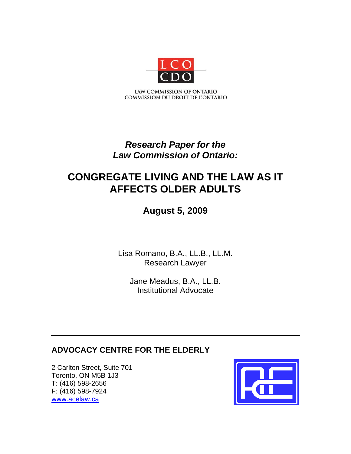

# *Research Paper for the Law Commission of Ontario:*

# **CONGREGATE LIVING AND THE LAW AS IT AFFECTS OLDER ADULTS**

# **August 5, 2009**

Lisa Romano, B.A., LL.B., LL.M. Research Lawyer

Jane Meadus, B.A., LL.B. Institutional Advocate

# **ADVOCACY CENTRE FOR THE ELDERLY**

2 Carlton Street, Suite 701 Toronto, ON M5B 1J3 T: (416) 598-2656 F: (416) 598-7924 www.acelaw.ca

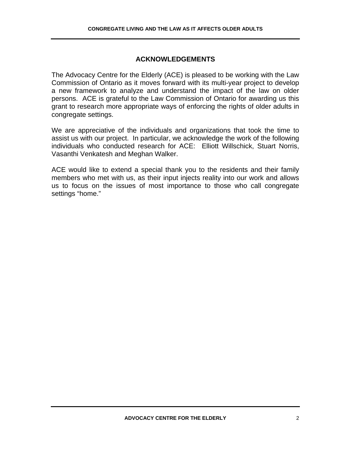# **ACKNOWLEDGEMENTS**

The Advocacy Centre for the Elderly (ACE) is pleased to be working with the Law Commission of Ontario as it moves forward with its multi-year project to develop a new framework to analyze and understand the impact of the law on older persons. ACE is grateful to the Law Commission of Ontario for awarding us this grant to research more appropriate ways of enforcing the rights of older adults in congregate settings.

We are appreciative of the individuals and organizations that took the time to assist us with our project. In particular, we acknowledge the work of the following individuals who conducted research for ACE: Elliott Willschick, Stuart Norris, Vasanthi Venkatesh and Meghan Walker.

ACE would like to extend a special thank you to the residents and their family members who met with us, as their input injects reality into our work and allows us to focus on the issues of most importance to those who call congregate settings "home."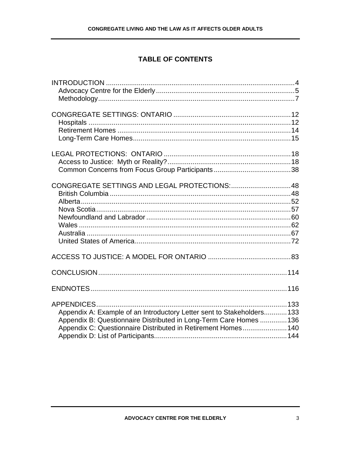# **TABLE OF CONTENTS**

| CONGREGATE SETTINGS AND LEGAL PROTECTIONS: 48                                                                                                                                                                |  |
|--------------------------------------------------------------------------------------------------------------------------------------------------------------------------------------------------------------|--|
|                                                                                                                                                                                                              |  |
|                                                                                                                                                                                                              |  |
|                                                                                                                                                                                                              |  |
|                                                                                                                                                                                                              |  |
|                                                                                                                                                                                                              |  |
|                                                                                                                                                                                                              |  |
|                                                                                                                                                                                                              |  |
|                                                                                                                                                                                                              |  |
|                                                                                                                                                                                                              |  |
|                                                                                                                                                                                                              |  |
| Appendix A: Example of an Introductory Letter sent to Stakeholders133<br>Appendix B: Questionnaire Distributed in Long-Term Care Homes  136<br>Appendix C: Questionnaire Distributed in Retirement Homes 140 |  |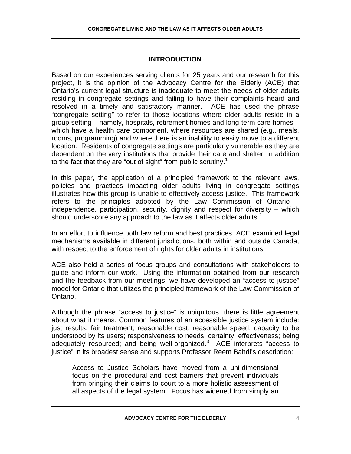# **INTRODUCTION**

Based on our experiences serving clients for 25 years and our research for this project, it is the opinion of the Advocacy Centre for the Elderly (ACE) that Ontario's current legal structure is inadequate to meet the needs of older adults residing in congregate settings and failing to have their complaints heard and resolved in a timely and satisfactory manner. ACE has used the phrase "congregate setting" to refer to those locations where older adults reside in a group setting – namely, hospitals, retirement homes and long-term care homes – which have a health care component, where resources are shared (e.g., meals, rooms, programming) and where there is an inability to easily move to a different location. Residents of congregate settings are particularly vulnerable as they are dependent on the very institutions that provide their care and shelter, in addition to the fact that they are "out of sight" from public scrutiny.<sup>1</sup>

In this paper, the application of a principled framework to the relevant laws, policies and practices impacting older adults living in congregate settings illustrates how this group is unable to effectively access justice. This framework refers to the principles adopted by the Law Commission of Ontario – independence, participation, security, dignity and respect for diversity – which should underscore any approach to the law as it affects older adults. $2$ 

In an effort to influence both law reform and best practices, ACE examined legal mechanisms available in different jurisdictions, both within and outside Canada, with respect to the enforcement of rights for older adults in institutions.

ACE also held a series of focus groups and consultations with stakeholders to guide and inform our work. Using the information obtained from our research and the feedback from our meetings, we have developed an "access to justice" model for Ontario that utilizes the principled framework of the Law Commission of Ontario.

Although the phrase "access to justice" is ubiquitous, there is little agreement about what it means. Common features of an accessible justice system include: just results; fair treatment; reasonable cost; reasonable speed; capacity to be understood by its users; responsiveness to needs; certainty; effectiveness; being adequately resourced; and being well-organized.<sup>3</sup> ACE interprets "access to justice" in its broadest sense and supports Professor Reem Bahdi's description:

Access to Justice Scholars have moved from a uni-dimensional focus on the procedural and cost barriers that prevent individuals from bringing their claims to court to a more holistic assessment of all aspects of the legal system. Focus has widened from simply an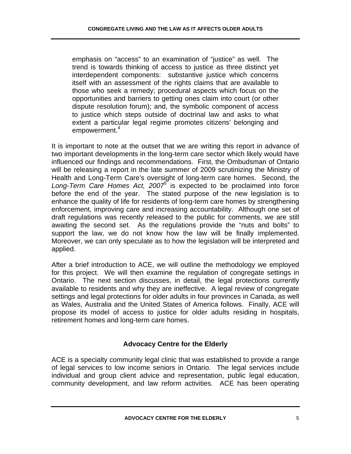emphasis on "access" to an examination of "justice" as well. The trend is towards thinking of access to justice as three distinct yet interdependent components: substantive justice which concerns itself with an assessment of the rights claims that are available to those who seek a remedy; procedural aspects which focus on the opportunities and barriers to getting ones claim into court (or other dispute resolution forum); and, the symbolic component of access to justice which steps outside of doctrinal law and asks to what extent a particular legal regime promotes citizens' belonging and empowerment.<sup>4</sup>

It is important to note at the outset that we are writing this report in advance of two important developments in the long-term care sector which likely would have influenced our findings and recommendations. First, the Ombudsman of Ontario will be releasing a report in the late summer of 2009 scrutinizing the Ministry of Health and Long-Term Care's oversight of long-term care homes. Second, the Long-Term Care Homes Act, 2007<sup>6</sup> is expected to be proclaimed into force before the end of the year. The stated purpose of the new legislation is to enhance the quality of life for residents of long-term care homes by strengthening enforcement, improving care and increasing accountability. Although one set of draft regulations was recently released to the public for comments, we are still awaiting the second set. As the regulations provide the "nuts and bolts" to support the law, we do not know how the law will be finally implemented. Moreover, we can only speculate as to how the legislation will be interpreted and applied.

After a brief introduction to ACE, we will outline the methodology we employed for this project. We will then examine the regulation of congregate settings in Ontario. The next section discusses, in detail, the legal protections currently available to residents and why they are ineffective. A legal review of congregate settings and legal protections for older adults in four provinces in Canada, as well as Wales, Australia and the United States of America follows. Finally, ACE will propose its model of access to justice for older adults residing in hospitals, retirement homes and long-term care homes.

# **Advocacy Centre for the Elderly**

ACE is a specialty community legal clinic that was established to provide a range of legal services to low income seniors in Ontario. The legal services include individual and group client advice and representation, public legal education, community development, and law reform activities. ACE has been operating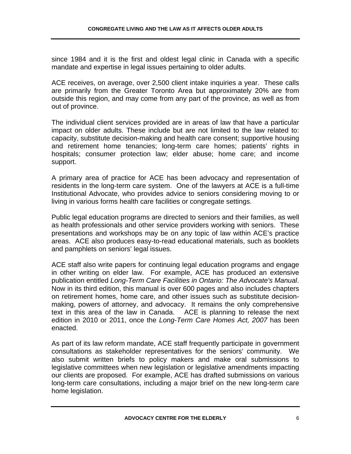since 1984 and it is the first and oldest legal clinic in Canada with a specific mandate and expertise in legal issues pertaining to older adults.

ACE receives, on average, over 2,500 client intake inquiries a year. These calls are primarily from the Greater Toronto Area but approximately 20% are from outside this region, and may come from any part of the province, as well as from out of province.

The individual client services provided are in areas of law that have a particular impact on older adults. These include but are not limited to the law related to: capacity, substitute decision-making and health care consent; supportive housing and retirement home tenancies; long-term care homes; patients' rights in hospitals; consumer protection law; elder abuse; home care; and income support.

A primary area of practice for ACE has been advocacy and representation of residents in the long-term care system. One of the lawyers at ACE is a full-time Institutional Advocate, who provides advice to seniors considering moving to or living in various forms health care facilities or congregate settings.

Public legal education programs are directed to seniors and their families, as well as health professionals and other service providers working with seniors. These presentations and workshops may be on any topic of law within ACE's practice areas. ACE also produces easy-to-read educational materials, such as booklets and pamphlets on seniors' legal issues.

ACE staff also write papers for continuing legal education programs and engage in other writing on elder law. For example, ACE has produced an extensive publication entitled *Long-Term Care Facilities in Ontario: The Advocate's Manual*. Now in its third edition, this manual is over 600 pages and also includes chapters on retirement homes, home care, and other issues such as substitute decisionmaking, powers of attorney, and advocacy. It remains the only comprehensive text in this area of the law in Canada. ACE is planning to release the next edition in 2010 or 2011, once the *Long-Term Care Homes Act, 2007* has been enacted.

As part of its law reform mandate, ACE staff frequently participate in government consultations as stakeholder representatives for the seniors' community. We also submit written briefs to policy makers and make oral submissions to legislative committees when new legislation or legislative amendments impacting our clients are proposed. For example, ACE has drafted submissions on various long-term care consultations, including a major brief on the new long-term care home legislation.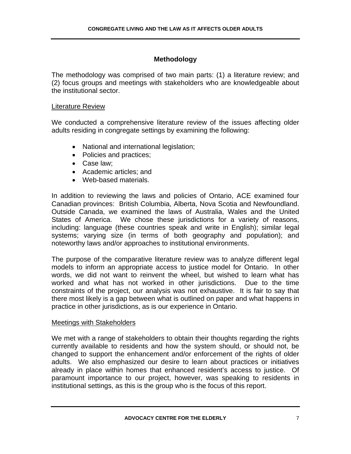# **Methodology**

The methodology was comprised of two main parts: (1) a literature review; and (2) focus groups and meetings with stakeholders who are knowledgeable about the institutional sector.

#### Literature Review

We conducted a comprehensive literature review of the issues affecting older adults residing in congregate settings by examining the following:

- National and international legislation;
- Policies and practices;
- Case law;
- Academic articles; and
- Web-based materials.

In addition to reviewing the laws and policies of Ontario, ACE examined four Canadian provinces: British Columbia, Alberta, Nova Scotia and Newfoundland. Outside Canada, we examined the laws of Australia, Wales and the United States of America. We chose these jurisdictions for a variety of reasons, including: language (these countries speak and write in English); similar legal systems; varying size (in terms of both geography and population); and noteworthy laws and/or approaches to institutional environments.

The purpose of the comparative literature review was to analyze different legal models to inform an appropriate access to justice model for Ontario. In other words, we did not want to reinvent the wheel, but wished to learn what has worked and what has not worked in other jurisdictions. Due to the time constraints of the project, our analysis was not exhaustive. It is fair to say that there most likely is a gap between what is outlined on paper and what happens in practice in other jurisdictions, as is our experience in Ontario.

#### Meetings with Stakeholders

We met with a range of stakeholders to obtain their thoughts regarding the rights currently available to residents and how the system should, or should not, be changed to support the enhancement and/or enforcement of the rights of older adults. We also emphasized our desire to learn about practices or initiatives already in place within homes that enhanced resident's access to justice. Of paramount importance to our project, however, was speaking to residents in institutional settings, as this is the group who is the focus of this report.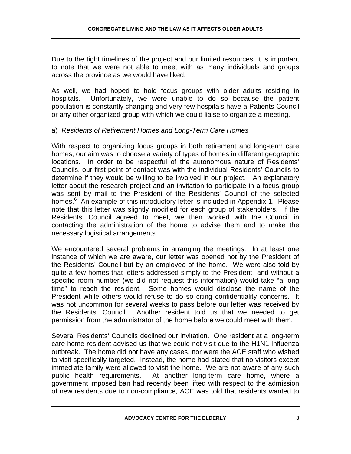Due to the tight timelines of the project and our limited resources, it is important to note that we were not able to meet with as many individuals and groups across the province as we would have liked.

As well, we had hoped to hold focus groups with older adults residing in hospitals. Unfortunately, we were unable to do so because the patient population is constantly changing and very few hospitals have a Patients Council or any other organized group with which we could liaise to organize a meeting.

#### a) *Residents of Retirement Homes and Long-Term Care Homes*

With respect to organizing focus groups in both retirement and long-term care homes, our aim was to choose a variety of types of homes in different geographic locations. In order to be respectful of the autonomous nature of Residents' Councils, our first point of contact was with the individual Residents' Councils to determine if they would be willing to be involved in our project. An explanatory letter about the research project and an invitation to participate in a focus group was sent by mail to the President of the Residents' Council of the selected homes.<sup>6</sup> An example of this introductory letter is included in Appendix 1. Please note that this letter was slightly modified for each group of stakeholders. If the Residents' Council agreed to meet, we then worked with the Council in contacting the administration of the home to advise them and to make the necessary logistical arrangements.

We encountered several problems in arranging the meetings. In at least one instance of which we are aware, our letter was opened not by the President of the Residents' Council but by an employee of the home. We were also told by quite a few homes that letters addressed simply to the President and without a specific room number (we did not request this information) would take "a long time" to reach the resident. Some homes would disclose the name of the President while others would refuse to do so citing confidentiality concerns. It was not uncommon for several weeks to pass before our letter was received by the Residents' Council. Another resident told us that we needed to get permission from the administrator of the home before we could meet with them.

Several Residents' Councils declined our invitation. One resident at a long-term care home resident advised us that we could not visit due to the H1N1 Influenza outbreak. The home did not have any cases, nor were the ACE staff who wished to visit specifically targeted. Instead, the home had stated that no visitors except immediate family were allowed to visit the home. We are not aware of any such public health requirements. At another long-term care home, where a government imposed ban had recently been lifted with respect to the admission of new residents due to non-compliance, ACE was told that residents wanted to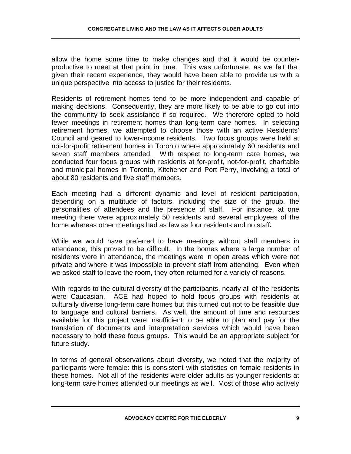allow the home some time to make changes and that it would be counterproductive to meet at that point in time. This was unfortunate, as we felt that given their recent experience, they would have been able to provide us with a unique perspective into access to justice for their residents.

Residents of retirement homes tend to be more independent and capable of making decisions. Consequently, they are more likely to be able to go out into the community to seek assistance if so required. We therefore opted to hold fewer meetings in retirement homes than long-term care homes. In selecting retirement homes, we attempted to choose those with an active Residents' Council and geared to lower-income residents. Two focus groups were held at not-for-profit retirement homes in Toronto where approximately 60 residents and seven staff members attended. With respect to long-term care homes, we conducted four focus groups with residents at for-profit, not-for-profit, charitable and municipal homes in Toronto, Kitchener and Port Perry, involving a total of about 80 residents and five staff members.

Each meeting had a different dynamic and level of resident participation, depending on a multitude of factors, including the size of the group, the personalities of attendees and the presence of staff. For instance, at one meeting there were approximately 50 residents and several employees of the home whereas other meetings had as few as four residents and no staff**.** 

While we would have preferred to have meetings without staff members in attendance, this proved to be difficult. In the homes where a large number of residents were in attendance, the meetings were in open areas which were not private and where it was impossible to prevent staff from attending. Even when we asked staff to leave the room, they often returned for a variety of reasons.

With regards to the cultural diversity of the participants, nearly all of the residents were Caucasian. ACE had hoped to hold focus groups with residents at culturally diverse long-term care homes but this turned out not to be feasible due to language and cultural barriers. As well, the amount of time and resources available for this project were insufficient to be able to plan and pay for the translation of documents and interpretation services which would have been necessary to hold these focus groups. This would be an appropriate subject for future study.

In terms of general observations about diversity, we noted that the majority of participants were female: this is consistent with statistics on female residents in these homes. Not all of the residents were older adults as younger residents at long-term care homes attended our meetings as well. Most of those who actively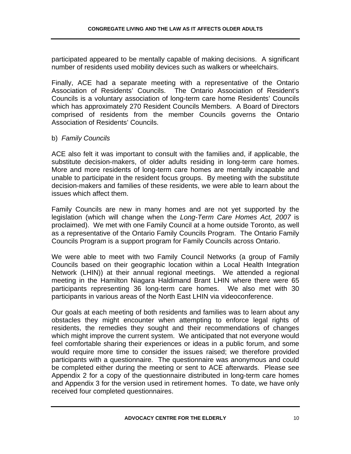participated appeared to be mentally capable of making decisions. A significant number of residents used mobility devices such as walkers or wheelchairs.

Finally, ACE had a separate meeting with a representative of the Ontario Association of Residents' Councils. The Ontario Association of Resident's Councils is a voluntary association of long-term care home Residents' Councils which has approximately 270 Resident Councils Members. A Board of Directors comprised of residents from the member Councils governs the Ontario Association of Residents' Councils.

#### b) *Family Councils*

ACE also felt it was important to consult with the families and, if applicable, the substitute decision-makers, of older adults residing in long-term care homes. More and more residents of long-term care homes are mentally incapable and unable to participate in the resident focus groups. By meeting with the substitute decision-makers and families of these residents, we were able to learn about the issues which affect them.

Family Councils are new in many homes and are not yet supported by the legislation (which will change when the *Long-Term Care Homes Act, 2007* is proclaimed). We met with one Family Council at a home outside Toronto, as well as a representative of the Ontario Family Councils Program. The Ontario Family Councils Program is a support program for Family Councils across Ontario.

We were able to meet with two Family Council Networks (a group of Family Councils based on their geographic location within a Local Health Integration Network (LHIN)) at their annual regional meetings. We attended a regional meeting in the Hamilton Niagara Haldimand Brant LHIN where there were 65 participants representing 36 long-term care homes. We also met with 30 participants in various areas of the North East LHIN via videoconference.

Our goals at each meeting of both residents and families was to learn about any obstacles they might encounter when attempting to enforce legal rights of residents, the remedies they sought and their recommendations of changes which might improve the current system. We anticipated that not everyone would feel comfortable sharing their experiences or ideas in a public forum, and some would require more time to consider the issues raised; we therefore provided participants with a questionnaire. The questionnaire was anonymous and could be completed either during the meeting or sent to ACE afterwards. Please see Appendix 2 for a copy of the questionnaire distributed in long-term care homes and Appendix 3 for the version used in retirement homes. To date, we have only received four completed questionnaires.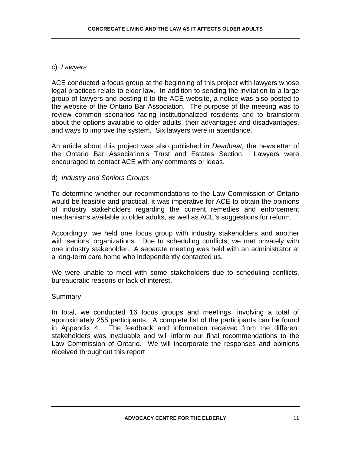### c) *Lawyers*

ACE conducted a focus group at the beginning of this project with lawyers whose legal practices relate to elder law. In addition to sending the invitation to a large group of lawyers and posting it to the ACE website, a notice was also posted to the website of the Ontario Bar Association. The purpose of the meeting was to review common scenarios facing institutionalized residents and to brainstorm about the options available to older adults, their advantages and disadvantages, and ways to improve the system. Six lawyers were in attendance.

An article about this project was also published in *Deadbeat,* the newsletter of the Ontario Bar Association's Trust and Estates Section. Lawyers were encouraged to contact ACE with any comments or ideas.

#### d) *Industry and Seniors Groups*

To determine whether our recommendations to the Law Commission of Ontario would be feasible and practical, it was imperative for ACE to obtain the opinions of industry stakeholders regarding the current remedies and enforcement mechanisms available to older adults, as well as ACE's suggestions for reform.

Accordingly, we held one focus group with industry stakeholders and another with seniors' organizations. Due to scheduling conflicts, we met privately with one industry stakeholder. A separate meeting was held with an administrator at a long-term care home who independently contacted us.

We were unable to meet with some stakeholders due to scheduling conflicts, bureaucratic reasons or lack of interest.

#### Summary

In total, we conducted 16 focus groups and meetings, involving a total of approximately 255 participants. A complete list of the participants can be found in Appendix 4. The feedback and information received from the different stakeholders was invaluable and will inform our final recommendations to the Law Commission of Ontario. We will incorporate the responses and opinions received throughout this report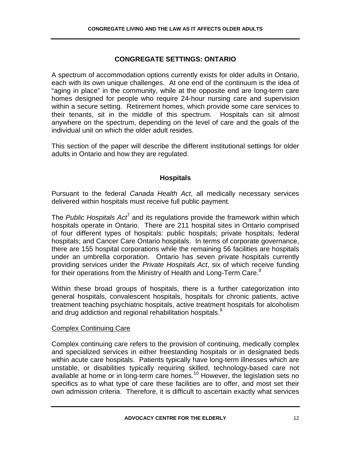# **CONGREGATE SETTINGS: ONTARIO**

A spectrum of accommodation options currently exists for older adults in Ontario, each with its own unique challenges. At one end of the continuum is the idea of "aging in place" in the community, while at the opposite end are long-term care homes designed for people who require 24-hour nursing care and supervision within a secure setting. Retirement homes, which provide some care services to their tenants, sit in the middle of this spectrum. Hospitals can sit almost anywhere on the spectrum, depending on the level of care and the goals of the individual unit on which the older adult resides.

This section of the paper will describe the different institutional settings for older adults in Ontario and how they are regulated.

# **Hospitals**

Pursuant to the federal *Canada Health Act*, all medically necessary services delivered within hospitals must receive full public payment.

The Public Hospitals Act<sup>7</sup> and its regulations provide the framework within which hospitals operate in Ontario. There are 211 hospital sites in Ontario comprised of four different types of hospitals: public hospitals; private hospitals; federal hospitals; and Cancer Care Ontario hospitals. In terms of corporate governance, there are 155 hospital corporations while the remaining 56 facilities are hospitals under an umbrella corporation. Ontario has seven private hospitals currently providing services under the *Private Hospitals Act*, six of which receive funding for their operations from the Ministry of Health and Long-Term Care.<sup>8</sup>

Within these broad groups of hospitals, there is a further categorization into general hospitals, convalescent hospitals, hospitals for chronic patients, active treatment teaching psychiatric hospitals, active treatment hospitals for alcoholism and drug addiction and regional rehabilitation hospitals.<sup>9</sup>

# Complex Continuing Care

Complex continuing care refers to the provision of continuing, medically complex and specialized services in either freestanding hospitals or in designated beds within acute care hospitals. Patients typically have long-term illnesses which are unstable, or disabilities typically requiring skilled, technology-based care not available at home or in long-term care homes.10 However, the legislation sets no specifics as to what type of care these facilities are to offer, and most set their own admission criteria. Therefore, it is difficult to ascertain exactly what services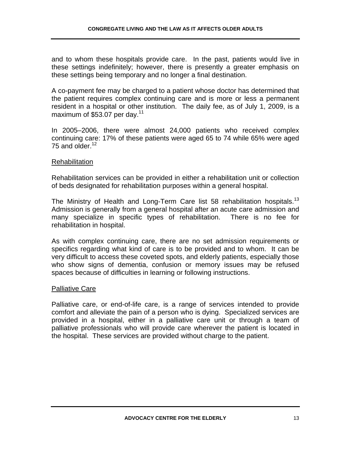and to whom these hospitals provide care. In the past, patients would live in these settings indefinitely; however, there is presently a greater emphasis on these settings being temporary and no longer a final destination.

A co-payment fee may be charged to a patient whose doctor has determined that the patient requires complex continuing care and is more or less a permanent resident in a hospital or other institution. The daily fee, as of July 1, 2009, is a maximum of \$53.07 per day. $11$ 

In 2005–2006, there were almost 24,000 patients who received complex continuing care: 17% of these patients were aged 65 to 74 while 65% were aged 75 and older.<sup>12</sup>

#### **Rehabilitation**

Rehabilitation services can be provided in either a rehabilitation unit or collection of beds designated for rehabilitation purposes within a general hospital.

The Ministry of Health and Long-Term Care list 58 rehabilitation hospitals.<sup>13</sup> Admission is generally from a general hospital after an acute care admission and many specialize in specific types of rehabilitation. There is no fee for rehabilitation in hospital.

As with complex continuing care, there are no set admission requirements or specifics regarding what kind of care is to be provided and to whom. It can be very difficult to access these coveted spots, and elderly patients, especially those who show signs of dementia, confusion or memory issues may be refused spaces because of difficulties in learning or following instructions.

#### Palliative Care

Palliative care, or end-of-life care, is a range of services intended to provide comfort and alleviate the pain of a person who is dying. Specialized services are provided in a hospital, either in a palliative care unit or through a team of palliative professionals who will provide care wherever the patient is located in the hospital. These services are provided without charge to the patient.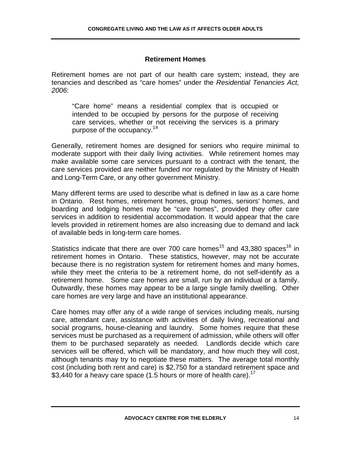# **Retirement Homes**

Retirement homes are not part of our health care system; instead, they are tenancies and described as "care homes" under the *Residential Tenancies Act, 2006*:

"Care home" means a residential complex that is occupied or intended to be occupied by persons for the purpose of receiving care services, whether or not receiving the services is a primary purpose of the occupancy.<sup>14</sup>

Generally, retirement homes are designed for seniors who require minimal to moderate support with their daily living activities. While retirement homes may make available some care services pursuant to a contract with the tenant, the care services provided are neither funded nor regulated by the Ministry of Health and Long-Term Care, or any other government Ministry.

Many different terms are used to describe what is defined in law as a care home in Ontario. Rest homes, retirement homes, group homes, seniors' homes, and boarding and lodging homes may be "care homes", provided they offer care services in addition to residential accommodation. It would appear that the care levels provided in retirement homes are also increasing due to demand and lack of available beds in long-term care homes.

Statistics indicate that there are over 700 care homes<sup>15</sup> and 43,380 spaces<sup>16</sup> in retirement homes in Ontario. These statistics, however, may not be accurate because there is no registration system for retirement homes and many homes, while they meet the criteria to be a retirement home, do not self-identify as a retirement home. Some care homes are small, run by an individual or a family. Outwardly, these homes may appear to be a large single family dwelling. Other care homes are very large and have an institutional appearance.

Care homes may offer any of a wide range of services including meals, nursing care, attendant care, assistance with activities of daily living, recreational and social programs, house-cleaning and laundry. Some homes require that these services must be purchased as a requirement of admission, while others will offer them to be purchased separately as needed. Landlords decide which care services will be offered, which will be mandatory, and how much they will cost, although tenants may try to negotiate these matters. The average total monthly cost (including both rent and care) is \$2,750 for a standard retirement space and \$3,440 for a heavy care space (1.5 hours or more of health care).<sup>17</sup>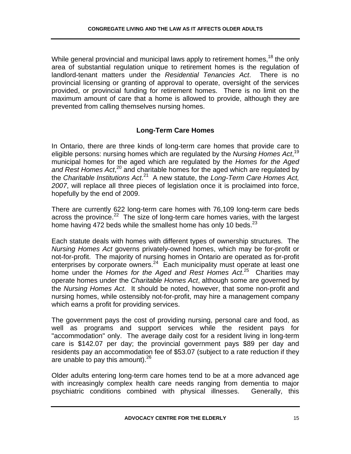While general provincial and municipal laws apply to retirement homes,  $18$  the only area of substantial regulation unique to retirement homes is the regulation of landlord-tenant matters under the *Residential Tenancies Act*. There is no provincial licensing or granting of approval to operate, oversight of the services provided, or provincial funding for retirement homes. There is no limit on the maximum amount of care that a home is allowed to provide, although they are prevented from calling themselves nursing homes.

# **Long-Term Care Homes**

In Ontario, there are three kinds of long-term care homes that provide care to eligible persons: nursing homes which are regulated by the *Nursing Homes Act*, 19 municipal homes for the aged which are regulated by the *Homes for the Aged*  and Rest Homes Act,<sup>20</sup> and charitable homes for the aged which are regulated by the *Charitable Institutions Act*. 21 A new statute, the *Long-Term Care Homes Act, 2007*, will replace all three pieces of legislation once it is proclaimed into force, hopefully by the end of 2009.

There are currently 622 long-term care homes with 76,109 long-term care beds across the province.<sup>22</sup> The size of long-term care homes varies, with the largest home having 472 beds while the smallest home has only 10 beds. $^{23}$ 

Each statute deals with homes with different types of ownership structures. The *Nursing Homes Act* governs privately-owned homes, which may be for-profit or not-for-profit. The majority of nursing homes in Ontario are operated as for-profit enterprises by corporate owners.<sup>24</sup> Each municipality must operate at least one home under the *Homes for the Aged and Rest Homes Act*. 25 Charities may operate homes under the *Charitable Homes Act*, although some are governed by the *Nursing Homes Act*. It should be noted, however, that some non-profit and nursing homes, while ostensibly not-for-profit, may hire a management company which earns a profit for providing services.

The government pays the cost of providing nursing, personal care and food, as well as programs and support services while the resident pays for "accommodation" only. The average daily cost for a resident living in long-term care is \$142.07 per day; the provincial government pays \$89 per day and residents pay an accommodation fee of \$53.07 (subject to a rate reduction if they are unable to pay this amount). $26$ 

Older adults entering long-term care homes tend to be at a more advanced age with increasingly complex health care needs ranging from dementia to major psychiatric conditions combined with physical illnesses. Generally, this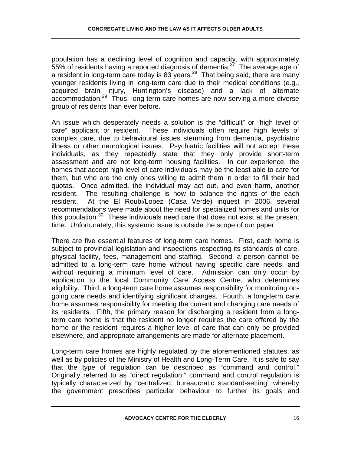population has a declining level of cognition and capacity, with approximately 55% of residents having a reported diagnosis of dementia.<sup>27</sup> The average age of a resident in long-term care today is 83 years.<sup>28</sup> That being said, there are many younger residents living in long-term care due to their medical conditions (e.g., acquired brain injury, Huntington's disease) and a lack of alternate accommodation.29 Thus, long-term care homes are now serving a more diverse group of residents than ever before.

An issue which desperately needs a solution is the "difficult" or "high level of care" applicant or resident. These individuals often require high levels of complex care, due to behavioural issues stemming from dementia, psychiatric illness or other neurological issues. Psychiatric facilities will not accept these individuals, as they repeatedly state that they only provide short-term assessment and are not long-term housing facilities. In our experience, the homes that accept high level of care individuals may be the least able to care for them, but who are the only ones willing to admit them in order to fill their bed quotas. Once admitted, the individual may act out, and even harm, another resident. The resulting challenge is how to balance the rights of the each resident. At the El Roubi/Lopez (Casa Verde) inquest in 2006, several recommendations were made about the need for specialized homes and units for this population.<sup>30</sup> These individuals need care that does not exist at the present time. Unfortunately, this systemic issue is outside the scope of our paper.

There are five essential features of long-term care homes. First, each home is subject to provincial legislation and inspections respecting its standards of care, physical facility, fees, management and staffing. Second, a person cannot be admitted to a long-term care home without having specific care needs, and without requiring a minimum level of care. Admission can only occur by application to the local Community Care Access Centre, who determines eligibility. Third, a long-term care home assumes responsibility for monitoring ongoing care needs and identifying significant changes. Fourth, a long-term care home assumes responsibility for meeting the current and changing care needs of its residents. Fifth, the primary reason for discharging a resident from a longterm care home is that the resident no longer requires the care offered by the home or the resident requires a higher level of care that can only be provided elsewhere, and appropriate arrangements are made for alternate placement.

Long-term care homes are highly regulated by the aforementioned statutes, as well as by policies of the Ministry of Health and Long-Term Care. It is safe to say that the type of regulation can be described as "command and control." Originally referred to as "direct regulation," command and control regulation is typically characterized by "centralized, bureaucratic standard-setting" whereby the government prescribes particular behaviour to further its goals and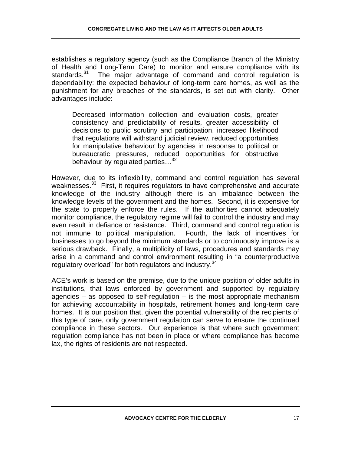establishes a regulatory agency (such as the Compliance Branch of the Ministry of Health and Long-Term Care) to monitor and ensure compliance with its standards.<sup>31</sup> The major advantage of command and control regulation is dependability: the expected behaviour of long-term care homes, as well as the punishment for any breaches of the standards, is set out with clarity. Other advantages include:

Decreased information collection and evaluation costs, greater consistency and predictability of results, greater accessibility of decisions to public scrutiny and participation, increased likelihood that regulations will withstand judicial review, reduced opportunities for manipulative behaviour by agencies in response to political or bureaucratic pressures, reduced opportunities for obstructive behaviour by regulated parties...<sup>32</sup>

However, due to its inflexibility, command and control regulation has several weaknesses.<sup>33</sup> First, it requires regulators to have comprehensive and accurate knowledge of the industry although there is an imbalance between the knowledge levels of the government and the homes. Second, it is expensive for the state to properly enforce the rules. If the authorities cannot adequately monitor compliance, the regulatory regime will fail to control the industry and may even result in defiance or resistance. Third, command and control regulation is not immune to political manipulation. Fourth, the lack of incentives for businesses to go beyond the minimum standards or to continuously improve is a serious drawback. Finally, a multiplicity of laws, procedures and standards may arise in a command and control environment resulting in "a counterproductive regulatory overload" for both regulators and industry.<sup>34</sup>

ACE's work is based on the premise, due to the unique position of older adults in institutions, that laws enforced by government and supported by regulatory agencies – as opposed to self-regulation – is the most appropriate mechanism for achieving accountability in hospitals, retirement homes and long-term care homes. It is our position that, given the potential vulnerability of the recipients of this type of care, only government regulation can serve to ensure the continued compliance in these sectors. Our experience is that where such government regulation compliance has not been in place or where compliance has become lax, the rights of residents are not respected.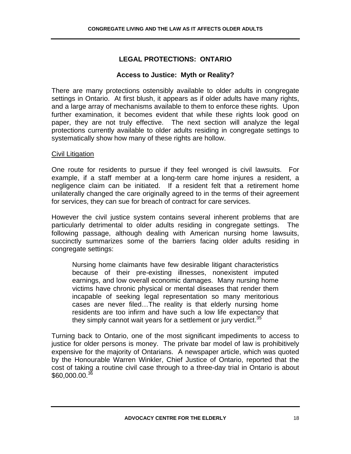# **LEGAL PROTECTIONS: ONTARIO**

# **Access to Justice: Myth or Reality?**

There are many protections ostensibly available to older adults in congregate settings in Ontario. At first blush, it appears as if older adults have many rights, and a large array of mechanisms available to them to enforce these rights. Upon further examination, it becomes evident that while these rights look good on paper, they are not truly effective. The next section will analyze the legal protections currently available to older adults residing in congregate settings to systematically show how many of these rights are hollow.

#### **Civil Litigation**

One route for residents to pursue if they feel wronged is civil lawsuits. For example, if a staff member at a long-term care home injures a resident, a negligence claim can be initiated. If a resident felt that a retirement home unilaterally changed the care originally agreed to in the terms of their agreement for services, they can sue for breach of contract for care services.

However the civil justice system contains several inherent problems that are particularly detrimental to older adults residing in congregate settings. The following passage, although dealing with American nursing home lawsuits, succinctly summarizes some of the barriers facing older adults residing in congregate settings:

Nursing home claimants have few desirable litigant characteristics because of their pre-existing illnesses, nonexistent imputed earnings, and low overall economic damages. Many nursing home victims have chronic physical or mental diseases that render them incapable of seeking legal representation so many meritorious cases are never filed…The reality is that elderly nursing home residents are too infirm and have such a low life expectancy that they simply cannot wait years for a settlement or jury verdict.<sup>35</sup>

Turning back to Ontario, one of the most significant impediments to access to justice for older persons is money. The private bar model of law is prohibitively expensive for the majority of Ontarians. A newspaper article, which was quoted by the Honourable Warren Winkler, Chief Justice of Ontario, reported that the cost of taking a routine civil case through to a three-day trial in Ontario is about  $$60,000,00.<sup>36</sup>$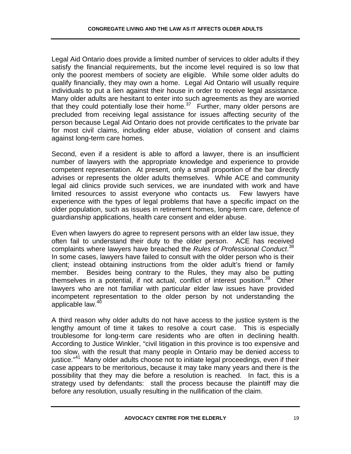Legal Aid Ontario does provide a limited number of services to older adults if they satisfy the financial requirements, but the income level required is so low that only the poorest members of society are eligible. While some older adults do qualify financially, they may own a home. Legal Aid Ontario will usually require individuals to put a lien against their house in order to receive legal assistance. Many older adults are hesitant to enter into such agreements as they are worried that they could potentially lose their home.<sup>37</sup> Further, many older persons are precluded from receiving legal assistance for issues affecting security of the person because Legal Aid Ontario does not provide certificates to the private bar for most civil claims, including elder abuse, violation of consent and claims against long-term care homes.

Second, even if a resident is able to afford a lawyer, there is an insufficient number of lawyers with the appropriate knowledge and experience to provide competent representation. At present, only a small proportion of the bar directly advises or represents the older adults themselves. While ACE and community legal aid clinics provide such services, we are inundated with work and have limited resources to assist everyone who contacts us. Few lawyers have experience with the types of legal problems that have a specific impact on the older population, such as issues in retirement homes, long-term care, defence of guardianship applications, health care consent and elder abuse.

Even when lawyers do agree to represent persons with an elder law issue, they often fail to understand their duty to the older person. ACE has received complaints where lawyers have breached the *Rules of Professional Conduct*. 38 In some cases, lawyers have failed to consult with the older person who is their client; instead obtaining instructions from the older adult's friend or family member. Besides being contrary to the Rules, they may also be putting themselves in a potential, if not actual, conflict of interest position. $39$  Other lawyers who are not familiar with particular elder law issues have provided incompetent representation to the older person by not understanding the applicable law.<sup>40</sup>

A third reason why older adults do not have access to the justice system is the lengthy amount of time it takes to resolve a court case. This is especially troublesome for long-term care residents who are often in declining health. According to Justice Winkler, "civil litigation in this province is too expensive and too slow, with the result that many people in Ontario may be denied access to justice."<sup>41</sup> Many older adults choose not to initiate legal proceedings, even if their case appears to be meritorious, because it may take many years and there is the possibility that they may die before a resolution is reached. In fact, this is a strategy used by defendants: stall the process because the plaintiff may die before any resolution, usually resulting in the nullification of the claim.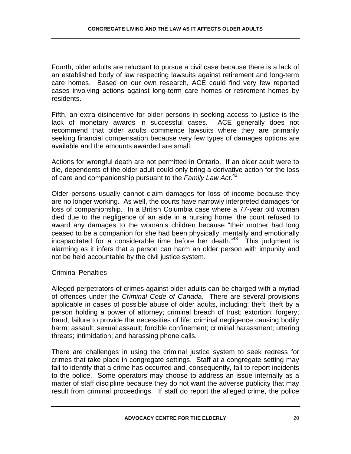Fourth, older adults are reluctant to pursue a civil case because there is a lack of an established body of law respecting lawsuits against retirement and long-term care homes. Based on our own research, ACE could find very few reported cases involving actions against long-term care homes or retirement homes by residents.

Fifth, an extra disincentive for older persons in seeking access to justice is the lack of monetary awards in successful cases. ACE generally does not recommend that older adults commence lawsuits where they are primarily seeking financial compensation because very few types of damages options are available and the amounts awarded are small.

Actions for wrongful death are not permitted in Ontario. If an older adult were to die, dependents of the older adult could only bring a derivative action for the loss of care and companionship pursuant to the *Family Law Act*. 42

Older persons usually cannot claim damages for loss of income because they are no longer working. As well, the courts have narrowly interpreted damages for loss of companionship. In a British Columbia case where a 77-year old woman died due to the negligence of an aide in a nursing home, the court refused to award any damages to the woman's children because "their mother had long ceased to be a companion for she had been physically, mentally and emotionally incapacitated for a considerable time before her death. $43$  This judgment is alarming as it infers that a person can harm an older person with impunity and not be held accountable by the civil justice system.

#### Criminal Penalties

Alleged perpetrators of crimes against older adults can be charged with a myriad of offences under the *Criminal Code of Canada*. There are several provisions applicable in cases of possible abuse of older adults, including: theft; theft by a person holding a power of attorney; criminal breach of trust; extortion; forgery; fraud; failure to provide the necessities of life; criminal negligence causing bodily harm; assault; sexual assault; forcible confinement; criminal harassment; uttering threats; intimidation; and harassing phone calls.

There are challenges in using the criminal justice system to seek redress for crimes that take place in congregate settings. Staff at a congregate setting may fail to identify that a crime has occurred and, consequently, fail to report incidents to the police. Some operators may choose to address an issue internally as a matter of staff discipline because they do not want the adverse publicity that may result from criminal proceedings. If staff do report the alleged crime, the police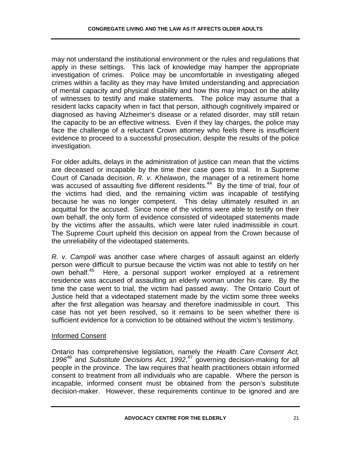may not understand the institutional environment or the rules and regulations that apply in these settings. This lack of knowledge may hamper the appropriate investigation of crimes. Police may be uncomfortable in investigating alleged crimes within a facility as they may have limited understanding and appreciation of mental capacity and physical disability and how this may impact on the ability of witnesses to testify and make statements. The police may assume that a resident lacks capacity when in fact that person, although cognitively impaired or diagnosed as having Alzheimer's disease or a related disorder, may still retain the capacity to be an effective witness. Even if they lay charges, the police may face the challenge of a reluctant Crown attorney who feels there is insufficient evidence to proceed to a successful prosecution, despite the results of the police investigation.

For older adults, delays in the administration of justice can mean that the victims are deceased or incapable by the time their case goes to trial. In a Supreme Court of Canada decision, *R. v. Khelawon*, the manager of a retirement home was accused of assaulting five different residents.<sup>44</sup> By the time of trial, four of the victims had died, and the remaining victim was incapable of testifying because he was no longer competent. This delay ultimately resulted in an acquittal for the accused. Since none of the victims were able to testify on their own behalf, the only form of evidence consisted of videotaped statements made by the victims after the assaults, which were later ruled inadmissible in court. The Supreme Court upheld this decision on appeal from the Crown because of the unreliability of the videotaped statements.

*R. v. Campoli* was another case where charges of assault against an elderly person were difficult to pursue because the victim was not able to testify on her own behalf.45 Here, a personal support worker employed at a retirement residence was accused of assaulting an elderly woman under his care. By the time the case went to trial, the victim had passed away. The Ontario Court of Justice held that a videotaped statement made by the victim some three weeks after the first allegation was hearsay and therefore inadmissible in court. This case has not yet been resolved, so it remains to be seen whether there is sufficient evidence for a conviction to be obtained without the victim's testimony.

#### Informed Consent

Ontario has comprehensive legislation, namely the *Health Care Consent Act, 1996*46 and *Substitute Decisions Act, 1992*, 47 governing decision-making for all people in the province. The law requires that health practitioners obtain informed consent to treatment from all individuals who are capable. Where the person is incapable, informed consent must be obtained from the person's substitute decision-maker. However, these requirements continue to be ignored and are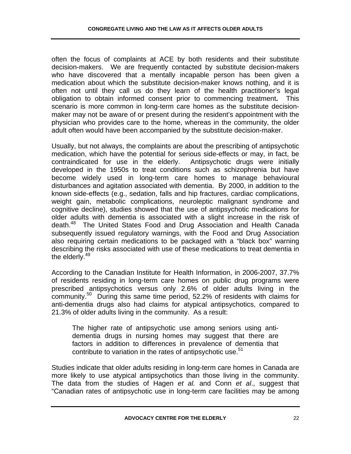often the focus of complaints at ACE by both residents and their substitute decision-makers. We are frequently contacted by substitute decision-makers who have discovered that a mentally incapable person has been given a medication about which the substitute decision-maker knows nothing, and it is often not until they call us do they learn of the health practitioner's legal obligation to obtain informed consent prior to commencing treatment**.** This scenario is more common in long-term care homes as the substitute decisionmaker may not be aware of or present during the resident's appointment with the physician who provides care to the home, whereas in the community, the older adult often would have been accompanied by the substitute decision-maker.

Usually, but not always, the complaints are about the prescribing of antipsychotic medication, which have the potential for serious side-effects or may, in fact, be contraindicated for use in the elderly. Antipsychotic drugs were initially developed in the 1950s to treat conditions such as schizophrenia but have become widely used in long-term care homes to manage behavioural disturbances and agitation associated with dementia. By 2000, in addition to the known side-effects (e.g., sedation, falls and hip fractures, cardiac complications, weight gain, metabolic complications, neuroleptic malignant syndrome and cognitive decline), studies showed that the use of antipsychotic medications for older adults with dementia is associated with a slight increase in the risk of death.<sup>48</sup> The United States Food and Drug Association and Health Canada subsequently issued regulatory warnings, with the Food and Drug Association also requiring certain medications to be packaged with a "black box" warning describing the risks associated with use of these medications to treat dementia in the elderly.<sup>49</sup>

According to the Canadian Institute for Health Information, in 2006-2007, 37.7% of residents residing in long-term care homes on public drug programs were prescribed antipsychotics versus only 2.6% of older adults living in the community.<sup>50</sup> During this same time period, 52.2% of residents with claims for anti-dementia drugs also had claims for atypical antipsychotics, compared to 21.3% of older adults living in the community. As a result:

The higher rate of antipsychotic use among seniors using antidementia drugs in nursing homes may suggest that there are factors in addition to differences in prevalence of dementia that contribute to variation in the rates of antipsychotic use.<sup>51</sup>

Studies indicate that older adults residing in long-term care homes in Canada are more likely to use atypical antipsychotics than those living in the community. The data from the studies of Hagen *et al.* and Conn *et al*., suggest that "Canadian rates of antipsychotic use in long-term care facilities may be among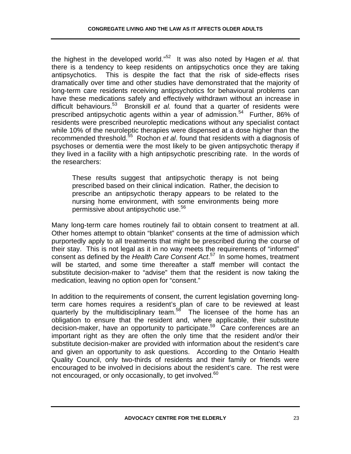the highest in the developed world."52 It was also noted by Hagen *et al.* that there is a tendency to keep residents on antipsychotics once they are taking antipsychotics. This is despite the fact that the risk of side-effects rises dramatically over time and other studies have demonstrated that the majority of long-term care residents receiving antipsychotics for behavioural problems can have these medications safely and effectively withdrawn without an increase in difficult behaviours.53 Bronskill *et al.* found that a quarter of residents were prescribed antipsychotic agents within a year of admission.<sup>54</sup> Further, 86% of residents were prescribed neuroleptic medications without any specialist contact while 10% of the neuroleptic therapies were dispensed at a dose higher than the recommended threshold.55 Rochon *et al*. found that residents with a diagnosis of psychoses or dementia were the most likely to be given antipsychotic therapy if they lived in a facility with a high antipsychotic prescribing rate. In the words of the researchers:

These results suggest that antipsychotic therapy is not being prescribed based on their clinical indication. Rather, the decision to prescribe an antipsychotic therapy appears to be related to the nursing home environment, with some environments being more permissive about antipsychotic use.<sup>56</sup>

Many long-term care homes routinely fail to obtain consent to treatment at all. Other homes attempt to obtain "blanket" consents at the time of admission which purportedly apply to all treatments that might be prescribed during the course of their stay. This is not legal as it in no way meets the requirements of "informed" consent as defined by the *Health Care Consent Act*. 57 In some homes, treatment will be started, and some time thereafter a staff member will contact the substitute decision-maker to "advise" them that the resident is now taking the medication, leaving no option open for "consent."

In addition to the requirements of consent, the current legislation governing longterm care homes requires a resident's plan of care to be reviewed at least quarterly by the multidisciplinary team.<sup>58</sup> The licensee of the home has an obligation to ensure that the resident and, where applicable, their substitute decision-maker, have an opportunity to participate.<sup>59</sup> Care conferences are an important right as they are often the only time that the resident and/or their substitute decision-maker are provided with information about the resident's care and given an opportunity to ask questions. According to the Ontario Health Quality Council, only two-thirds of residents and their family or friends were encouraged to be involved in decisions about the resident's care. The rest were not encouraged, or only occasionally, to get involved.<sup>60</sup>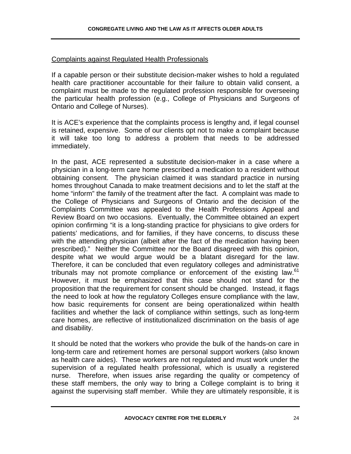### Complaints against Regulated Health Professionals

If a capable person or their substitute decision-maker wishes to hold a regulated health care practitioner accountable for their failure to obtain valid consent, a complaint must be made to the regulated profession responsible for overseeing the particular health profession (e.g., College of Physicians and Surgeons of Ontario and College of Nurses).

It is ACE's experience that the complaints process is lengthy and, if legal counsel is retained, expensive. Some of our clients opt not to make a complaint because it will take too long to address a problem that needs to be addressed immediately.

In the past, ACE represented a substitute decision-maker in a case where a physician in a long-term care home prescribed a medication to a resident without obtaining consent. The physician claimed it was standard practice in nursing homes throughout Canada to make treatment decisions and to let the staff at the home "inform" the family of the treatment after the fact. A complaint was made to the College of Physicians and Surgeons of Ontario and the decision of the Complaints Committee was appealed to the Health Professions Appeal and Review Board on two occasions. Eventually, the Committee obtained an expert opinion confirming "it is a long-standing practice for physicians to give orders for patients' medications, and for families, if they have concerns, to discuss these with the attending physician (albeit after the fact of the medication having been prescribed)." Neither the Committee nor the Board disagreed with this opinion, despite what we would argue would be a blatant disregard for the law. Therefore, it can be concluded that even regulatory colleges and administrative tribunals may not promote compliance or enforcement of the existing law.<sup>61</sup> However, it must be emphasized that this case should not stand for the proposition that the requirement for consent should be changed. Instead, it flags the need to look at how the regulatory Colleges ensure compliance with the law, how basic requirements for consent are being operationalized within health facilities and whether the lack of compliance within settings, such as long-term care homes, are reflective of institutionalized discrimination on the basis of age and disability.

It should be noted that the workers who provide the bulk of the hands-on care in long-term care and retirement homes are personal support workers (also known as health care aides). These workers are not regulated and must work under the supervision of a regulated health professional, which is usually a registered nurse. Therefore, when issues arise regarding the quality or competency of these staff members, the only way to bring a College complaint is to bring it against the supervising staff member. While they are ultimately responsible, it is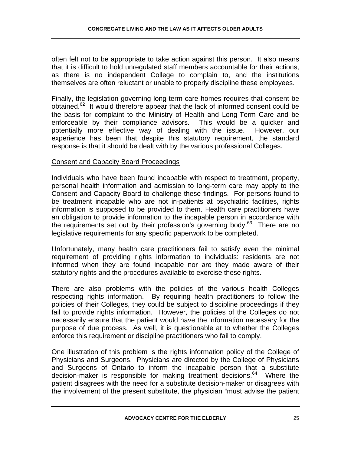often felt not to be appropriate to take action against this person. It also means that it is difficult to hold unregulated staff members accountable for their actions, as there is no independent College to complain to, and the institutions themselves are often reluctant or unable to properly discipline these employees.

Finally, the legislation governing long-term care homes requires that consent be obtained.62 It would therefore appear that the lack of informed consent could be the basis for complaint to the Ministry of Health and Long-Term Care and be enforceable by their compliance advisors. This would be a quicker and potentially more effective way of dealing with the issue. However, our experience has been that despite this statutory requirement, the standard response is that it should be dealt with by the various professional Colleges.

#### Consent and Capacity Board Proceedings

Individuals who have been found incapable with respect to treatment, property, personal health information and admission to long-term care may apply to the Consent and Capacity Board to challenge these findings. For persons found to be treatment incapable who are not in-patients at psychiatric facilities, rights information is supposed to be provided to them. Health care practitioners have an obligation to provide information to the incapable person in accordance with the requirements set out by their profession's governing body.<sup>63</sup> There are no legislative requirements for any specific paperwork to be completed.

Unfortunately, many health care practitioners fail to satisfy even the minimal requirement of providing rights information to individuals: residents are not informed when they are found incapable nor are they made aware of their statutory rights and the procedures available to exercise these rights.

There are also problems with the policies of the various health Colleges respecting rights information. By requiring health practitioners to follow the policies of their Colleges, they could be subject to discipline proceedings if they fail to provide rights information. However, the policies of the Colleges do not necessarily ensure that the patient would have the information necessary for the purpose of due process. As well, it is questionable at to whether the Colleges enforce this requirement or discipline practitioners who fail to comply.

One illustration of this problem is the rights information policy of the College of Physicians and Surgeons. Physicians are directed by the College of Physicians and Surgeons of Ontario to inform the incapable person that a substitute decision-maker is responsible for making treatment decisions. $64$  Where the patient disagrees with the need for a substitute decision-maker or disagrees with the involvement of the present substitute, the physician "must advise the patient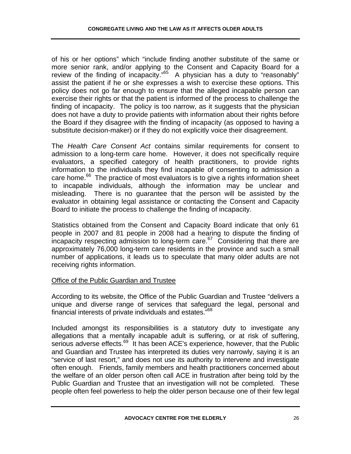of his or her options" which "include finding another substitute of the same or more senior rank, and/or applying to the Consent and Capacity Board for a review of the finding of incapacity."<sup>65</sup> A physician has a duty to "reasonably" assist the patient if he or she expresses a wish to exercise these options. This policy does not go far enough to ensure that the alleged incapable person can exercise their rights or that the patient is informed of the process to challenge the finding of incapacity. The policy is too narrow, as it suggests that the physician does not have a duty to provide patients with information about their rights before the Board if they disagree with the finding of incapacity (as opposed to having a substitute decision-maker) or if they do not explicitly voice their disagreement.

The *Health Care Consent Act* contains similar requirements for consent to admission to a long-term care home. However, it does not specifically require evaluators, a specified category of health practitioners, to provide rights information to the individuals they find incapable of consenting to admission a care home. $^{66}$  The practice of most evaluators is to give a rights information sheet to incapable individuals, although the information may be unclear and misleading. There is no guarantee that the person will be assisted by the evaluator in obtaining legal assistance or contacting the Consent and Capacity Board to initiate the process to challenge the finding of incapacity.

Statistics obtained from the Consent and Capacity Board indicate that only 61 people in 2007 and 81 people in 2008 had a hearing to dispute the finding of  $\frac{1}{2}$  incapacity respecting admission to long-term care.<sup>67</sup> Considering that there are approximately 76,000 long-term care residents in the province and such a small number of applications, it leads us to speculate that many older adults are not receiving rights information.

# Office of the Public Guardian and Trustee

According to its website, the Office of the Public Guardian and Trustee "delivers a unique and diverse range of services that safeguard the legal, personal and financial interests of private individuals and estates."68

Included amongst its responsibilities is a statutory duty to investigate any allegations that a mentally incapable adult is suffering, or at risk of suffering, serious adverse effects.<sup>69</sup> It has been ACE's experience, however, that the Public and Guardian and Trustee has interpreted its duties very narrowly, saying it is an "service of last resort," and does not use its authority to intervene and investigate often enough. Friends, family members and health practitioners concerned about the welfare of an older person often call ACE in frustration after being told by the Public Guardian and Trustee that an investigation will not be completed. These people often feel powerless to help the older person because one of their few legal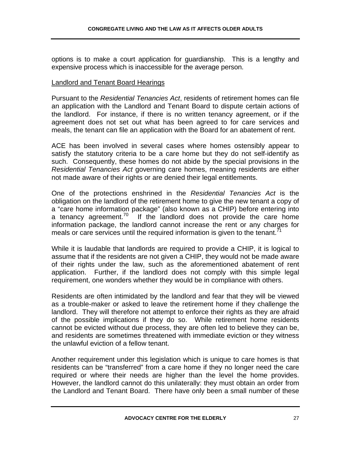options is to make a court application for guardianship. This is a lengthy and expensive process which is inaccessible for the average person.

#### Landlord and Tenant Board Hearings

Pursuant to the *Residential Tenancies Act*, residents of retirement homes can file an application with the Landlord and Tenant Board to dispute certain actions of the landlord. For instance, if there is no written tenancy agreement, or if the agreement does not set out what has been agreed to for care services and meals, the tenant can file an application with the Board for an abatement of rent.

ACE has been involved in several cases where homes ostensibly appear to satisfy the statutory criteria to be a care home but they do not self-identify as such. Consequently, these homes do not abide by the special provisions in the *Residential Tenancies Act* governing care homes, meaning residents are either not made aware of their rights or are denied their legal entitlements.

One of the protections enshrined in the *Residential Tenancies Act* is the obligation on the landlord of the retirement home to give the new tenant a copy of a "care home information package" (also known as a CHIP) before entering into a tenancy agreement. $70$  If the landlord does not provide the care home information package, the landlord cannot increase the rent or any charges for meals or care services until the required information is given to the tenant.<sup> $1$ </sup>

While it is laudable that landlords are required to provide a CHIP, it is logical to assume that if the residents are not given a CHIP, they would not be made aware of their rights under the law, such as the aforementioned abatement of rent application. Further, if the landlord does not comply with this simple legal requirement, one wonders whether they would be in compliance with others.

Residents are often intimidated by the landlord and fear that they will be viewed as a trouble-maker or asked to leave the retirement home if they challenge the landlord. They will therefore not attempt to enforce their rights as they are afraid of the possible implications if they do so. While retirement home residents cannot be evicted without due process, they are often led to believe they can be, and residents are sometimes threatened with immediate eviction or they witness the unlawful eviction of a fellow tenant.

Another requirement under this legislation which is unique to care homes is that residents can be "transferred" from a care home if they no longer need the care required or where their needs are higher than the level the home provides. However, the landlord cannot do this unilaterally: they must obtain an order from the Landlord and Tenant Board. There have only been a small number of these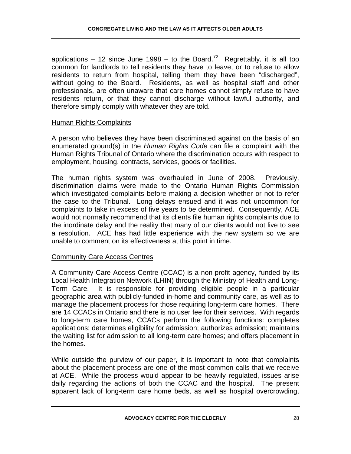applications – 12 since June 1998 – to the Board.<sup>72</sup> Regrettably, it is all too common for landlords to tell residents they have to leave, or to refuse to allow residents to return from hospital, telling them they have been "discharged", without going to the Board. Residents, as well as hospital staff and other professionals, are often unaware that care homes cannot simply refuse to have residents return, or that they cannot discharge without lawful authority, and therefore simply comply with whatever they are told.

# Human Rights Complaints

A person who believes they have been discriminated against on the basis of an enumerated ground(s) in the *Human Rights Code* can file a complaint with the Human Rights Tribunal of Ontario where the discrimination occurs with respect to employment, housing, contracts, services, goods or facilities.

The human rights system was overhauled in June of 2008. Previously, discrimination claims were made to the Ontario Human Rights Commission which investigated complaints before making a decision whether or not to refer the case to the Tribunal. Long delays ensued and it was not uncommon for complaints to take in excess of five years to be determined. Consequently, ACE would not normally recommend that its clients file human rights complaints due to the inordinate delay and the reality that many of our clients would not live to see a resolution. ACE has had little experience with the new system so we are unable to comment on its effectiveness at this point in time.

# Community Care Access Centres

A Community Care Access Centre (CCAC) is a non-profit agency, funded by its Local Health Integration Network (LHIN) through the Ministry of Health and Long-Term Care. It is responsible for providing eligible people in a particular geographic area with publicly-funded in-home and community care, as well as to manage the placement process for those requiring long-term care homes. There are 14 CCACs in Ontario and there is no user fee for their services. With regards to long-term care homes, CCACs perform the following functions: completes applications; determines eligibility for admission; authorizes admission; maintains the waiting list for admission to all long-term care homes; and offers placement in the homes.

While outside the purview of our paper, it is important to note that complaints about the placement process are one of the most common calls that we receive at ACE. While the process would appear to be heavily regulated, issues arise daily regarding the actions of both the CCAC and the hospital. The present apparent lack of long-term care home beds, as well as hospital overcrowding,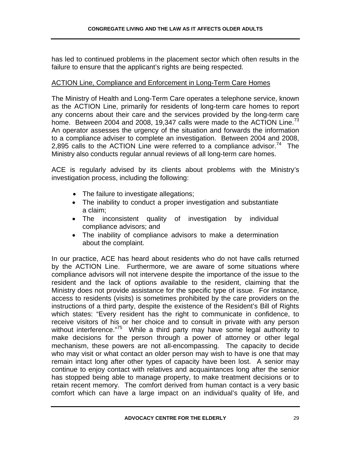has led to continued problems in the placement sector which often results in the failure to ensure that the applicant's rights are being respected.

# ACTION Line, Compliance and Enforcement in Long-Term Care Homes

The Ministry of Health and Long-Term Care operates a telephone service, known as the ACTION Line, primarily for residents of long-term care homes to report any concerns about their care and the services provided by the long-term care home. Between 2004 and 2008, 19,347 calls were made to the ACTION Line.<sup>73</sup> An operator assesses the urgency of the situation and forwards the information to a compliance adviser to complete an investigation. Between 2004 and 2008, 2,895 calls to the ACTION Line were referred to a compliance advisor.<sup>74</sup> The Ministry also conducts regular annual reviews of all long-term care homes.

ACE is regularly advised by its clients about problems with the Ministry's investigation process, including the following:

- The failure to investigate allegations;
- The inability to conduct a proper investigation and substantiate a claim;
- The inconsistent quality of investigation by individual compliance advisors; and
- The inability of compliance advisors to make a determination about the complaint.

In our practice, ACE has heard about residents who do not have calls returned by the ACTION Line. Furthermore, we are aware of some situations where compliance advisors will not intervene despite the importance of the issue to the resident and the lack of options available to the resident, claiming that the Ministry does not provide assistance for the specific type of issue. For instance, access to residents (visits) is sometimes prohibited by the care providers on the instructions of a third party, despite the existence of the Resident's Bill of Rights which states: "Every resident has the right to communicate in confidence, to receive visitors of his or her choice and to consult in private with any person without interference."<sup>75</sup> While a third party may have some legal authority to make decisions for the person through a power of attorney or other legal mechanism, these powers are not all-encompassing. The capacity to decide who may visit or what contact an older person may wish to have is one that may remain intact long after other types of capacity have been lost. A senior may continue to enjoy contact with relatives and acquaintances long after the senior has stopped being able to manage property, to make treatment decisions or to retain recent memory. The comfort derived from human contact is a very basic comfort which can have a large impact on an individual's quality of life, and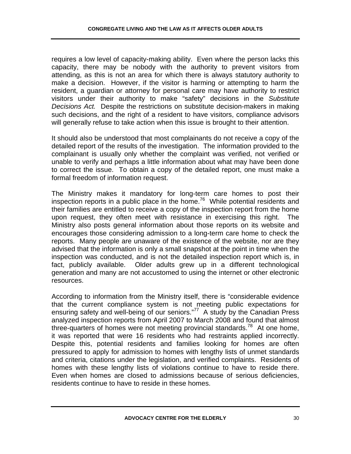requires a low level of capacity-making ability. Even where the person lacks this capacity, there may be nobody with the authority to prevent visitors from attending, as this is not an area for which there is always statutory authority to make a decision. However, if the visitor is harming or attempting to harm the resident, a guardian or attorney for personal care may have authority to restrict visitors under their authority to make "safety" decisions in the *Substitute Decisions Act.* Despite the restrictions on substitute decision-makers in making such decisions, and the right of a resident to have visitors, compliance advisors will generally refuse to take action when this issue is brought to their attention.

It should also be understood that most complainants do not receive a copy of the detailed report of the results of the investigation. The information provided to the complainant is usually only whether the complaint was verified, not verified or unable to verify and perhaps a little information about what may have been done to correct the issue. To obtain a copy of the detailed report, one must make a formal freedom of information request.

The Ministry makes it mandatory for long-term care homes to post their inspection reports in a public place in the home.<sup>76</sup> While potential residents and their families are entitled to receive a copy of the inspection report from the home upon request, they often meet with resistance in exercising this right. The Ministry also posts general information about those reports on its website and encourages those considering admission to a long-term care home to check the reports. Many people are unaware of the existence of the website, nor are they advised that the information is only a small snapshot at the point in time when the inspection was conducted, and is not the detailed inspection report which is, in fact, publicly available. Older adults grew up in a different technological generation and many are not accustomed to using the internet or other electronic resources.

According to information from the Ministry itself, there is "considerable evidence that the current compliance system is not meeting public expectations for ensuring safety and well-being of our seniors."<sup>77</sup> A study by the Canadian Press analyzed inspection reports from April 2007 to March 2008 and found that almost three-quarters of homes were not meeting provincial standards.<sup>78</sup> At one home, it was reported that were 16 residents who had restraints applied incorrectly. Despite this, potential residents and families looking for homes are often pressured to apply for admission to homes with lengthy lists of unmet standards and criteria, citations under the legislation, and verified complaints. Residents of homes with these lengthy lists of violations continue to have to reside there. Even when homes are closed to admissions because of serious deficiencies, residents continue to have to reside in these homes.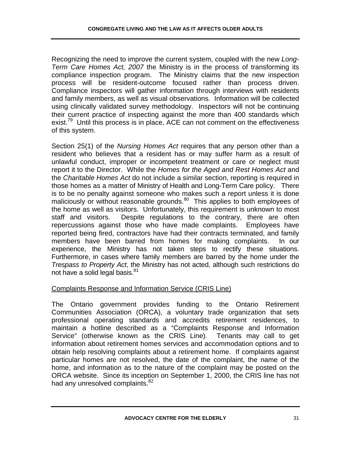Recognizing the need to improve the current system, coupled with the new *Long-Term Care Homes Act, 2007* the Ministry is in the process of transforming its compliance inspection program. The Ministry claims that the new inspection process will be resident-outcome focused rather than process driven. Compliance inspectors will gather information through interviews with residents and family members, as well as visual observations. Information will be collected using clinically validated survey methodology. Inspectors will not be continuing their current practice of inspecting against the more than 400 standards which exist.<sup>79</sup> Until this process is in place, ACE can not comment on the effectiveness of this system.

Section 25(1) of the *Nursing Homes Act* requires that any person other than a resident who believes that a resident has or may suffer harm as a result of unlawful conduct, improper or incompetent treatment or care or neglect must report it to the Director. While the *Homes for the Aged and Rest Homes Act* and the *Charitable Homes Act* do not include a similar section, reporting is required in those homes as a matter of Ministry of Health and Long-Term Care policy. There is to be no penalty against someone who makes such a report unless it is done maliciously or without reasonable grounds.<sup>80</sup> This applies to both employees of the home as well as visitors. Unfortunately, this requirement is unknown to most staff and visitors. Despite regulations to the contrary, there are often repercussions against those who have made complaints. Employees have reported being fired, contractors have had their contracts terminated, and family members have been barred from homes for making complaints. In our experience, the Ministry has not taken steps to rectify these situations. Furthermore, in cases where family members are barred by the home under the *Trespass to Property Act*, the Ministry has not acted, although such restrictions do not have a solid legal basis.<sup>81</sup>

# Complaints Response and Information Service (CRIS Line)

The Ontario government provides funding to the Ontario Retirement Communities Association (ORCA), a voluntary trade organization that sets professional operating standards and accredits retirement residences, to maintain a hotline described as a "Complaints Response and Information Service" (otherwise known as the CRIS Line). Tenants may call to get information about retirement homes services and accommodation options and to obtain help resolving complaints about a retirement home. If complaints against particular homes are not resolved, the date of the complaint, the name of the home, and information as to the nature of the complaint may be posted on the ORCA website. Since its inception on September 1, 2000, the CRIS line has not had any unresolved complaints.<sup>82</sup>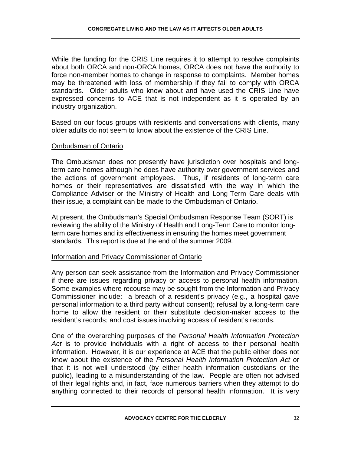While the funding for the CRIS Line requires it to attempt to resolve complaints about both ORCA and non-ORCA homes, ORCA does not have the authority to force non-member homes to change in response to complaints. Member homes may be threatened with loss of membership if they fail to comply with ORCA standards. Older adults who know about and have used the CRIS Line have expressed concerns to ACE that is not independent as it is operated by an industry organization.

Based on our focus groups with residents and conversations with clients, many older adults do not seem to know about the existence of the CRIS Line.

#### Ombudsman of Ontario

The Ombudsman does not presently have jurisdiction over hospitals and longterm care homes although he does have authority over government services and the actions of government employees. Thus, if residents of long-term care homes or their representatives are dissatisfied with the way in which the Compliance Adviser or the Ministry of Health and Long-Term Care deals with their issue, a complaint can be made to the Ombudsman of Ontario.

At present, the Ombudsman's Special Ombudsman Response Team (SORT) is reviewing the ability of the Ministry of Health and Long-Term Care to monitor longterm care homes and its effectiveness in ensuring the homes meet government standards. This report is due at the end of the summer 2009.

#### Information and Privacy Commissioner of Ontario

Any person can seek assistance from the Information and Privacy Commissioner if there are issues regarding privacy or access to personal health information. Some examples where recourse may be sought from the Information and Privacy Commissioner include: a breach of a resident's privacy (e.g., a hospital gave personal information to a third party without consent); refusal by a long-term care home to allow the resident or their substitute decision-maker access to the resident's records; and cost issues involving access of resident's records.

One of the overarching purposes of the *Personal Health Information Protection Act* is to provide individuals with a right of access to their personal health information. However, it is our experience at ACE that the public either does not know about the existence of the *Personal Health Information Protection Act* or that it is not well understood (by either health information custodians or the public), leading to a misunderstanding of the law. People are often not advised of their legal rights and, in fact, face numerous barriers when they attempt to do anything connected to their records of personal health information. It is very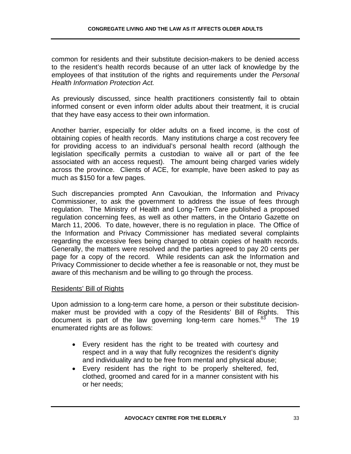common for residents and their substitute decision-makers to be denied access to the resident's health records because of an utter lack of knowledge by the employees of that institution of the rights and requirements under the *Personal Health Information Protection Act.*

As previously discussed, since health practitioners consistently fail to obtain informed consent or even inform older adults about their treatment, it is crucial that they have easy access to their own information.

Another barrier, especially for older adults on a fixed income, is the cost of obtaining copies of health records. Many institutions charge a cost recovery fee for providing access to an individual's personal health record (although the legislation specifically permits a custodian to waive all or part of the fee associated with an access request). The amount being charged varies widely across the province. Clients of ACE, for example, have been asked to pay as much as \$150 for a few pages.

Such discrepancies prompted Ann Cavoukian, the Information and Privacy Commissioner, to ask the government to address the issue of fees through regulation. The Ministry of Health and Long-Term Care published a proposed regulation concerning fees, as well as other matters, in the Ontario Gazette on March 11, 2006. To date, however, there is no regulation in place. The Office of the Information and Privacy Commissioner has mediated several complaints regarding the excessive fees being charged to obtain copies of health records. Generally, the matters were resolved and the parties agreed to pay 20 cents per page for a copy of the record. While residents can ask the Information and Privacy Commissioner to decide whether a fee is reasonable or not, they must be aware of this mechanism and be willing to go through the process.

#### Residents' Bill of Rights

Upon admission to a long-term care home, a person or their substitute decisionmaker must be provided with a copy of the Residents' Bill of Rights. This document is part of the law governing long-term care homes.<sup>83</sup> The 19 enumerated rights are as follows:

- Every resident has the right to be treated with courtesy and respect and in a way that fully recognizes the resident's dignity and individuality and to be free from mental and physical abuse;
- Every resident has the right to be properly sheltered, fed, clothed, groomed and cared for in a manner consistent with his or her needs;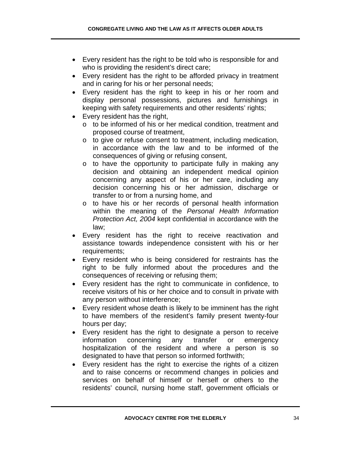- Every resident has the right to be told who is responsible for and who is providing the resident's direct care;
- Every resident has the right to be afforded privacy in treatment and in caring for his or her personal needs;
- Every resident has the right to keep in his or her room and display personal possessions, pictures and furnishings in keeping with safety requirements and other residents' rights;
- Every resident has the right,
	- o to be informed of his or her medical condition, treatment and proposed course of treatment,
	- o to give or refuse consent to treatment, including medication, in accordance with the law and to be informed of the consequences of giving or refusing consent,
	- o to have the opportunity to participate fully in making any decision and obtaining an independent medical opinion concerning any aspect of his or her care, including any decision concerning his or her admission, discharge or transfer to or from a nursing home, and
	- o to have his or her records of personal health information within the meaning of the *Personal Health Information Protection Act, 2004* kept confidential in accordance with the law;
- Every resident has the right to receive reactivation and assistance towards independence consistent with his or her requirements;
- Every resident who is being considered for restraints has the right to be fully informed about the procedures and the consequences of receiving or refusing them;
- Every resident has the right to communicate in confidence, to receive visitors of his or her choice and to consult in private with any person without interference;
- Every resident whose death is likely to be imminent has the right to have members of the resident's family present twenty-four hours per day;
- Every resident has the right to designate a person to receive information concerning any transfer or emergency hospitalization of the resident and where a person is so designated to have that person so informed forthwith;
- Every resident has the right to exercise the rights of a citizen and to raise concerns or recommend changes in policies and services on behalf of himself or herself or others to the residents' council, nursing home staff, government officials or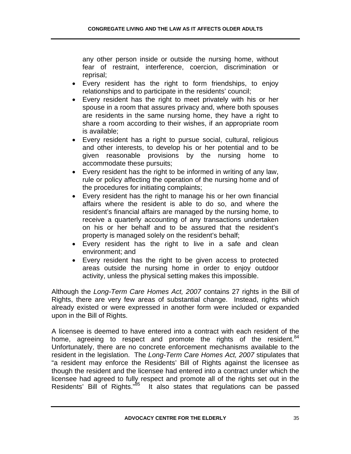any other person inside or outside the nursing home, without fear of restraint, interference, coercion, discrimination or reprisal;

- Every resident has the right to form friendships, to enjoy relationships and to participate in the residents' council;
- Every resident has the right to meet privately with his or her spouse in a room that assures privacy and, where both spouses are residents in the same nursing home, they have a right to share a room according to their wishes, if an appropriate room is available;
- Every resident has a right to pursue social, cultural, religious and other interests, to develop his or her potential and to be given reasonable provisions by the nursing home to accommodate these pursuits;
- Every resident has the right to be informed in writing of any law, rule or policy affecting the operation of the nursing home and of the procedures for initiating complaints;
- Every resident has the right to manage his or her own financial affairs where the resident is able to do so, and where the resident's financial affairs are managed by the nursing home, to receive a quarterly accounting of any transactions undertaken on his or her behalf and to be assured that the resident's property is managed solely on the resident's behalf;
- Every resident has the right to live in a safe and clean environment; and
- Every resident has the right to be given access to protected areas outside the nursing home in order to enjoy outdoor activity, unless the physical setting makes this impossible.

Although the *Long-Term Care Homes Act, 2007* contains 27 rights in the Bill of Rights, there are very few areas of substantial change. Instead, rights which already existed or were expressed in another form were included or expanded upon in the Bill of Rights.

A licensee is deemed to have entered into a contract with each resident of the home, agreeing to respect and promote the rights of the resident.  $84$ Unfortunately, there are no concrete enforcement mechanisms available to the resident in the legislation. The *Long-Term Care Homes Act, 2007* stipulates that "a resident may enforce the Residents' Bill of Rights against the licensee as though the resident and the licensee had entered into a contract under which the licensee had agreed to fully respect and promote all of the rights set out in the Residents' Bill of Rights."<sup>85</sup> It also states that regulations can be passed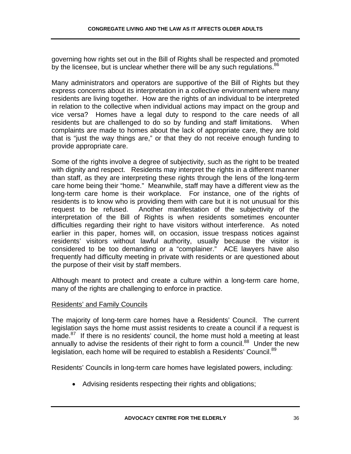governing how rights set out in the Bill of Rights shall be respected and promoted by the licensee, but is unclear whether there will be any such regulations.  $86$ 

Many administrators and operators are supportive of the Bill of Rights but they express concerns about its interpretation in a collective environment where many residents are living together. How are the rights of an individual to be interpreted in relation to the collective when individual actions may impact on the group and vice versa? Homes have a legal duty to respond to the care needs of all residents but are challenged to do so by funding and staff limitations. When complaints are made to homes about the lack of appropriate care, they are told that is "just the way things are," or that they do not receive enough funding to provide appropriate care.

Some of the rights involve a degree of subjectivity, such as the right to be treated with dignity and respect. Residents may interpret the rights in a different manner than staff, as they are interpreting these rights through the lens of the long-term care home being their "home." Meanwhile, staff may have a different view as the long-term care home is their workplace. For instance, one of the rights of residents is to know who is providing them with care but it is not unusual for this request to be refused. Another manifestation of the subjectivity of the interpretation of the Bill of Rights is when residents sometimes encounter difficulties regarding their right to have visitors without interference. As noted earlier in this paper, homes will, on occasion, issue trespass notices against residents' visitors without lawful authority, usually because the visitor is considered to be too demanding or a "complainer." ACE lawyers have also frequently had difficulty meeting in private with residents or are questioned about the purpose of their visit by staff members.

Although meant to protect and create a culture within a long-term care home, many of the rights are challenging to enforce in practice.

# Residents' and Family Councils

The majority of long-term care homes have a Residents' Council. The current legislation says the home must assist residents to create a council if a request is made.<sup>87</sup> If there is no residents' council, the home must hold a meeting at least annually to advise the residents of their right to form a council.<sup>88</sup> Under the new legislation, each home will be required to establish a Residents' Council.<sup>89</sup>

Residents' Councils in long-term care homes have legislated powers, including:

• Advising residents respecting their rights and obligations;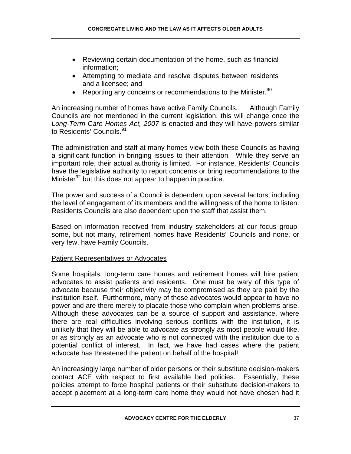- Reviewing certain documentation of the home, such as financial information;
- Attempting to mediate and resolve disputes between residents and a licensee; and
- Reporting any concerns or recommendations to the Minister. $90$

An increasing number of homes have active Family Councils. Although Family Councils are not mentioned in the current legislation, this will change once the *Long-Term Care Homes Act, 2007* is enacted and they will have powers similar to Residents' Councils.<sup>91</sup>

The administration and staff at many homes view both these Councils as having a significant function in bringing issues to their attention. While they serve an important role, their actual authority is limited. For instance, Residents' Councils have the legislative authority to report concerns or bring recommendations to the Minister $92$  but this does not appear to happen in practice.

The power and success of a Council is dependent upon several factors, including the level of engagement of its members and the willingness of the home to listen. Residents Councils are also dependent upon the staff that assist them.

Based on information received from industry stakeholders at our focus group, some, but not many, retirement homes have Residents' Councils and none, or very few, have Family Councils.

### Patient Representatives or Advocates

Some hospitals, long-term care homes and retirement homes will hire patient advocates to assist patients and residents. One must be wary of this type of advocate because their objectivity may be compromised as they are paid by the institution itself. Furthermore, many of these advocates would appear to have no power and are there merely to placate those who complain when problems arise. Although these advocates can be a source of support and assistance, where there are real difficulties involving serious conflicts with the institution, it is unlikely that they will be able to advocate as strongly as most people would like, or as strongly as an advocate who is not connected with the institution due to a potential conflict of interest. In fact, we have had cases where the patient advocate has threatened the patient on behalf of the hospital!

An increasingly large number of older persons or their substitute decision-makers contact ACE with respect to first available bed policies. Essentially, these policies attempt to force hospital patients or their substitute decision-makers to accept placement at a long-term care home they would not have chosen had it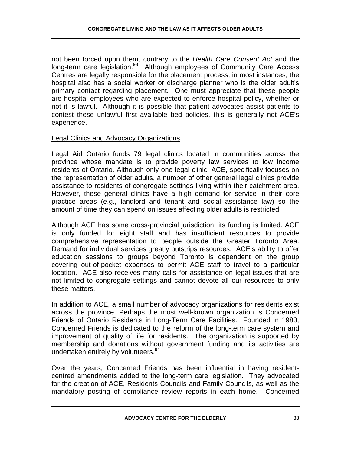not been forced upon them, contrary to the *Health Care Consent Act* and the long-term care legislation.<sup>93</sup> Although employees of Community Care Access Centres are legally responsible for the placement process, in most instances, the hospital also has a social worker or discharge planner who is the older adult's primary contact regarding placement. One must appreciate that these people are hospital employees who are expected to enforce hospital policy, whether or not it is lawful. Although it is possible that patient advocates assist patients to contest these unlawful first available bed policies, this is generally not ACE's experience.

#### Legal Clinics and Advocacy Organizations

Legal Aid Ontario funds 79 legal clinics located in communities across the province whose mandate is to provide poverty law services to low income residents of Ontario. Although only one legal clinic, ACE, specifically focuses on the representation of older adults, a number of other general legal clinics provide assistance to residents of congregate settings living within their catchment area. However, these general clinics have a high demand for service in their core practice areas (e.g., landlord and tenant and social assistance law) so the amount of time they can spend on issues affecting older adults is restricted.

Although ACE has some cross-provincial jurisdiction, its funding is limited. ACE is only funded for eight staff and has insufficient resources to provide comprehensive representation to people outside the Greater Toronto Area. Demand for individual services greatly outstrips resources. ACE's ability to offer education sessions to groups beyond Toronto is dependent on the group covering out-of-pocket expenses to permit ACE staff to travel to a particular location. ACE also receives many calls for assistance on legal issues that are not limited to congregate settings and cannot devote all our resources to only these matters.

In addition to ACE, a small number of advocacy organizations for residents exist across the province. Perhaps the most well-known organization is Concerned Friends of Ontario Residents in Long-Term Care Facilities. Founded in 1980, Concerned Friends is dedicated to the reform of the long-term care system and improvement of quality of life for residents. The organization is supported by membership and donations without government funding and its activities are undertaken entirely by volunteers.<sup>94</sup>

Over the years, Concerned Friends has been influential in having residentcentred amendments added to the long-term care legislation. They advocated for the creation of ACE, Residents Councils and Family Councils, as well as the mandatory posting of compliance review reports in each home. Concerned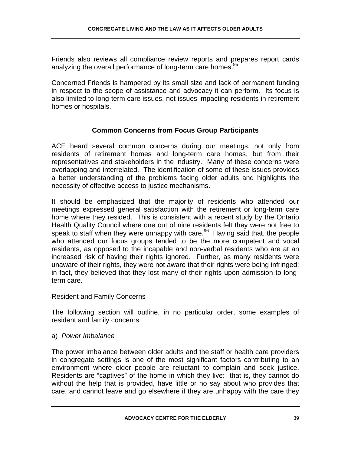Friends also reviews all compliance review reports and prepares report cards analyzing the overall performance of long-term care homes.<sup>95</sup>

Concerned Friends is hampered by its small size and lack of permanent funding in respect to the scope of assistance and advocacy it can perform. Its focus is also limited to long-term care issues, not issues impacting residents in retirement homes or hospitals.

## **Common Concerns from Focus Group Participants**

ACE heard several common concerns during our meetings, not only from residents of retirement homes and long-term care homes, but from their representatives and stakeholders in the industry. Many of these concerns were overlapping and interrelated. The identification of some of these issues provides a better understanding of the problems facing older adults and highlights the necessity of effective access to justice mechanisms.

It should be emphasized that the majority of residents who attended our meetings expressed general satisfaction with the retirement or long-term care home where they resided. This is consistent with a recent study by the Ontario Health Quality Council where one out of nine residents felt they were not free to speak to staff when they were unhappy with care.<sup>96</sup> Having said that, the people who attended our focus groups tended to be the more competent and vocal residents, as opposed to the incapable and non-verbal residents who are at an increased risk of having their rights ignored. Further, as many residents were unaware of their rights, they were not aware that their rights were being infringed: in fact, they believed that they lost many of their rights upon admission to longterm care.

#### Resident and Family Concerns

The following section will outline, in no particular order, some examples of resident and family concerns.

### a) *Power Imbalance*

The power imbalance between older adults and the staff or health care providers in congregate settings is one of the most significant factors contributing to an environment where older people are reluctant to complain and seek justice. Residents are "captives" of the home in which they live: that is, they cannot do without the help that is provided, have little or no say about who provides that care, and cannot leave and go elsewhere if they are unhappy with the care they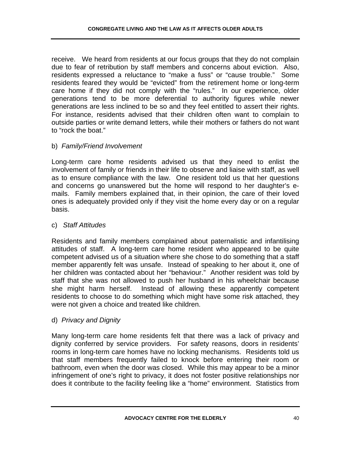receive. We heard from residents at our focus groups that they do not complain due to fear of retribution by staff members and concerns about eviction. Also, residents expressed a reluctance to "make a fuss" or "cause trouble." Some residents feared they would be "evicted" from the retirement home or long-term care home if they did not comply with the "rules." In our experience, older generations tend to be more deferential to authority figures while newer generations are less inclined to be so and they feel entitled to assert their rights. For instance, residents advised that their children often want to complain to outside parties or write demand letters, while their mothers or fathers do not want to "rock the boat."

## b) *Family/Friend Involvement*

Long-term care home residents advised us that they need to enlist the involvement of family or friends in their life to observe and liaise with staff, as well as to ensure compliance with the law. One resident told us that her questions and concerns go unanswered but the home will respond to her daughter's emails. Family members explained that, in their opinion, the care of their loved ones is adequately provided only if they visit the home every day or on a regular basis.

## c) *Staff Attitudes*

Residents and family members complained about paternalistic and infantilising attitudes of staff. A long-term care home resident who appeared to be quite competent advised us of a situation where she chose to do something that a staff member apparently felt was unsafe. Instead of speaking to her about it, one of her children was contacted about her "behaviour." Another resident was told by staff that she was not allowed to push her husband in his wheelchair because she might harm herself. Instead of allowing these apparently competent residents to choose to do something which might have some risk attached, they were not given a choice and treated like children.

# d) *Privacy and Dignity*

Many long-term care home residents felt that there was a lack of privacy and dignity conferred by service providers. For safety reasons, doors in residents' rooms in long-term care homes have no locking mechanisms. Residents told us that staff members frequently failed to knock before entering their room or bathroom, even when the door was closed. While this may appear to be a minor infringement of one's right to privacy, it does not foster positive relationships nor does it contribute to the facility feeling like a "home" environment. Statistics from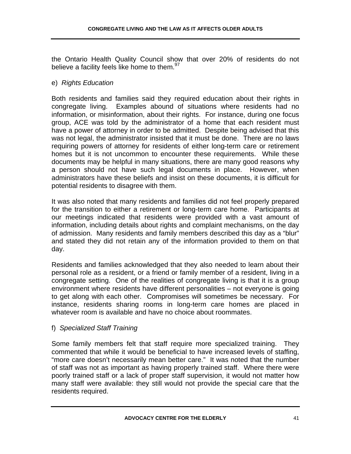the Ontario Health Quality Council show that over 20% of residents do not believe a facility feels like home to them. $97$ 

## e) *Rights Education*

Both residents and families said they required education about their rights in congregate living. Examples abound of situations where residents had no information, or misinformation, about their rights. For instance, during one focus group, ACE was told by the administrator of a home that each resident must have a power of attorney in order to be admitted. Despite being advised that this was not legal, the administrator insisted that it must be done. There are no laws requiring powers of attorney for residents of either long-term care or retirement homes but it is not uncommon to encounter these requirements. While these documents may be helpful in many situations, there are many good reasons why a person should not have such legal documents in place. However, when administrators have these beliefs and insist on these documents, it is difficult for potential residents to disagree with them.

It was also noted that many residents and families did not feel properly prepared for the transition to either a retirement or long-term care home. Participants at our meetings indicated that residents were provided with a vast amount of information, including details about rights and complaint mechanisms, on the day of admission. Many residents and family members described this day as a "blur" and stated they did not retain any of the information provided to them on that day.

Residents and families acknowledged that they also needed to learn about their personal role as a resident, or a friend or family member of a resident, living in a congregate setting. One of the realities of congregate living is that it is a group environment where residents have different personalities – not everyone is going to get along with each other. Compromises will sometimes be necessary. For instance, residents sharing rooms in long-term care homes are placed in whatever room is available and have no choice about roommates.

# f) *Specialized Staff Training*

Some family members felt that staff require more specialized training. They commented that while it would be beneficial to have increased levels of staffing, "more care doesn't necessarily mean better care." It was noted that the number of staff was not as important as having properly trained staff. Where there were poorly trained staff or a lack of proper staff supervision, it would not matter how many staff were available: they still would not provide the special care that the residents required.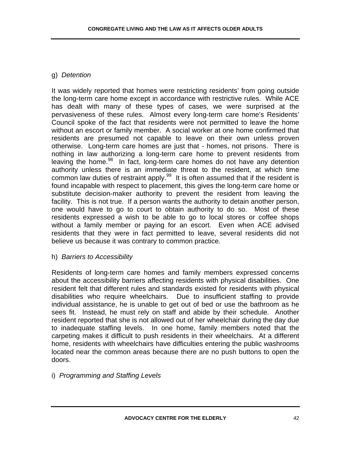# g) *Detention*

It was widely reported that homes were restricting residents' from going outside the long-term care home except in accordance with restrictive rules. While ACE has dealt with many of these types of cases, we were surprised at the pervasiveness of these rules. Almost every long-term care home's Residents' Council spoke of the fact that residents were not permitted to leave the home without an escort or family member. A social worker at one home confirmed that residents are presumed not capable to leave on their own unless proven otherwise. Long-term care homes are just that - homes, not prisons. There is nothing in law authorizing a long-term care home to prevent residents from leaving the home.<sup>98</sup> In fact, long-term care homes do not have any detention authority unless there is an immediate threat to the resident, at which time common law duties of restraint apply. $99$  It is often assumed that if the resident is found incapable with respect to placement, this gives the long-term care home or substitute decision-maker authority to prevent the resident from leaving the facility. This is not true. If a person wants the authority to detain another person, one would have to go to court to obtain authority to do so. Most of these residents expressed a wish to be able to go to local stores or coffee shops without a family member or paying for an escort. Even when ACE advised residents that they were in fact permitted to leave, several residents did not believe us because it was contrary to common practice.

### h) *Barriers to Accessibility*

Residents of long-term care homes and family members expressed concerns about the accessibility barriers affecting residents with physical disabilities. One resident felt that different rules and standards existed for residents with physical disabilities who require wheelchairs. Due to insufficient staffing to provide individual assistance, he is unable to get out of bed or use the bathroom as he sees fit. Instead, he must rely on staff and abide by their schedule. Another resident reported that she is not allowed out of her wheelchair during the day due to inadequate staffing levels. In one home, family members noted that the carpeting makes it difficult to push residents in their wheelchairs. At a different home, residents with wheelchairs have difficulties entering the public washrooms located near the common areas because there are no push buttons to open the doors.

i) *Programming and Staffing Levels*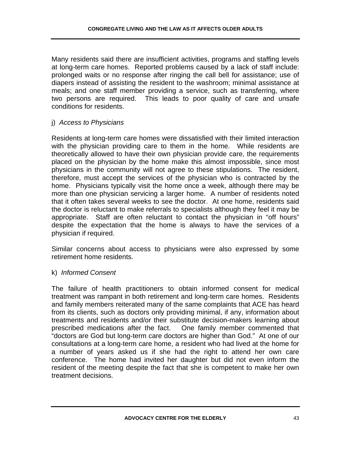Many residents said there are insufficient activities, programs and staffing levels at long-term care homes. Reported problems caused by a lack of staff include: prolonged waits or no response after ringing the call bell for assistance; use of diapers instead of assisting the resident to the washroom; minimal assistance at meals; and one staff member providing a service, such as transferring, where two persons are required. This leads to poor quality of care and unsafe conditions for residents.

#### j) *Access to Physicians*

Residents at long-term care homes were dissatisfied with their limited interaction with the physician providing care to them in the home. While residents are theoretically allowed to have their own physician provide care, the requirements placed on the physician by the home make this almost impossible, since most physicians in the community will not agree to these stipulations. The resident, therefore, must accept the services of the physician who is contracted by the home. Physicians typically visit the home once a week, although there may be more than one physician servicing a larger home. A number of residents noted that it often takes several weeks to see the doctor. At one home, residents said the doctor is reluctant to make referrals to specialists although they feel it may be appropriate. Staff are often reluctant to contact the physician in "off hours" despite the expectation that the home is always to have the services of a physician if required.

Similar concerns about access to physicians were also expressed by some retirement home residents.

#### k) *Informed Consent*

The failure of health practitioners to obtain informed consent for medical treatment was rampant in both retirement and long-term care homes. Residents and family members reiterated many of the same complaints that ACE has heard from its clients, such as doctors only providing minimal, if any, information about treatments and residents and/or their substitute decision-makers learning about prescribed medications after the fact. One family member commented that "doctors are God but long-term care doctors are higher than God." At one of our consultations at a long-term care home, a resident who had lived at the home for a number of years asked us if she had the right to attend her own care conference. The home had invited her daughter but did not even inform the resident of the meeting despite the fact that she is competent to make her own treatment decisions.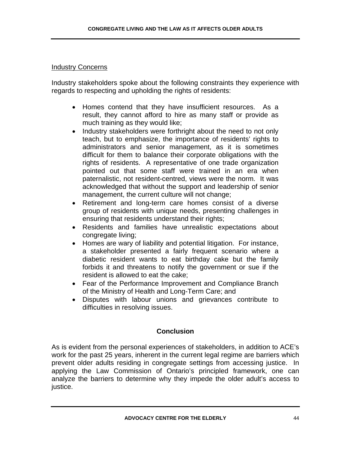#### Industry Concerns

Industry stakeholders spoke about the following constraints they experience with regards to respecting and upholding the rights of residents:

- Homes contend that they have insufficient resources. As a result, they cannot afford to hire as many staff or provide as much training as they would like;
- Industry stakeholders were forthright about the need to not only teach, but to emphasize, the importance of residents' rights to administrators and senior management, as it is sometimes difficult for them to balance their corporate obligations with the rights of residents. A representative of one trade organization pointed out that some staff were trained in an era when paternalistic, not resident-centred, views were the norm. It was acknowledged that without the support and leadership of senior management, the current culture will not change;
- Retirement and long-term care homes consist of a diverse group of residents with unique needs, presenting challenges in ensuring that residents understand their rights;
- Residents and families have unrealistic expectations about congregate living;
- Homes are wary of liability and potential litigation. For instance, a stakeholder presented a fairly frequent scenario where a diabetic resident wants to eat birthday cake but the family forbids it and threatens to notify the government or sue if the resident is allowed to eat the cake;
- Fear of the Performance Improvement and Compliance Branch of the Ministry of Health and Long-Term Care; and
- Disputes with labour unions and grievances contribute to difficulties in resolving issues.

### **Conclusion**

As is evident from the personal experiences of stakeholders, in addition to ACE's work for the past 25 years, inherent in the current legal regime are barriers which prevent older adults residing in congregate settings from accessing justice. In applying the Law Commission of Ontario's principled framework, one can analyze the barriers to determine why they impede the older adult's access to justice.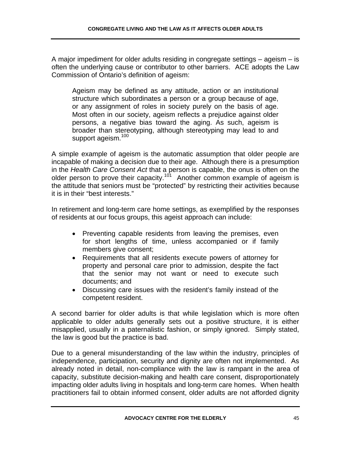A major impediment for older adults residing in congregate settings – ageism – is often the underlying cause or contributor to other barriers. ACE adopts the Law Commission of Ontario's definition of ageism:

Ageism may be defined as any attitude, action or an institutional structure which subordinates a person or a group because of age, or any assignment of roles in society purely on the basis of age. Most often in our society, ageism reflects a prejudice against older persons, a negative bias toward the aging. As such, ageism is broader than stereotyping, although stereotyping may lead to and support ageism.<sup>100</sup>

A simple example of ageism is the automatic assumption that older people are incapable of making a decision due to their age. Although there is a presumption in the *Health Care Consent Act* that a person is capable, the onus is often on the older person to prove their capacity.<sup>101</sup> Another common example of ageism is the attitude that seniors must be "protected" by restricting their activities because it is in their "best interests."

In retirement and long-term care home settings, as exemplified by the responses of residents at our focus groups, this ageist approach can include:

- Preventing capable residents from leaving the premises, even for short lengths of time, unless accompanied or if family members give consent;
- Requirements that all residents execute powers of attorney for property and personal care prior to admission, despite the fact that the senior may not want or need to execute such documents; and
- Discussing care issues with the resident's family instead of the competent resident.

A second barrier for older adults is that while legislation which is more often applicable to older adults generally sets out a positive structure, it is either misapplied, usually in a paternalistic fashion, or simply ignored. Simply stated, the law is good but the practice is bad.

Due to a general misunderstanding of the law within the industry, principles of independence, participation, security and dignity are often not implemented. As already noted in detail, non-compliance with the law is rampant in the area of capacity, substitute decision-making and health care consent, disproportionately impacting older adults living in hospitals and long-term care homes. When health practitioners fail to obtain informed consent, older adults are not afforded dignity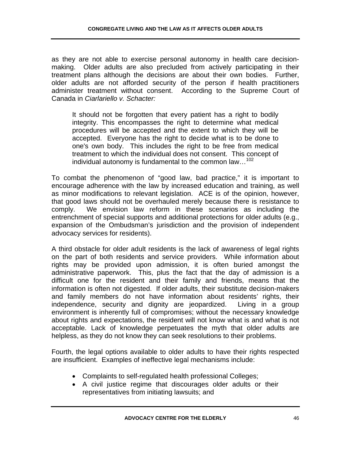as they are not able to exercise personal autonomy in health care decisionmaking. Older adults are also precluded from actively participating in their treatment plans although the decisions are about their own bodies. Further, older adults are not afforded security of the person if health practitioners administer treatment without consent. According to the Supreme Court of Canada in *Ciarlariello v. Schacter:*

It should not be forgotten that every patient has a right to bodily integrity. This encompasses the right to determine what medical procedures will be accepted and the extent to which they will be accepted. Everyone has the right to decide what is to be done to one's own body. This includes the right to be free from medical treatment to which the individual does not consent. This concept of individual autonomy is fundamental to the common law...<sup>102</sup>

To combat the phenomenon of "good law, bad practice," it is important to encourage adherence with the law by increased education and training, as well as minor modifications to relevant legislation. ACE is of the opinion, however, that good laws should not be overhauled merely because there is resistance to comply. We envision law reform in these scenarios as including the entrenchment of special supports and additional protections for older adults (e.g., expansion of the Ombudsman's jurisdiction and the provision of independent advocacy services for residents).

A third obstacle for older adult residents is the lack of awareness of legal rights on the part of both residents and service providers. While information about rights may be provided upon admission, it is often buried amongst the administrative paperwork. This, plus the fact that the day of admission is a difficult one for the resident and their family and friends, means that the information is often not digested. If older adults, their substitute decision-makers and family members do not have information about residents' rights, their independence, security and dignity are jeopardized. Living in a group environment is inherently full of compromises; without the necessary knowledge about rights and expectations, the resident will not know what is and what is not acceptable. Lack of knowledge perpetuates the myth that older adults are helpless, as they do not know they can seek resolutions to their problems.

Fourth, the legal options available to older adults to have their rights respected are insufficient. Examples of ineffective legal mechanisms include:

- Complaints to self-regulated health professional Colleges;
- A civil justice regime that discourages older adults or their representatives from initiating lawsuits; and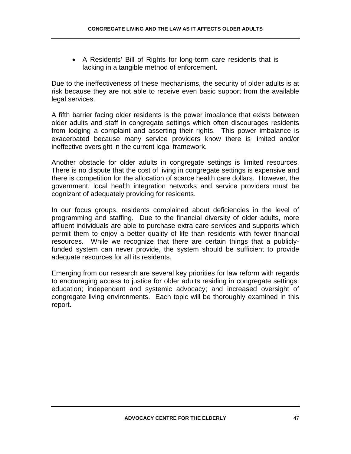• A Residents' Bill of Rights for long-term care residents that is lacking in a tangible method of enforcement.

Due to the ineffectiveness of these mechanisms, the security of older adults is at risk because they are not able to receive even basic support from the available legal services.

A fifth barrier facing older residents is the power imbalance that exists between older adults and staff in congregate settings which often discourages residents from lodging a complaint and asserting their rights. This power imbalance is exacerbated because many service providers know there is limited and/or ineffective oversight in the current legal framework.

Another obstacle for older adults in congregate settings is limited resources. There is no dispute that the cost of living in congregate settings is expensive and there is competition for the allocation of scarce health care dollars. However, the government, local health integration networks and service providers must be cognizant of adequately providing for residents.

In our focus groups, residents complained about deficiencies in the level of programming and staffing. Due to the financial diversity of older adults, more affluent individuals are able to purchase extra care services and supports which permit them to enjoy a better quality of life than residents with fewer financial resources. While we recognize that there are certain things that a publiclyfunded system can never provide, the system should be sufficient to provide adequate resources for all its residents.

Emerging from our research are several key priorities for law reform with regards to encouraging access to justice for older adults residing in congregate settings: education; independent and systemic advocacy; and increased oversight of congregate living environments. Each topic will be thoroughly examined in this report.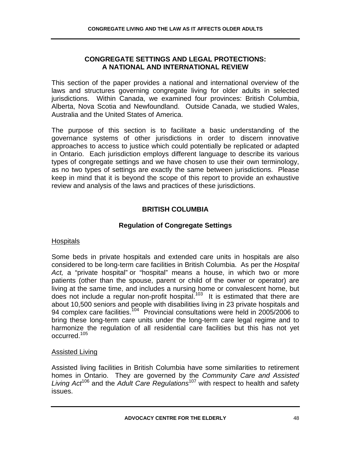### **CONGREGATE SETTINGS AND LEGAL PROTECTIONS: A NATIONAL AND INTERNATIONAL REVIEW**

This section of the paper provides a national and international overview of the laws and structures governing congregate living for older adults in selected jurisdictions. Within Canada, we examined four provinces: British Columbia, Alberta, Nova Scotia and Newfoundland. Outside Canada, we studied Wales, Australia and the United States of America.

The purpose of this section is to facilitate a basic understanding of the governance systems of other jurisdictions in order to discern innovative approaches to access to justice which could potentially be replicated or adapted in Ontario. Each jurisdiction employs different language to describe its various types of congregate settings and we have chosen to use their own terminology, as no two types of settings are exactly the same between jurisdictions. Please keep in mind that it is beyond the scope of this report to provide an exhaustive review and analysis of the laws and practices of these jurisdictions.

# **BRITISH COLUMBIA**

## **Regulation of Congregate Settings**

#### **Hospitals**

Some beds in private hospitals and extended care units in hospitals are also considered to be long-term care facilities in British Columbia. As per the *Hospital Act,* a "private hospital" or "hospital" means a house, in which two or more patients (other than the spouse, parent or child of the owner or operator) are living at the same time, and includes a nursing home or convalescent home, but does not include a regular non-profit hospital.<sup>103</sup> It is estimated that there are about 10,500 seniors and people with disabilities living in 23 private hospitals and 94 complex care facilities.<sup>104</sup> Provincial consultations were held in 2005/2006 to bring these long-term care units under the long-term care legal regime and to harmonize the regulation of all residential care facilities but this has not yet occurred.105

### Assisted Living

Assisted living facilities in British Columbia have some similarities to retirement homes in Ontario. They are governed by the *Community Care and Assisted Living Act*106 and the *Adult Care Regulations*<sup>107</sup> with respect to health and safety issues.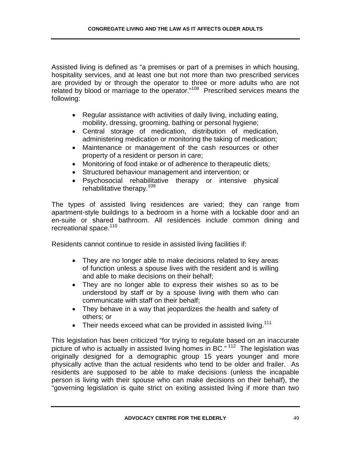Assisted living is defined as "a premises or part of a premises in which housing, hospitality services, and at least one but not more than two prescribed services are provided by or through the operator to three or more adults who are not related by blood or marriage to the operator."108 Prescribed services means the following:

- Regular assistance with activities of daily living, including eating, mobility, dressing, grooming, bathing or personal hygiene;
- Central storage of medication, distribution of medication, administering medication or monitoring the taking of medication;
- Maintenance or management of the cash resources or other property of a resident or person in care;
- Monitoring of food intake or of adherence to therapeutic diets;
- Structured behaviour management and intervention; or
- Psychosocial rehabilitative therapy or intensive physical rehabilitative therapy.<sup>109</sup>

The types of assisted living residences are varied; they can range from apartment-style buildings to a bedroom in a home with a lockable door and an en-suite or shared bathroom. All residences include common dining and recreational space.<sup>110</sup>

Residents cannot continue to reside in assisted living facilities if:

- They are no longer able to make decisions related to key areas of function unless a spouse lives with the resident and is willing and able to make decisions on their behalf;
- They are no longer able to express their wishes so as to be understood by staff or by a spouse living with them who can communicate with staff on their behalf;
- They behave in a way that jeopardizes the health and safety of others; or
- Their needs exceed what can be provided in assisted living.<sup>111</sup>

This legislation has been criticized "for trying to regulate based on an inaccurate picture of who is actually in assisted living homes in BC."<sup>112</sup> The legislation was originally designed for a demographic group 15 years younger and more physically active than the actual residents who tend to be older and frailer. As residents are supposed to be able to make decisions (unless the incapable person is living with their spouse who can make decisions on their behalf), the "governing legislation is quite strict on exiting assisted living if more than two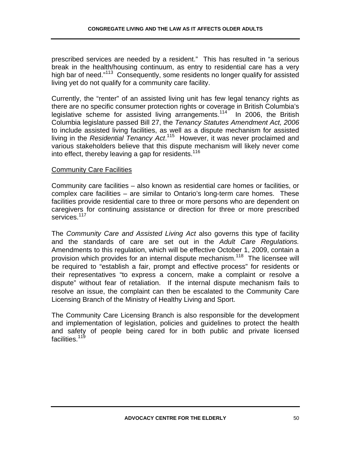prescribed services are needed by a resident." This has resulted in "a serious break in the health/housing continuum, as entry to residential care has a very high bar of need."<sup>113</sup> Consequently, some residents no longer qualify for assisted living yet do not qualify for a community care facility.

Currently, the "renter" of an assisted living unit has few legal tenancy rights as there are no specific consumer protection rights or coverage in British Columbia's legislative scheme for assisted living arrangements.<sup>114</sup> In 2006, the British Columbia legislature passed Bill 27, the *Tenancy Statutes Amendment Act, 2006* to include assisted living facilities, as well as a dispute mechanism for assisted living in the *Residential Tenancy Act.*<sup>115</sup> However, it was never proclaimed and various stakeholders believe that this dispute mechanism will likely never come into effect, thereby leaving a gap for residents.<sup>116</sup>

### **Community Care Facilities**

Community care facilities – also known as residential care homes or facilities, or complex care facilities – are similar to Ontario's long-term care homes. These facilities provide residential care to three or more persons who are dependent on caregivers for continuing assistance or direction for three or more prescribed services.<sup>117</sup>

The *Community Care and Assisted Living Act* also governs this type of facility and the standards of care are set out in the *Adult Care Regulations.*  Amendments to this regulation, which will be effective October 1, 2009, contain a provision which provides for an internal dispute mechanism.<sup>118</sup> The licensee will be required to "establish a fair, prompt and effective process" for residents or their representatives "to express a concern, make a complaint or resolve a dispute" without fear of retaliation. If the internal dispute mechanism fails to resolve an issue, the complaint can then be escalated to the Community Care Licensing Branch of the Ministry of Healthy Living and Sport.

The Community Care Licensing Branch is also responsible for the development and implementation of legislation, policies and guidelines to protect the health and safety of people being cared for in both public and private licensed facilities.<sup>119</sup>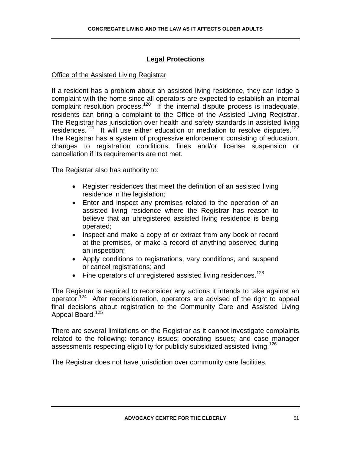## **Legal Protections**

#### Office of the Assisted Living Registrar

If a resident has a problem about an assisted living residence, they can lodge a complaint with the home since all operators are expected to establish an internal complaint manners results and operators are only the transmission complaint resolution process.<sup>120</sup> If the internal dispute process is inadequate, residents can bring a complaint to the Office of the Assisted Living Registrar. The Registrar has jurisdiction over health and safety standards in assisted living residences.<sup>121</sup> It will use either education or mediation to resolve disputes.<sup>122</sup> The Registrar has a system of progressive enforcement consisting of education, changes to registration conditions, fines and/or license suspension or cancellation if its requirements are not met.

The Registrar also has authority to:

- Register residences that meet the definition of an assisted living residence in the legislation;
- Enter and inspect any premises related to the operation of an assisted living residence where the Registrar has reason to believe that an unregistered assisted living residence is being operated;
- Inspect and make a copy of or extract from any book or record at the premises, or make a record of anything observed during an inspection;
- Apply conditions to registrations, vary conditions, and suspend or cancel registrations; and
- Fine operators of unregistered assisted living residences.<sup>123</sup>

The Registrar is required to reconsider any actions it intends to take against an operator.<sup>124</sup> After reconsideration, operators are advised of the right to appeal final decisions about registration to the Community Care and Assisted Living Appeal Board.<sup>125</sup>

There are several limitations on the Registrar as it cannot investigate complaints related to the following: tenancy issues; operating issues; and case manager assessments respecting eligibility for publicly subsidized assisted living.<sup>126</sup>

The Registrar does not have jurisdiction over community care facilities.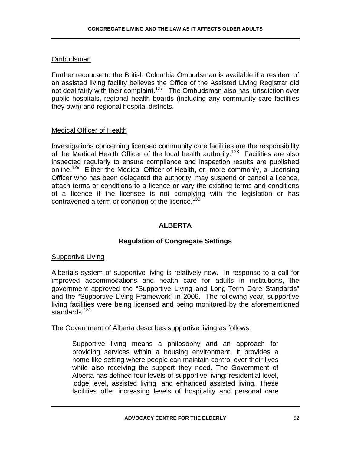### Ombudsman

Further recourse to the British Columbia Ombudsman is available if a resident of an assisted living facility believes the Office of the Assisted Living Registrar did not deal fairly with their complaint.<sup>127</sup> The Ombudsman also has jurisdiction over public hospitals, regional health boards (including any community care facilities they own) and regional hospital districts.

# Medical Officer of Health

Investigations concerning licensed community care facilities are the responsibility of the Medical Health Officer of the local health authority.<sup>128</sup> Facilities are also inspected regularly to ensure compliance and inspection results are published online.<sup>129</sup> Either the Medical Officer of Health, or, more commonly, a Licensing Officer who has been delegated the authority, may suspend or cancel a licence, attach terms or conditions to a licence or vary the existing terms and conditions of a licence if the licensee is not complying with the legislation or has contravened a term or condition of the licence.<sup>130</sup>

## **ALBERTA**

# **Regulation of Congregate Settings**

### Supportive Living

Alberta's system of supportive living is relatively new. In response to a call for improved accommodations and health care for adults in institutions, the government approved the "Supportive Living and Long-Term Care Standards" and the "Supportive Living Framework" in 2006. The following year, supportive living facilities were being licensed and being monitored by the aforementioned standards.<sup>131</sup>

The Government of Alberta describes supportive living as follows:

Supportive living means a philosophy and an approach for providing services within a housing environment. It provides a home-like setting where people can maintain control over their lives while also receiving the support they need. The Government of Alberta has defined four levels of supportive living: residential level, lodge level, assisted living, and enhanced assisted living. These facilities offer increasing levels of hospitality and personal care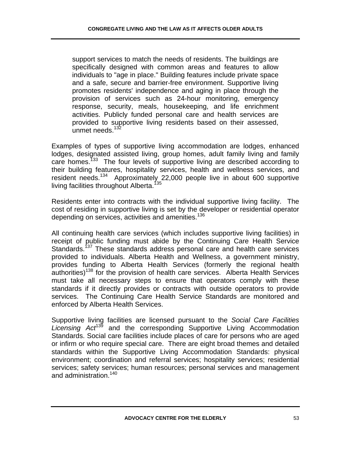support services to match the needs of residents. The buildings are specifically designed with common areas and features to allow individuals to "age in place." Building features include private space and a safe, secure and barrier-free environment. Supportive living promotes residents' independence and aging in place through the provision of services such as 24-hour monitoring, emergency response, security, meals, housekeeping, and life enrichment activities. Publicly funded personal care and health services are provided to supportive living residents based on their assessed, unmet needs.<sup>132</sup>

Examples of types of supportive living accommodation are lodges, enhanced lodges, designated assisted living, group homes, adult family living and family care homes.<sup>133</sup> The four levels of supportive living are described according to their building features, hospitality services, health and wellness services, and resident needs.<sup>134</sup> Approximately 22,000 people live in about 600 supportive living facilities throughout Alberta.<sup>135</sup>

Residents enter into contracts with the individual supportive living facility. The cost of residing in supportive living is set by the developer or residential operator depending on services, activities and amenities.<sup>136</sup>

All continuing health care services (which includes supportive living facilities) in receipt of public funding must abide by the Continuing Care Health Service Standards.<sup>137</sup> These standards address personal care and health care services provided to individuals. Alberta Health and Wellness, a government ministry, provides funding to Alberta Health Services (formerly the regional health  $a$ uthorities)<sup>138</sup> for the provision of health care services. Alberta Health Services must take all necessary steps to ensure that operators comply with these standards if it directly provides or contracts with outside operators to provide services. The Continuing Care Health Service Standards are monitored and enforced by Alberta Health Services.

Supportive living facilities are licensed pursuant to the *Social Care Facilities Licensing Act*139 and the corresponding Supportive Living Accommodation Standards. Social care facilities include places of care for persons who are aged or infirm or who require special care. There are eight broad themes and detailed standards within the Supportive Living Accommodation Standards: physical environment; coordination and referral services; hospitality services; residential services; safety services; human resources; personal services and management and administration.<sup>140</sup>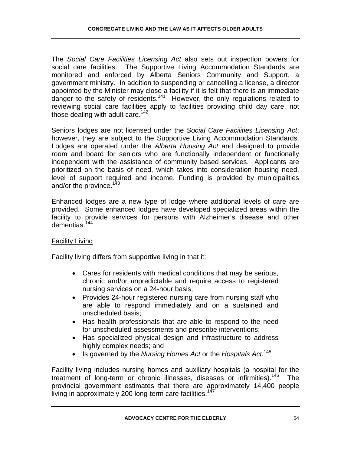The *Social Care Facilities Licensing Act* also sets out inspection powers for social care facilities. The Supportive Living Accommodation Standards are monitored and enforced by Alberta Seniors Community and Support, a government ministry. In addition to suspending or cancelling a license, a director appointed by the Minister may close a facility if it is felt that there is an immediate danger to the safety of residents.<sup>141</sup> However, the only regulations related to reviewing social care facilities apply to facilities providing child day care, not those dealing with adult care. $142$ 

Seniors lodges are not licensed under the *Social Care Facilities Licensing Act*; however, they are subject to the Supportive Living Accommodation Standards. Lodges are operated under the *Alberta Housing Act* and designed to provide room and board for seniors who are functionally independent or functionally independent with the assistance of community based services. Applicants are prioritized on the basis of need, which takes into consideration housing need, level of support required and income. Funding is provided by municipalities and/or the province.<sup>143</sup>

Enhanced lodges are a new type of lodge where additional levels of care are provided. Some enhanced lodges have developed specialized areas within the facility to provide services for persons with Alzheimer's disease and other dementias.<sup>144</sup>

### Facility Living

Facility living differs from supportive living in that it:

- Cares for residents with medical conditions that may be serious, chronic and/or unpredictable and require access to registered nursing services on a 24-hour basis;
- Provides 24-hour registered nursing care from nursing staff who are able to respond immediately and on a sustained and unscheduled basis;
- Has health professionals that are able to respond to the need for unscheduled assessments and prescribe interventions;
- Has specialized physical design and infrastructure to address highly complex needs; and
- Is governed by the *Nursing Homes Act* or the *Hospitals Act*. 145

Facility living includes nursing homes and auxiliary hospitals (a hospital for the treatment of long-term or chronic illnesses, diseases or infirmities).<sup>146</sup> The provincial government estimates that there are approximately 14,400 people living in approximately 200 long-term care facilities.<sup>1</sup>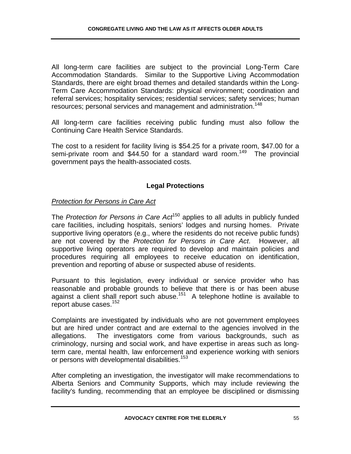All long-term care facilities are subject to the provincial Long-Term Care Accommodation Standards. Similar to the Supportive Living Accommodation Standards, there are eight broad themes and detailed standards within the Long-Term Care Accommodation Standards: physical environment; coordination and referral services; hospitality services; residential services; safety services; human resources; personal services and management and administration.<sup>148</sup>

All long-term care facilities receiving public funding must also follow the Continuing Care Health Service Standards.

The cost to a resident for facility living is \$54.25 for a private room, \$47.00 for a semi-private room and \$44.50 for a standard ward room.<sup>149</sup> The provincial government pays the health-associated costs.

# **Legal Protections**

## *Protection for Persons in Care Act*

The *Protection for Persons in Care Act*150 applies to all adults in publicly funded care facilities, including hospitals, seniors' lodges and nursing homes. Private supportive living operators (e.g., where the residents do not receive public funds) are not covered by the *Protection for Persons in Care Act*. However, all supportive living operators are required to develop and maintain policies and procedures requiring all employees to receive education on identification, prevention and reporting of abuse or suspected abuse of residents.

Pursuant to this legislation, every individual or service provider who has reasonable and probable grounds to believe that there is or has been abuse against a client shall report such abuse.<sup>151</sup> A telephone hotline is available to report abuse cases.<sup>152</sup>

Complaints are investigated by individuals who are not government employees but are hired under contract and are external to the agencies involved in the allegations. The investigators come from various backgrounds, such as criminology, nursing and social work, and have expertise in areas such as longterm care, mental health, law enforcement and experience working with seniors or persons with developmental disabilities.<sup>153</sup>

After completing an investigation, the investigator will make recommendations to Alberta Seniors and Community Supports, which may include reviewing the facility's funding, recommending that an employee be disciplined or dismissing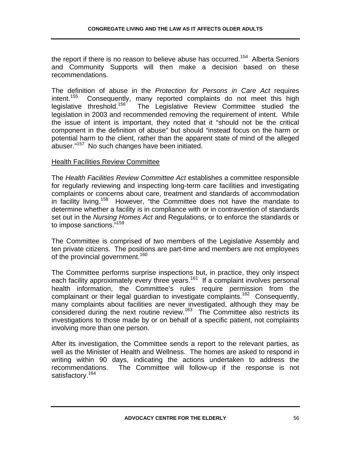the report if there is no reason to believe abuse has occurred.<sup>154</sup> Alberta Seniors and Community Supports will then make a decision based on these recommendations.

The definition of abuse in the *Protection for Persons in Care Act* requires intent.<sup>155</sup> Consequently, many reported complaints do not meet this high legislative threshold.<sup>156</sup> The Legislative Review Committee studied the The Legislative Review Committee studied the legislation in 2003 and recommended removing the requirement of intent. While the issue of intent is important, they noted that it "should not be the critical component in the definition of abuse" but should "instead focus on the harm or potential harm to the client, rather than the apparent state of mind of the alleged abuser."157 No such changes have been initiated.

#### Health Facilities Review Committee

The *Health Facilities Review Committee Act* establishes a committee responsible for regularly reviewing and inspecting long-term care facilities and investigating complaints or concerns about care, treatment and standards of accommodation in facility living.<sup>158</sup> However, "the Committee does not have the mandate to determine whether a facility is in compliance with or in contravention of standards set out in the *Nursing Homes Act* and Regulations, or to enforce the standards or to impose sanctions.<sup>"159</sup>

The Committee is comprised of two members of the Legislative Assembly and ten private citizens. The positions are part-time and members are not employees of the provincial government.<sup>160</sup>

The Committee performs surprise inspections but, in practice, they only inspect each facility approximately every three years.<sup>161</sup> If a complaint involves personal health information, the Committee's rules require permission from the complainant or their legal guardian to investigate complaints.<sup>162</sup> Consequently, many complaints about facilities are never investigated, although they may be considered during the next routine review.<sup>163</sup> The Committee also restricts its investigations to those made by or on behalf of a specific patient, not complaints involving more than one person.

After its investigation, the Committee sends a report to the relevant parties, as well as the Minister of Health and Wellness. The homes are asked to respond in writing within 90 days, indicating the actions undertaken to address the recommendations. The Committee will follow-up if the response is not satisfactory.<sup>164</sup>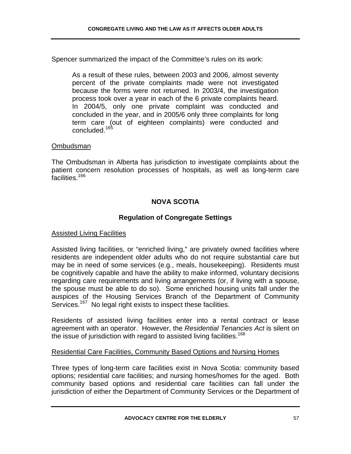Spencer summarized the impact of the Committee's rules on its work:

As a result of these rules, between 2003 and 2006, almost seventy percent of the private complaints made were not investigated because the forms were not returned. In 2003/4, the investigation process took over a year in each of the 6 private complaints heard. In 2004/5, only one private complaint was conducted and concluded in the year, and in 2005/6 only three complaints for long term care (out of eighteen complaints) were conducted and concluded.<sup>165</sup>

#### Ombudsman

The Ombudsman in Alberta has jurisdiction to investigate complaints about the patient concern resolution processes of hospitals, as well as long-term care facilities.<sup>166</sup>

## **NOVA SCOTIA**

### **Regulation of Congregate Settings**

#### Assisted Living Facilities

Assisted living facilities, or "enriched living," are privately owned facilities where residents are independent older adults who do not require substantial care but may be in need of some services (e.g., meals, housekeeping). Residents must be cognitively capable and have the ability to make informed, voluntary decisions regarding care requirements and living arrangements (or, if living with a spouse, the spouse must be able to do so). Some enriched housing units fall under the auspices of the Housing Services Branch of the Department of Community Services.<sup>167</sup> No legal right exists to inspect these facilities.

Residents of assisted living facilities enter into a rental contract or lease agreement with an operator. However, the *Residential Tenancies Act* is silent on the issue of jurisdiction with regard to assisted living facilities.<sup>168</sup>

#### Residential Care Facilities, Community Based Options and Nursing Homes

Three types of long-term care facilities exist in Nova Scotia: community based options; residential care facilities; and nursing homes/homes for the aged. Both community based options and residential care facilities can fall under the jurisdiction of either the Department of Community Services or the Department of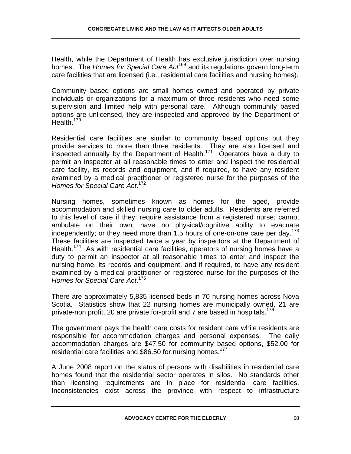Health, while the Department of Health has exclusive jurisdiction over nursing homes. The *Homes for Special Care Act*169 and its regulations govern long-term care facilities that are licensed (i.e., residential care facilities and nursing homes).

Community based options are small homes owned and operated by private individuals or organizations for a maximum of three residents who need some supervision and limited help with personal care. Although community based options are unlicensed, they are inspected and approved by the Department of Health.<sup>170</sup>

Residential care facilities are similar to community based options but they provide services to more than three residents. They are also licensed and inspected annually by the Department of Health.171 Operators have a duty to permit an inspector at all reasonable times to enter and inspect the residential care facility, its records and equipment, and if required, to have any resident examined by a medical practitioner or registered nurse for the purposes of the *Homes for Special Care Act*. 172

Nursing homes, sometimes known as homes for the aged, provide accommodation and skilled nursing care to older adults. Residents are referred to this level of care if they: require assistance from a registered nurse; cannot ambulate on their own; have no physical/cognitive ability to evacuate independently; or they need more than 1.5 hours of one-on-one care per day.<sup>173</sup> These facilities are inspected twice a year by inspectors at the Department of Health.<sup>174</sup> As with residential care facilities, operators of nursing homes have a duty to permit an inspector at all reasonable times to enter and inspect the nursing home, its records and equipment, and if required, to have any resident examined by a medical practitioner or registered nurse for the purposes of the *Homes for Special Care Act*. 175

There are approximately 5,835 licensed beds in 70 nursing homes across Nova Scotia. Statistics show that 22 nursing homes are municipally owned, 21 are private-non profit, 20 are private for-profit and 7 are based in hospitals.<sup>176</sup>

The government pays the health care costs for resident care while residents are responsible for accommodation charges and personal expenses. The daily accommodation charges are \$47.50 for community based options, \$52.00 for residential care facilities and \$86.50 for nursing homes.<sup>177</sup>

A June 2008 report on the status of persons with disabilities in residential care homes found that the residential sector operates in silos. No standards other than licensing requirements are in place for residential care facilities. Inconsistencies exist across the province with respect to infrastructure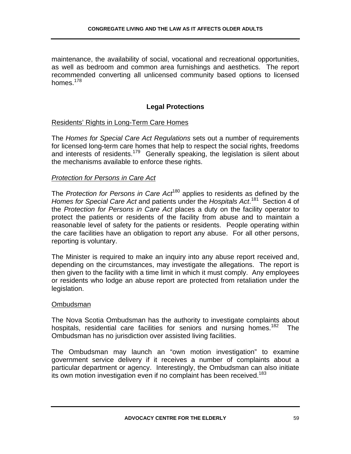maintenance, the availability of social, vocational and recreational opportunities, as well as bedroom and common area furnishings and aesthetics. The report recommended converting all unlicensed community based options to licensed homes. $178$ 

# **Legal Protections**

#### Residents' Rights in Long-Term Care Homes

The *Homes for Special Care Act Regulations* sets out a number of requirements for licensed long-term care homes that help to respect the social rights, freedoms and interests of residents.<sup>179</sup> Generally speaking, the legislation is silent about the mechanisms available to enforce these rights.

### *Protection for Persons in Care Act*

The *Protection for Persons in Care Act*180 applies to residents as defined by the *Homes for Special Care Act* and patients under the *Hospitals Act*. 181 Section 4 of the *Protection for Persons in Care Act* places a duty on the facility operator to protect the patients or residents of the facility from abuse and to maintain a reasonable level of safety for the patients or residents. People operating within the care facilities have an obligation to report any abuse. For all other persons, reporting is voluntary.

The Minister is required to make an inquiry into any abuse report received and, depending on the circumstances, may investigate the allegations. The report is then given to the facility with a time limit in which it must comply. Any employees or residents who lodge an abuse report are protected from retaliation under the legislation.

#### Ombudsman

The Nova Scotia Ombudsman has the authority to investigate complaints about hospitals, residential care facilities for seniors and nursing homes.<sup>182</sup> The Ombudsman has no jurisdiction over assisted living facilities.

The Ombudsman may launch an "own motion investigation" to examine government service delivery if it receives a number of complaints about a particular department or agency. Interestingly, the Ombudsman can also initiate its own motion investigation even if no complaint has been received.<sup>183</sup>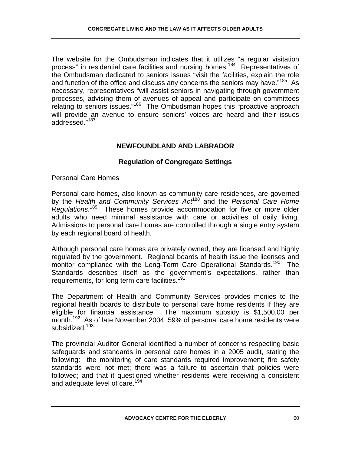The website for the Ombudsman indicates that it utilizes "a regular visitation process" in residential care facilities and nursing homes.<sup>184</sup> Representatives of the Ombudsman dedicated to seniors issues "visit the facilities, explain the role and function of the office and discuss any concerns the seniors may have."<sup>185</sup> As necessary, representatives "will assist seniors in navigating through government processes, advising them of avenues of appeal and participate on committees relating to seniors issues."186 The Ombudsman hopes this "proactive approach will provide an avenue to ensure seniors' voices are heard and their issues addressed."<sup>187</sup>

# **NEWFOUNDLAND AND LABRADOR**

# **Regulation of Congregate Settings**

# Personal Care Homes

Personal care homes, also known as community care residences, are governed by the *Health and Community Services Act*188 and the *Personal Care Home Regulations*. 189 These homes provide accommodation for five or more older adults who need minimal assistance with care or activities of daily living. Admissions to personal care homes are controlled through a single entry system by each regional board of health.

Although personal care homes are privately owned, they are licensed and highly regulated by the government. Regional boards of health issue the licenses and monitor compliance with the Long-Term Care Operational Standards.<sup>190</sup> The Standards describes itself as the government's expectations, rather than requirements, for long term care facilities.<sup>191</sup>

The Department of Health and Community Services provides monies to the regional health boards to distribute to personal care home residents if they are eligible for financial assistance. The maximum subsidy is \$1,500.00 per month.<sup>192</sup> As of late November 2004, 59% of personal care home residents were subsidized.<sup>193</sup>

The provincial Auditor General identified a number of concerns respecting basic safeguards and standards in personal care homes in a 2005 audit, stating the following: the monitoring of care standards required improvement; fire safety standards were not met; there was a failure to ascertain that policies were followed; and that it questioned whether residents were receiving a consistent and adequate level of care.<sup>194</sup>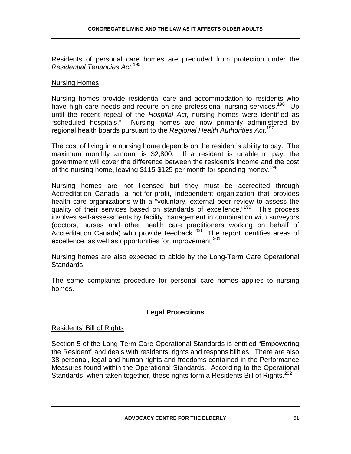Residents of personal care homes are precluded from protection under the *Residential Tenancies Act*. 195

#### Nursing Homes

Nursing homes provide residential care and accommodation to residents who have high care needs and require on-site professional nursing services.<sup>196</sup> Up until the recent repeal of the *Hospital Act*, nursing homes were identified as "scheduled hospitals." Nursing homes are now primarily administered by regional health boards pursuant to the *Regional Health Authorities Act*. 197

The cost of living in a nursing home depends on the resident's ability to pay. The maximum monthly amount is \$2,800. If a resident is unable to pay, the government will cover the difference between the resident's income and the cost of the nursing home, leaving \$115-\$125 per month for spending money.<sup>198</sup>

Nursing homes are not licensed but they must be accredited through Accreditation Canada, a not-for-profit, independent organization that provides health care organizations with a "voluntary, external peer review to assess the quality of their services based on standards of excellence."<sup>199</sup> This process involves self-assessments by facility management in combination with surveyors (doctors, nurses and other health care practitioners working on behalf of Accreditation Canada) who provide feedback. $200$  The report identifies areas of excellence, as well as opportunities for improvement.<sup>201</sup>

Nursing homes are also expected to abide by the Long-Term Care Operational Standards.

The same complaints procedure for personal care homes applies to nursing homes.

### **Legal Protections**

#### Residents' Bill of Rights

Section 5 of the Long-Term Care Operational Standards is entitled "Empowering the Resident" and deals with residents' rights and responsibilities. There are also 38 personal, legal and human rights and freedoms contained in the Performance Measures found within the Operational Standards. According to the Operational Standards, when taken together, these rights form a Residents Bill of Rights.<sup>202</sup>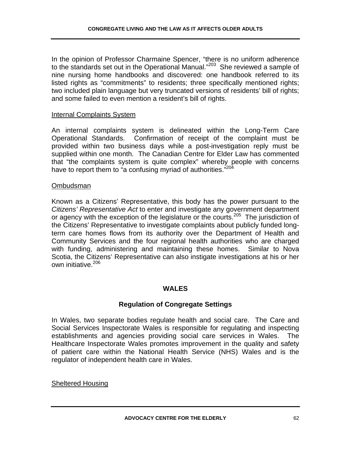In the opinion of Professor Charmaine Spencer, "there is no uniform adherence to the standards set out in the Operational Manual."<sup>203</sup> She reviewed a sample of nine nursing home handbooks and discovered: one handbook referred to its listed rights as "commitments" to residents; three specifically mentioned rights; two included plain language but very truncated versions of residents' bill of rights; and some failed to even mention a resident's bill of rights.

#### Internal Complaints System

An internal complaints system is delineated within the Long-Term Care Operational Standards. Confirmation of receipt of the complaint must be provided within two business days while a post-investigation reply must be supplied within one month. The Canadian Centre for Elder Law has commented that "the complaints system is quite complex" whereby people with concerns have to report them to "a confusing myriad of authorities." $204$ 

#### Ombudsman

Known as a Citizens' Representative, this body has the power pursuant to the *Citizens' Representative Act* to enter and investigate any government department or agency with the exception of the legislature or the courts.<sup>205</sup> The jurisdiction of the Citizens' Representative to investigate complaints about publicly funded longterm care homes flows from its authority over the Department of Health and Community Services and the four regional health authorities who are charged with funding, administering and maintaining these homes. Similar to Nova Scotia, the Citizens' Representative can also instigate investigations at his or her own initiative.206

#### **WALES**

#### **Regulation of Congregate Settings**

In Wales, two separate bodies regulate health and social care. The Care and Social Services Inspectorate Wales is responsible for regulating and inspecting establishments and agencies providing social care services in Wales. The Healthcare Inspectorate Wales promotes improvement in the quality and safety of patient care within the National Health Service (NHS) Wales and is the regulator of independent health care in Wales.

#### Sheltered Housing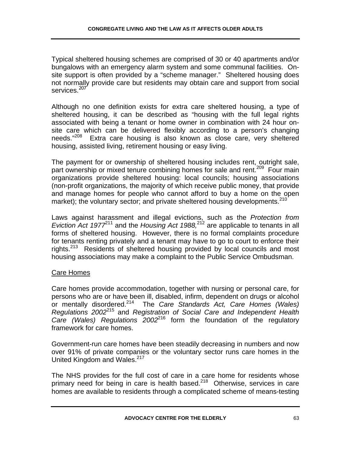Typical sheltered housing schemes are comprised of 30 or 40 apartments and/or bungalows with an emergency alarm system and some communal facilities. Onsite support is often provided by a "scheme manager." Sheltered housing does not normally provide care but residents may obtain care and support from social services.<sup>207</sup>

Although no one definition exists for extra care sheltered housing, a type of sheltered housing, it can be described as "housing with the full legal rights associated with being a tenant or home owner in combination with 24 hour onsite care which can be delivered flexibly according to a person's changing needs."<sup>208</sup> Extra care housing is also known as close care, very sheltered housing, assisted living, retirement housing or easy living.

The payment for or ownership of sheltered housing includes rent, outright sale, part ownership or mixed tenure combining homes for sale and rent.<sup>209</sup> Four main organizations provide sheltered housing: local councils; housing associations (non-profit organizations, the majority of which receive public money, that provide and manage homes for people who cannot afford to buy a home on the open market); the voluntary sector; and private sheltered housing developments.<sup>210</sup>

Laws against harassment and illegal evictions, such as the *Protection from Eviction Act 1977*<sup>211</sup> and the *Housing Act 1988*,<sup>212</sup> are applicable to tenants in all forms of sheltered housing. However, there is no formal complaints procedure for tenants renting privately and a tenant may have to go to court to enforce their rights.<sup>213</sup> Residents of sheltered housing provided by local councils and most housing associations may make a complaint to the Public Service Ombudsman.

### Care Homes

Care homes provide accommodation, together with nursing or personal care, for persons who are or have been ill, disabled, infirm, dependent on drugs or alcohol or mentally disordered.214 The *Care Standards Act, Care Homes (Wales) Regulations 2002*<sup>215</sup> and *Registration of Social Care and Independent Health Care (Wales) Regulations 2002*<sup>216</sup> form the foundation of the regulatory framework for care homes.

Government-run care homes have been steadily decreasing in numbers and now over 91% of private companies or the voluntary sector runs care homes in the United Kingdom and Wales.<sup>217</sup>

The NHS provides for the full cost of care in a care home for residents whose primary need for being in care is health based. $218$  Otherwise, services in care homes are available to residents through a complicated scheme of means-testing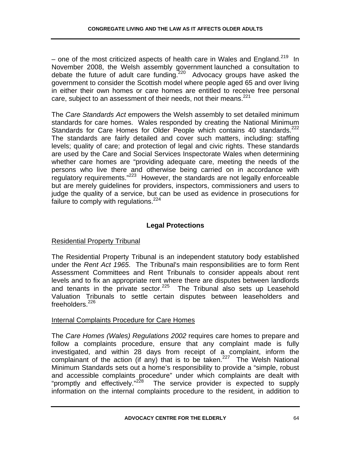– one of the most criticized aspects of health care in Wales and England.<sup>219</sup> In November 2008, the Welsh assembly government launched a consultation to debate the future of adult care funding.<sup>220</sup> Advocacy groups have asked the government to consider the Scottish model where people aged 65 and over living in either their own homes or care homes are entitled to receive free personal care, subject to an assessment of their needs, not their means.<sup>221</sup>

The *Care Standards Act* empowers the Welsh assembly to set detailed minimum standards for care homes. Wales responded by creating the National Minimum Standards for Care Homes for Older People which contains 40 standards.<sup>222</sup> The standards are fairly detailed and cover such matters, including: staffing levels; quality of care; and protection of legal and civic rights. These standards are used by the Care and Social Services Inspectorate Wales when determining whether care homes are "providing adequate care, meeting the needs of the persons who live there and otherwise being carried on in accordance with regulatory requirements."223 However, the standards are not legally enforceable but are merely guidelines for providers, inspectors, commissioners and users to judge the quality of a service, but can be used as evidence in prosecutions for failure to comply with regulations.<sup>224</sup>

# **Legal Protections**

# Residential Property Tribunal

The Residential Property Tribunal is an independent statutory body established under the *Rent Act 1965*. The Tribunal's main responsibilities are to form Rent Assessment Committees and Rent Tribunals to consider appeals about rent levels and to fix an appropriate rent where there are disputes between landlords and tenants in the private sector. $225$  The Tribunal also sets up Leasehold Valuation Tribunals to settle certain disputes between leaseholders and freeholders.<sup>226</sup>

# Internal Complaints Procedure for Care Homes

The *Care Homes (Wales) Regulations 2002* requires care homes to prepare and follow a complaints procedure, ensure that any complaint made is fully investigated, and within 28 days from receipt of a complaint, inform the complainant of the action (if any) that is to be taken.<sup>227</sup> The Welsh National Minimum Standards sets out a home's responsibility to provide a "simple, robust and accessible complaints procedure" under which complaints are dealt with "promptly and effectively."<sup>228</sup> The service provider is expected to supply information on the internal complaints procedure to the resident, in addition to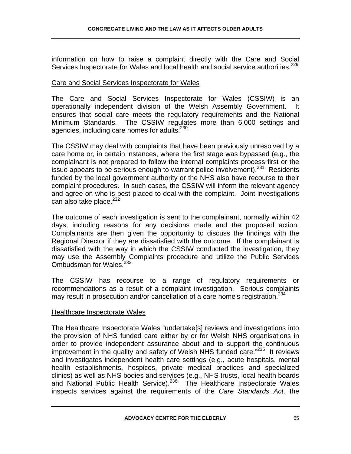information on how to raise a complaint directly with the Care and Social Services Inspectorate for Wales and local health and social service authorities.<sup>229</sup>

#### Care and Social Services Inspectorate for Wales

The Care and Social Services Inspectorate for Wales (CSSIW) is an operationally independent division of the Welsh Assembly Government. It ensures that social care meets the regulatory requirements and the National Minimum Standards. The CSSIW regulates more than 6,000 settings and agencies, including care homes for adults.<sup>230</sup>

The CSSIW may deal with complaints that have been previously unresolved by a care home or, in certain instances, where the first stage was bypassed (e.g., the complainant is not prepared to follow the internal complaints process first or the issue appears to be serious enough to warrant police involvement). $^{231}$  Residents funded by the local government authority or the NHS also have recourse to their complaint procedures. In such cases, the CSSIW will inform the relevant agency and agree on who is best placed to deal with the complaint. Joint investigations can also take place.<sup>232</sup>

The outcome of each investigation is sent to the complainant, normally within 42 days, including reasons for any decisions made and the proposed action. Complainants are then given the opportunity to discuss the findings with the Regional Director if they are dissatisfied with the outcome. If the complainant is dissatisfied with the way in which the CSSIW conducted the investigation, they may use the Assembly Complaints procedure and utilize the Public Services Ombudsman for Wales.<sup>233</sup>

The CSSIW has recourse to a range of regulatory requirements or recommendations as a result of a complaint investigation. Serious complaints may result in prosecution and/or cancellation of a care home's registration.<sup>234</sup>

#### Healthcare Inspectorate Wales

The Healthcare Inspectorate Wales "undertake[s] reviews and investigations into the provision of NHS funded care either by or for Welsh NHS organisations in order to provide independent assurance about and to support the continuous improvement in the quality and safety of Welsh NHS funded care."<sup>235</sup> It reviews and investigates independent health care settings (e.g., acute hospitals, mental health establishments, hospices, private medical practices and specialized clinics) as well as NHS bodies and services (e.g., NHS trusts, local health boards and National Public Health Service).<sup>236</sup> The Healthcare Inspectorate Wales inspects services against the requirements of the *Care Standards Act,* the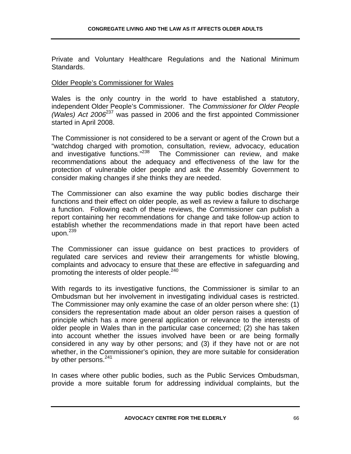Private and Voluntary Healthcare Regulations and the National Minimum Standards.

#### Older People's Commissioner for Wales

Wales is the only country in the world to have established a statutory, independent Older People's Commissioner. The *Commissioner for Older People (Wales) Act 2006*<sup>237</sup> was passed in 2006 and the first appointed Commissioner started in April 2008.

The Commissioner is not considered to be a servant or agent of the Crown but a "watchdog charged with promotion, consultation, review, advocacy, education and investigative functions."<sup>238</sup> The Commissioner can review, and make recommendations about the adequacy and effectiveness of the law for the protection of vulnerable older people and ask the Assembly Government to consider making changes if she thinks they are needed.

The Commissioner can also examine the way public bodies discharge their functions and their effect on older people, as well as review a failure to discharge a function. Following each of these reviews, the Commissioner can publish a report containing her recommendations for change and take follow-up action to establish whether the recommendations made in that report have been acted upon. $^{239}$ 

The Commissioner can issue guidance on best practices to providers of regulated care services and review their arrangements for whistle blowing, complaints and advocacy to ensure that these are effective in safeguarding and promoting the interests of older people.<sup>240</sup>

With regards to its investigative functions, the Commissioner is similar to an Ombudsman but her involvement in investigating individual cases is restricted. The Commissioner may only examine the case of an older person where she: (1) considers the representation made about an older person raises a question of principle which has a more general application or relevance to the interests of older people in Wales than in the particular case concerned; (2) she has taken into account whether the issues involved have been or are being formally considered in any way by other persons; and (3) if they have not or are not whether, in the Commissioner's opinion, they are more suitable for consideration by other persons.<sup>241</sup>

In cases where other public bodies, such as the Public Services Ombudsman, provide a more suitable forum for addressing individual complaints, but the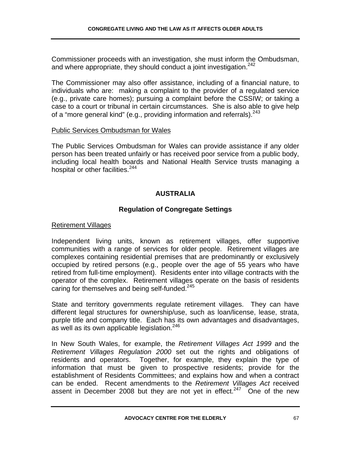Commissioner proceeds with an investigation, she must inform the Ombudsman, and where appropriate, they should conduct a joint investigation.<sup>242</sup>

The Commissioner may also offer assistance, including of a financial nature, to individuals who are: making a complaint to the provider of a regulated service (e.g., private care homes); pursuing a complaint before the CSSIW; or taking a case to a court or tribunal in certain circumstances. She is also able to give help of a "more general kind" (e.g., providing information and referrals). $243$ 

## Public Services Ombudsman for Wales

The Public Services Ombudsman for Wales can provide assistance if any older person has been treated unfairly or has received poor service from a public body, including local health boards and National Health Service trusts managing a hospital or other facilities.<sup>244</sup>

# **AUSTRALIA**

# **Regulation of Congregate Settings**

## Retirement Villages

Independent living units, known as retirement villages, offer supportive communities with a range of services for older people. Retirement villages are complexes containing residential premises that are predominantly or exclusively occupied by retired persons (e.g., people over the age of 55 years who have retired from full-time employment). Residents enter into village contracts with the operator of the complex. Retirement villages operate on the basis of residents caring for themselves and being self-funded.<sup>245</sup>

State and territory governments regulate retirement villages. They can have different legal structures for ownership/use, such as loan/license, lease, strata, purple title and company title. Each has its own advantages and disadvantages, as well as its own applicable legislation. $^{246}$ 

In New South Wales, for example, the *Retirement Villages Act 1999* and the *Retirement Villages Regulation 2000* set out the rights and obligations of residents and operators. Together, for example, they explain the type of information that must be given to prospective residents; provide for the establishment of Residents Committees; and explains how and when a contract can be ended. Recent amendments to the *Retirement Villages Act* received assent in December 2008 but they are not yet in effect.<sup>247</sup> One of the new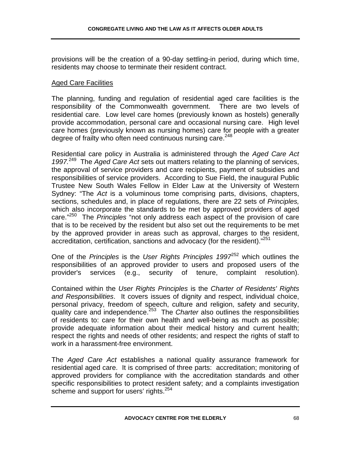provisions will be the creation of a 90-day settling-in period, during which time, residents may choose to terminate their resident contract.

#### Aged Care Facilities

The planning, funding and regulation of residential aged care facilities is the responsibility of the Commonwealth government. There are two levels of residential care. Low level care homes (previously known as hostels) generally provide accommodation, personal care and occasional nursing care. High level care homes (previously known as nursing homes) care for people with a greater degree of frailty who often need continuous nursing care.<sup>248</sup>

Residential care policy in Australia is administered through the *Aged Care Act 1997.*<sup>249</sup>The *Aged Care Act* sets out matters relating to the planning of services, the approval of service providers and care recipients, payment of subsidies and responsibilities of service providers. According to Sue Field, the inaugural Public Trustee New South Wales Fellow in Elder Law at the University of Western Sydney: "The *Act* is a voluminous tome comprising parts, divisions, chapters, sections, schedules and, in place of regulations, there are 22 sets of *Principles,*  which also incorporate the standards to be met by approved providers of aged care."250 The *Principles* "not only address each aspect of the provision of care that is to be received by the resident but also set out the requirements to be met by the approved provider in areas such as approval, charges to the resident, accreditation, certification, sanctions and advocacy (for the resident)."<sup>251</sup>

One of the *Principles* is the *User Rights Principles* 1997<sup>252</sup> which outlines the responsibilities of an approved provider to users and proposed users of the provider's services (e.g., security of tenure, complaint resolution).

Contained within the *User Rights Principles* is the *Charter of Residents' Rights and Responsibilities*. It covers issues of dignity and respect, individual choice, personal privacy, freedom of speech, culture and religion, safety and security, quality care and independence.<sup>253</sup> The *Charter* also outlines the responsibilities of residents to: care for their own health and well-being as much as possible; provide adequate information about their medical history and current health; respect the rights and needs of other residents; and respect the rights of staff to work in a harassment-free environment.

The *Aged Care Act* establishes a national quality assurance framework for residential aged care. It is comprised of three parts: accreditation; monitoring of approved providers for compliance with the accreditation standards and other specific responsibilities to protect resident safety; and a complaints investigation scheme and support for users' rights.<sup>254</sup>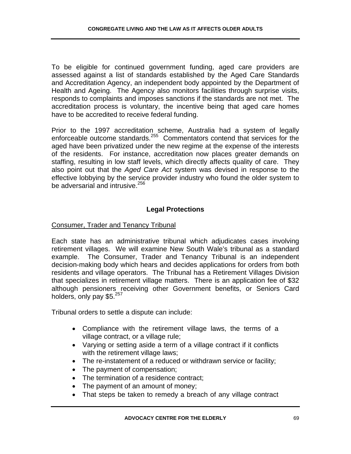To be eligible for continued government funding, aged care providers are assessed against a list of standards established by the Aged Care Standards and Accreditation Agency, an independent body appointed by the Department of Health and Ageing. The Agency also monitors facilities through surprise visits, responds to complaints and imposes sanctions if the standards are not met. The accreditation process is voluntary, the incentive being that aged care homes have to be accredited to receive federal funding.

Prior to the 1997 accreditation scheme, Australia had a system of legally enforceable outcome standards.<sup>255</sup> Commentators contend that services for the aged have been privatized under the new regime at the expense of the interests of the residents. For instance, accreditation now places greater demands on staffing, resulting in low staff levels, which directly affects quality of care. They also point out that the *Aged Care Act* system was devised in response to the effective lobbying by the service provider industry who found the older system to be adversarial and intrusive.<sup>256</sup>

# **Legal Protections**

## Consumer, Trader and Tenancy Tribunal

Each state has an administrative tribunal which adjudicates cases involving retirement villages. We will examine New South Wale's tribunal as a standard example. The Consumer, Trader and Tenancy Tribunal is an independent decision-making body which hears and decides applications for orders from both residents and village operators. The Tribunal has a Retirement Villages Division that specializes in retirement village matters. There is an application fee of \$32 although pensioners receiving other Government benefits, or Seniors Card holders, only pay \$5.<sup>257</sup>

Tribunal orders to settle a dispute can include:

- Compliance with the retirement village laws, the terms of a village contract, or a village rule;
- Varying or setting aside a term of a village contract if it conflicts with the retirement village laws;
- The re-instatement of a reduced or withdrawn service or facility;
- The payment of compensation;
- The termination of a residence contract;
- The payment of an amount of money;
- That steps be taken to remedy a breach of any village contract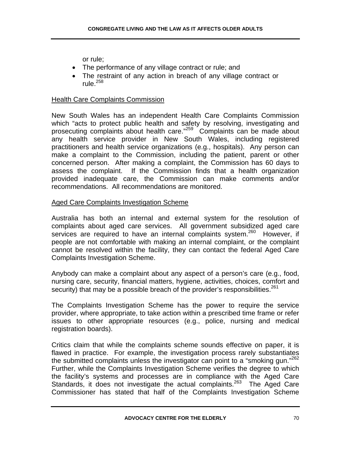or rule;

- The performance of any village contract or rule; and
- The restraint of any action in breach of any village contract or rule. $258$

### Health Care Complaints Commission

New South Wales has an independent Health Care Complaints Commission which "acts to protect public health and safety by resolving, investigating and prosecuting complaints about health care."259 Complaints can be made about any health service provider in New South Wales, including registered practitioners and health service organizations (e.g., hospitals). Any person can make a complaint to the Commission, including the patient, parent or other concerned person. After making a complaint, the Commission has 60 days to assess the complaint. If the Commission finds that a health organization provided inadequate care, the Commission can make comments and/or recommendations. All recommendations are monitored.

### Aged Care Complaints Investigation Scheme

Australia has both an internal and external system for the resolution of complaints about aged care services. All government subsidized aged care services are required to have an internal complaints system.<sup>260</sup> However, if people are not comfortable with making an internal complaint, or the complaint cannot be resolved within the facility, they can contact the federal Aged Care Complaints Investigation Scheme.

Anybody can make a complaint about any aspect of a person's care (e.g., food, nursing care, security, financial matters, hygiene, activities, choices, comfort and security) that may be a possible breach of the provider's responsibilities.<sup>261</sup>

The Complaints Investigation Scheme has the power to require the service provider, where appropriate, to take action within a prescribed time frame or refer issues to other appropriate resources (e.g., police, nursing and medical registration boards).

Critics claim that while the complaints scheme sounds effective on paper, it is flawed in practice. For example, the investigation process rarely substantiates the submitted complaints unless the investigator can point to a "smoking gun."<sup>262</sup> Further, while the Complaints Investigation Scheme verifies the degree to which the facility's systems and processes are in compliance with the Aged Care Standards, it does not investigate the actual complaints.<sup>263</sup> The Aged Care Commissioner has stated that half of the Complaints Investigation Scheme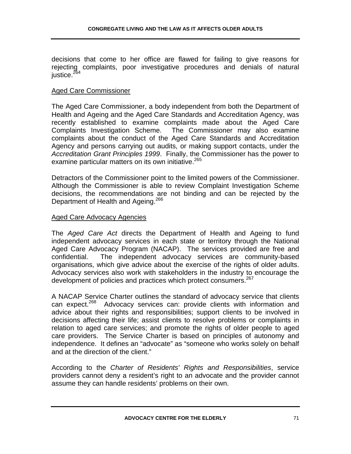decisions that come to her office are flawed for failing to give reasons for rejecting complaints, poor investigative procedures and denials of natural justice.<sup>264</sup>

#### Aged Care Commissioner

The Aged Care Commissioner, a body independent from both the Department of Health and Ageing and the Aged Care Standards and Accreditation Agency, was recently established to examine complaints made about the Aged Care Complaints Investigation Scheme. The Commissioner may also examine complaints about the conduct of the Aged Care Standards and Accreditation Agency and persons carrying out audits, or making support contacts, under the *Accreditation Grant Principles 1999*. Finally, the Commissioner has the power to examine particular matters on its own initiative.<sup>265</sup>

Detractors of the Commissioner point to the limited powers of the Commissioner. Although the Commissioner is able to review Complaint Investigation Scheme decisions, the recommendations are not binding and can be rejected by the Department of Health and Ageing.<sup>266</sup>

#### Aged Care Advocacy Agencies

The *Aged Care Act* directs the Department of Health and Ageing to fund independent advocacy services in each state or territory through the National Aged Care Advocacy Program (NACAP). The services provided are free and confidential. The independent advocacy services are community-based organisations, which give advice about the exercise of the rights of older adults. Advocacy services also work with stakeholders in the industry to encourage the development of policies and practices which protect consumers.<sup>267</sup>

A NACAP Service Charter outlines the standard of advocacy service that clients can expect.<sup>268</sup> Advocacy services can: provide clients with information and advice about their rights and responsibilities; support clients to be involved in decisions affecting their life; assist clients to resolve problems or complaints in relation to aged care services; and promote the rights of older people to aged care providers. The Service Charter is based on principles of autonomy and independence. It defines an "advocate" as "someone who works solely on behalf and at the direction of the client."

According to the *Charter of Residents' Rights and Responsibilities*, service providers cannot deny a resident's right to an advocate and the provider cannot assume they can handle residents' problems on their own.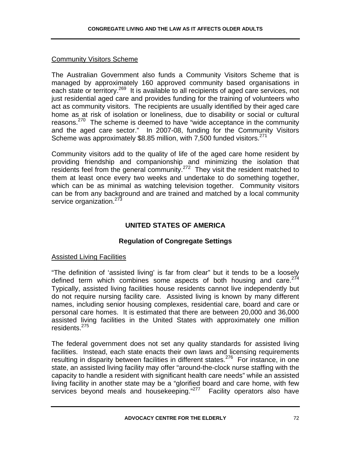### Community Visitors Scheme

The Australian Government also funds a Community Visitors Scheme that is managed by approximately 160 approved community based organisations in each state or territory.<sup>269</sup> It is available to all recipients of aged care services, not just residential aged care and provides funding for the training of volunteers who act as community visitors. The recipients are usually identified by their aged care home as at risk of isolation or loneliness, due to disability or social or cultural reasons.<sup>270</sup> The scheme is deemed to have "wide acceptance in the community and the aged care sector." In 2007-08, funding for the Community Visitors Scheme was approximately \$8.85 million, with 7,500 funded visitors.<sup>271</sup>

Community visitors add to the quality of life of the aged care home resident by providing friendship and companionship and minimizing the isolation that residents feel from the general community.<sup>272</sup> They visit the resident matched to them at least once every two weeks and undertake to do something together, which can be as minimal as watching television together. Community visitors can be from any background and are trained and matched by a local community service organization.<sup>273</sup>

# **UNITED STATES OF AMERICA**

# **Regulation of Congregate Settings**

### Assisted Living Facilities

"The definition of 'assisted living' is far from clear" but it tends to be a loosely defined term which combines some aspects of both housing and care. $274$ Typically, assisted living facilities house residents cannot live independently but do not require nursing facility care. Assisted living is known by many different names, including senior housing complexes, residential care, board and care or personal care homes. It is estimated that there are between 20,000 and 36,000 assisted living facilities in the United States with approximately one million residents.275

The federal government does not set any quality standards for assisted living facilities. Instead, each state enacts their own laws and licensing requirements resulting in disparity between facilities in different states.<sup>276</sup> For instance, in one state, an assisted living facility may offer "around-the-clock nurse staffing with the capacity to handle a resident with significant health care needs" while an assisted living facility in another state may be a "glorified board and care home, with few services beyond meals and housekeeping."<sup>277</sup> Facility operators also have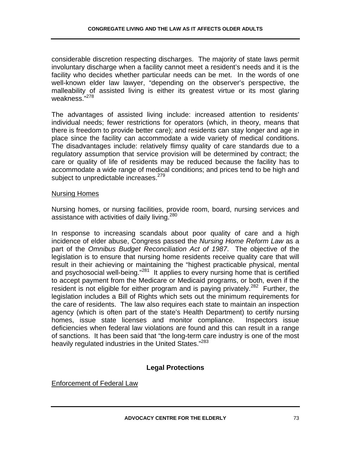considerable discretion respecting discharges. The majority of state laws permit involuntary discharge when a facility cannot meet a resident's needs and it is the facility who decides whether particular needs can be met. In the words of one well-known elder law lawyer, "depending on the observer's perspective, the malleability of assisted living is either its greatest virtue or its most glaring weakness.<sup>"278</sup>

The advantages of assisted living include: increased attention to residents' individual needs; fewer restrictions for operators (which, in theory, means that there is freedom to provide better care); and residents can stay longer and age in place since the facility can accommodate a wide variety of medical conditions. The disadvantages include: relatively flimsy quality of care standards due to a regulatory assumption that service provision will be determined by contract; the care or quality of life of residents may be reduced because the facility has to accommodate a wide range of medical conditions; and prices tend to be high and subject to unpredictable increases.<sup>279</sup>

#### Nursing Homes

Nursing homes, or nursing facilities, provide room, board, nursing services and assistance with activities of daily living.<sup>280</sup>

In response to increasing scandals about poor quality of care and a high incidence of elder abuse, Congress passed the *Nursing Home Reform Law* as a part of the *Omnibus Budget Reconciliation Act of 1987*. The objective of the legislation is to ensure that nursing home residents receive quality care that will result in their achieving or maintaining the "highest practicable physical, mental and psychosocial well-being."<sup>281</sup> It applies to every nursing home that is certified to accept payment from the Medicare or Medicaid programs, or both, even if the resident is not eligible for either program and is paying privately.<sup>282</sup> Further, the legislation includes a Bill of Rights which sets out the minimum requirements for the care of residents. The law also requires each state to maintain an inspection agency (which is often part of the state's Health Department) to certify nursing homes, issue state licenses and monitor compliance. Inspectors issue deficiencies when federal law violations are found and this can result in a range of sanctions. It has been said that "the long-term care industry is one of the most heavily regulated industries in the United States."<sup>283</sup>

## **Legal Protections**

Enforcement of Federal Law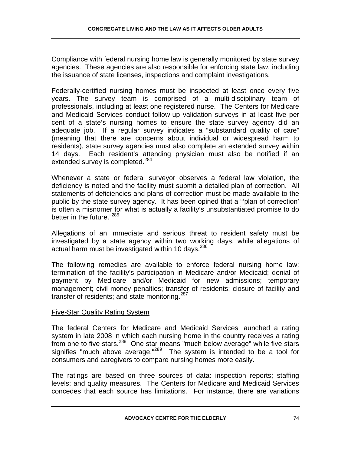Compliance with federal nursing home law is generally monitored by state survey agencies. These agencies are also responsible for enforcing state law, including the issuance of state licenses, inspections and complaint investigations.

Federally-certified nursing homes must be inspected at least once every five years. The survey team is comprised of a multi-disciplinary team of professionals, including at least one registered nurse. The Centers for Medicare and Medicaid Services conduct follow-up validation surveys in at least five per cent of a state's nursing homes to ensure the state survey agency did an adequate job. If a regular survey indicates a "substandard quality of care" (meaning that there are concerns about individual or widespread harm to residents), state survey agencies must also complete an extended survey within 14 days. Each resident's attending physician must also be notified if an extended survey is completed.<sup>284</sup>

Whenever a state or federal surveyor observes a federal law violation, the deficiency is noted and the facility must submit a detailed plan of correction. All statements of deficiencies and plans of correction must be made available to the public by the state survey agency. It has been opined that a "'plan of correction' is often a misnomer for what is actually a facility's unsubstantiated promise to do better in the future."285

Allegations of an immediate and serious threat to resident safety must be investigated by a state agency within two working days, while allegations of actual harm must be investigated within 10 days.<sup>286</sup>

The following remedies are available to enforce federal nursing home law: termination of the facility's participation in Medicare and/or Medicaid; denial of payment by Medicare and/or Medicaid for new admissions; temporary management; civil money penalties; transfer of residents; closure of facility and transfer of residents; and state monitoring.<sup>287</sup>

## Five-Star Quality Rating System

The federal Centers for Medicare and Medicaid Services launched a rating system in late 2008 in which each nursing home in the country receives a rating from one to five stars.288 One star means "much below average" while five stars signifies "much above average." $289$  The system is intended to be a tool for consumers and caregivers to compare nursing homes more easily.

The ratings are based on three sources of data: inspection reports; staffing levels; and quality measures. The Centers for Medicare and Medicaid Services concedes that each source has limitations. For instance, there are variations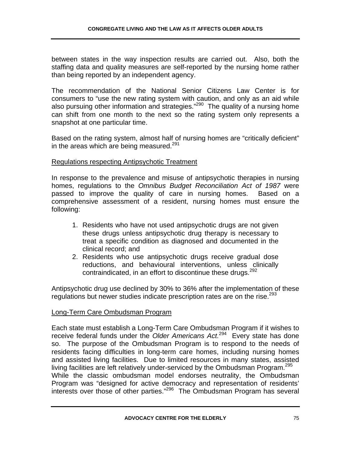between states in the way inspection results are carried out. Also, both the staffing data and quality measures are self-reported by the nursing home rather than being reported by an independent agency.

The recommendation of the National Senior Citizens Law Center is for consumers to "use the new rating system with caution, and only as an aid while also pursuing other information and strategies."290 The quality of a nursing home can shift from one month to the next so the rating system only represents a snapshot at one particular time.

Based on the rating system, almost half of nursing homes are "critically deficient" in the areas which are being measured.<sup>291</sup>

### Regulations respecting Antipsychotic Treatment

In response to the prevalence and misuse of antipsychotic therapies in nursing homes, regulations to the *Omnibus Budget Reconciliation Act of 1987* were passed to improve the quality of care in nursing homes. Based on a comprehensive assessment of a resident, nursing homes must ensure the following:

- 1. Residents who have not used antipsychotic drugs are not given these drugs unless antipsychotic drug therapy is necessary to treat a specific condition as diagnosed and documented in the clinical record; and
- 2. Residents who use antipsychotic drugs receive gradual dose reductions, and behavioural interventions, unless clinically contraindicated, in an effort to discontinue these drugs.<sup>292</sup>

Antipsychotic drug use declined by 30% to 36% after the implementation of these regulations but newer studies indicate prescription rates are on the rise.<sup>293</sup>

#### Long-Term Care Ombudsman Program

Each state must establish a Long-Term Care Ombudsman Program if it wishes to receive federal funds under the *Older Americans Act.*294 Every state has done so. The purpose of the Ombudsman Program is to respond to the needs of residents facing difficulties in long-term care homes, including nursing homes and assisted living facilities. Due to limited resources in many states, assisted living facilities are left relatively under-serviced by the Ombudsman Program.<sup>295</sup> While the classic ombudsman model endorses neutrality, the Ombudsman Program was "designed for active democracy and representation of residents' interests over those of other parties."296 The Ombudsman Program has several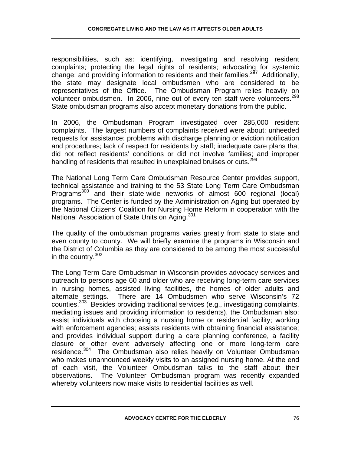responsibilities, such as: identifying, investigating and resolving resident complaints; protecting the legal rights of residents; advocating for systemic change; and providing information to residents and their families.<sup>297</sup> Additionally, the state may designate local ombudsmen who are considered to be representatives of the Office. The Ombudsman Program relies heavily on volunteer ombudsmen. In 2006, nine out of every ten staff were volunteers.<sup>298</sup> State ombudsman programs also accept monetary donations from the public.

In 2006, the Ombudsman Program investigated over 285,000 resident complaints. The largest numbers of complaints received were about: unheeded requests for assistance; problems with discharge planning or eviction notification and procedures; lack of respect for residents by staff; inadequate care plans that did not reflect residents' conditions or did not involve families; and improper handling of residents that resulted in unexplained bruises or cuts.<sup>299</sup>

The National Long Term Care Ombudsman Resource Center provides support, technical assistance and training to the 53 State Long Term Care Ombudsman Programs<sup>300</sup> and their state-wide networks of almost 600 regional (local) programs. The Center is funded by the Administration on Aging but operated by the National Citizens' Coalition for Nursing Home Reform in cooperation with the National Association of State Units on Aging.<sup>301</sup>

The quality of the ombudsman programs varies greatly from state to state and even county to county. We will briefly examine the programs in Wisconsin and the District of Columbia as they are considered to be among the most successful in the country.  $302$ 

The Long-Term Care Ombudsman in Wisconsin provides advocacy services and outreach to persons age 60 and older who are receiving long-term care services in nursing homes, assisted living facilities, the homes of older adults and alternate settings. There are 14 Ombudsmen who serve Wisconsin's 72 counties.303 Besides providing traditional services (e.g., investigating complaints, mediating issues and providing information to residents), the Ombudsman also: assist individuals with choosing a nursing home or residential facility; working with enforcement agencies; assists residents with obtaining financial assistance; and provides individual support during a care planning conference, a facility closure or other event adversely affecting one or more long-term care residence.304 The Ombudsman also relies heavily on Volunteer Ombudsman who makes unannounced weekly visits to an assigned nursing home. At the end of each visit, the Volunteer Ombudsman talks to the staff about their observations. The Volunteer Ombudsman program was recently expanded whereby volunteers now make visits to residential facilities as well.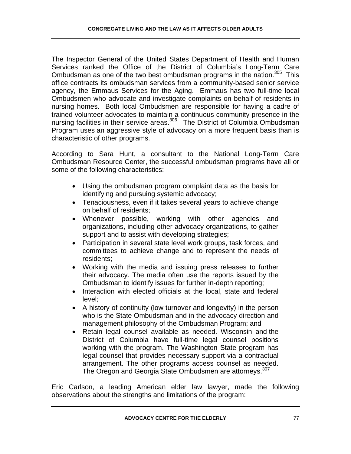The Inspector General of the United States Department of Health and Human Services ranked the Office of the District of Columbia's Long-Term Care Ombudsman as one of the two best ombudsman programs in the nation.<sup>305</sup> This office contracts its ombudsman services from a community-based senior service agency, the Emmaus Services for the Aging. Emmaus has two full-time local Ombudsmen who advocate and investigate complaints on behalf of residents in nursing homes. Both local Ombudsmen are responsible for having a cadre of trained volunteer advocates to maintain a continuous community presence in the nursing facilities in their service areas.<sup>306</sup> The District of Columbia Ombudsman Program uses an aggressive style of advocacy on a more frequent basis than is characteristic of other programs.

According to Sara Hunt, a consultant to the National Long-Term Care Ombudsman Resource Center, the successful ombudsman programs have all or some of the following characteristics:

- Using the ombudsman program complaint data as the basis for identifying and pursuing systemic advocacy;
- Tenaciousness, even if it takes several years to achieve change on behalf of residents;
- Whenever possible, working with other agencies and organizations, including other advocacy organizations, to gather support and to assist with developing strategies;
- Participation in several state level work groups, task forces, and committees to achieve change and to represent the needs of residents;
- Working with the media and issuing press releases to further their advocacy. The media often use the reports issued by the Ombudsman to identify issues for further in-depth reporting;
- Interaction with elected officials at the local, state and federal level;
- A history of continuity (low turnover and longevity) in the person who is the State Ombudsman and in the advocacy direction and management philosophy of the Ombudsman Program; and
- Retain legal counsel available as needed. Wisconsin and the District of Columbia have full-time legal counsel positions working with the program. The Washington State program has legal counsel that provides necessary support via a contractual arrangement. The other programs access counsel as needed. The Oregon and Georgia State Ombudsmen are attorneys.<sup>307</sup>

Eric Carlson, a leading American elder law lawyer, made the following observations about the strengths and limitations of the program: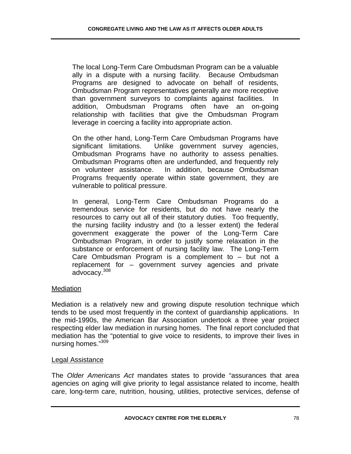The local Long-Term Care Ombudsman Program can be a valuable ally in a dispute with a nursing facility. Because Ombudsman Programs are designed to advocate on behalf of residents, Ombudsman Program representatives generally are more receptive than government surveyors to complaints against facilities. In addition, Ombudsman Programs often have an on-going relationship with facilities that give the Ombudsman Program leverage in coercing a facility into appropriate action.

On the other hand, Long-Term Care Ombudsman Programs have significant limitations. Unlike government survey agencies, Ombudsman Programs have no authority to assess penalties. Ombudsman Programs often are underfunded, and frequently rely on volunteer assistance. In addition, because Ombudsman Programs frequently operate within state government, they are vulnerable to political pressure.

In general, Long-Term Care Ombudsman Programs do a tremendous service for residents, but do not have nearly the resources to carry out all of their statutory duties. Too frequently, the nursing facility industry and (to a lesser extent) the federal government exaggerate the power of the Long-Term Care Ombudsman Program, in order to justify some relaxation in the substance or enforcement of nursing facility law. The Long-Term Care Ombudsman Program is a complement to – but not a replacement for – government survey agencies and private advocacy.308

#### Mediation

Mediation is a relatively new and growing dispute resolution technique which tends to be used most frequently in the context of guardianship applications. In the mid-1990s, the American Bar Association undertook a three year project respecting elder law mediation in nursing homes. The final report concluded that mediation has the "potential to give voice to residents, to improve their lives in nursing homes."309

#### Legal Assistance

The *Older Americans Act* mandates states to provide "assurances that area agencies on aging will give priority to legal assistance related to income, health care, long-term care, nutrition, housing, utilities, protective services, defense of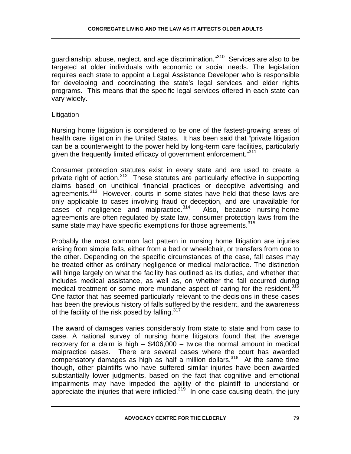guardianship, abuse, neglect, and age discrimination."<sup>310</sup> Services are also to be targeted at older individuals with economic or social needs. The legislation requires each state to appoint a Legal Assistance Developer who is responsible for developing and coordinating the state's legal services and elder rights programs. This means that the specific legal services offered in each state can vary widely.

### Litigation

Nursing home litigation is considered to be one of the fastest-growing areas of health care litigation in the United States. It has been said that "private litigation can be a counterweight to the power held by long-term care facilities, particularly given the frequently limited efficacy of government enforcement."<sup>311</sup>

Consumer protection statutes exist in every state and are used to create a private right of action.<sup>312</sup> These statutes are particularly effective in supporting claims based on unethical financial practices or deceptive advertising and agreements.<sup>313</sup> However, courts in some states have held that these laws are only applicable to cases involving fraud or deception, and are unavailable for cases of negligence and malpractice. $314$  Also, because nursing-home agreements are often regulated by state law, consumer protection laws from the same state may have specific exemptions for those agreements.<sup>315</sup>

Probably the most common fact pattern in nursing home litigation are injuries arising from simple falls, either from a bed or wheelchair, or transfers from one to the other. Depending on the specific circumstances of the case, fall cases may be treated either as ordinary negligence or medical malpractice. The distinction will hinge largely on what the facility has outlined as its duties, and whether that includes medical assistance, as well as, on whether the fall occurred during medical treatment or some more mundane aspect of caring for the resident.<sup>316</sup> One factor that has seemed particularly relevant to the decisions in these cases has been the previous history of falls suffered by the resident, and the awareness of the facility of the risk posed by falling.<sup>317</sup>

The award of damages varies considerably from state to state and from case to case. A national survey of nursing home litigators found that the average recovery for a claim is high  $-$  \$406,000  $-$  twice the normal amount in medical malpractice cases. There are several cases where the court has awarded compensatory damages as high as half a million dollars.<sup>318</sup> At the same time though, other plaintiffs who have suffered similar injuries have been awarded substantially lower judgments, based on the fact that cognitive and emotional impairments may have impeded the ability of the plaintiff to understand or appreciate the injuries that were inflicted.<sup>319</sup> In one case causing death, the jury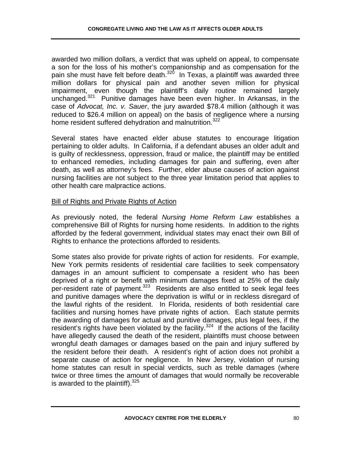awarded two million dollars, a verdict that was upheld on appeal, to compensate a son for the loss of his mother's companionship and as compensation for the pain she must have felt before death.<sup>320</sup> In Texas, a plaintiff was awarded three million dollars for physical pain and another seven million for physical impairment, even though the plaintiff's daily routine remained largely unchanged.<sup>321</sup> Punitive damages have been even higher. In Arkansas, in the case of *Advocat, Inc. v. Sauer*, the jury awarded \$78.4 million (although it was reduced to \$26.4 million on appeal) on the basis of negligence where a nursing home resident suffered dehydration and malnutrition.<sup>322</sup>

Several states have enacted elder abuse statutes to encourage litigation pertaining to older adults. In California, if a defendant abuses an older adult and is guilty of recklessness, oppression, fraud or malice, the plaintiff may be entitled to enhanced remedies, including damages for pain and suffering, even after death, as well as attorney's fees. Further, elder abuse causes of action against nursing facilities are not subject to the three year limitation period that applies to other health care malpractice actions.

### Bill of Rights and Private Rights of Action

As previously noted, the federal *Nursing Home Reform Law* establishes a comprehensive Bill of Rights for nursing home residents. In addition to the rights afforded by the federal government, individual states may enact their own Bill of Rights to enhance the protections afforded to residents.

Some states also provide for private rights of action for residents. For example, New York permits residents of residential care facilities to seek compensatory damages in an amount sufficient to compensate a resident who has been deprived of a right or benefit with minimum damages fixed at 25% of the daily per-resident rate of payment.<sup>323</sup> Residents are also entitled to seek legal fees and punitive damages where the deprivation is wilful or in reckless disregard of the lawful rights of the resident. In Florida, residents of both residential care facilities and nursing homes have private rights of action. Each statute permits the awarding of damages for actual and punitive damages, plus legal fees, if the resident's rights have been violated by the facility.<sup>324</sup> If the actions of the facility have allegedly caused the death of the resident, plaintiffs must choose between wrongful death damages or damages based on the pain and injury suffered by the resident before their death. A resident's right of action does not prohibit a separate cause of action for negligence. In New Jersey, violation of nursing home statutes can result in special verdicts, such as treble damages (where twice or three times the amount of damages that would normally be recoverable is awarded to the plaintiff).  $325$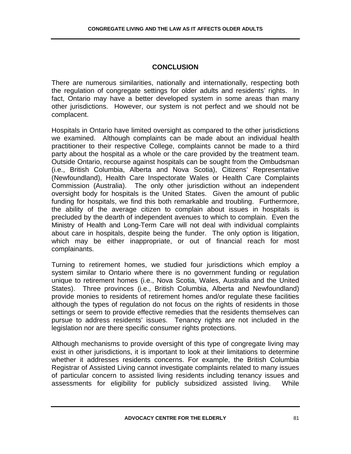# **CONCLUSION**

There are numerous similarities, nationally and internationally, respecting both the regulation of congregate settings for older adults and residents' rights. In fact, Ontario may have a better developed system in some areas than many other jurisdictions. However, our system is not perfect and we should not be complacent.

Hospitals in Ontario have limited oversight as compared to the other jurisdictions we examined. Although complaints can be made about an individual health practitioner to their respective College, complaints cannot be made to a third party about the hospital as a whole or the care provided by the treatment team. Outside Ontario, recourse against hospitals can be sought from the Ombudsman (i.e., British Columbia, Alberta and Nova Scotia), Citizens' Representative (Newfoundland), Health Care Inspectorate Wales or Health Care Complaints Commission (Australia). The only other jurisdiction without an independent oversight body for hospitals is the United States. Given the amount of public funding for hospitals, we find this both remarkable and troubling. Furthermore, the ability of the average citizen to complain about issues in hospitals is precluded by the dearth of independent avenues to which to complain. Even the Ministry of Health and Long-Term Care will not deal with individual complaints about care in hospitals, despite being the funder. The only option is litigation, which may be either inappropriate, or out of financial reach for most complainants.

Turning to retirement homes, we studied four jurisdictions which employ a system similar to Ontario where there is no government funding or regulation unique to retirement homes (i.e., Nova Scotia, Wales, Australia and the United States). Three provinces (i.e., British Columbia, Alberta and Newfoundland) provide monies to residents of retirement homes and/or regulate these facilities although the types of regulation do not focus on the rights of residents in those settings or seem to provide effective remedies that the residents themselves can pursue to address residents' issues. Tenancy rights are not included in the legislation nor are there specific consumer rights protections.

Although mechanisms to provide oversight of this type of congregate living may exist in other jurisdictions, it is important to look at their limitations to determine whether it addresses residents concerns. For example, the British Columbia Registrar of Assisted Living cannot investigate complaints related to many issues of particular concern to assisted living residents including tenancy issues and assessments for eligibility for publicly subsidized assisted living. While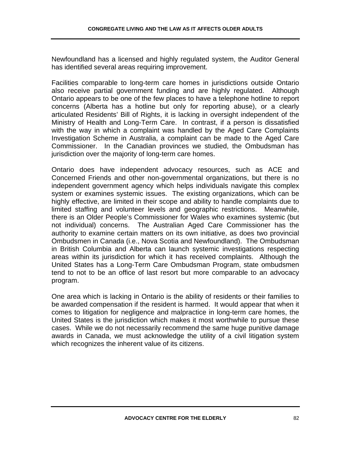Newfoundland has a licensed and highly regulated system, the Auditor General has identified several areas requiring improvement.

Facilities comparable to long-term care homes in jurisdictions outside Ontario also receive partial government funding and are highly regulated. Although Ontario appears to be one of the few places to have a telephone hotline to report concerns (Alberta has a hotline but only for reporting abuse), or a clearly articulated Residents' Bill of Rights, it is lacking in oversight independent of the Ministry of Health and Long-Term Care. In contrast, if a person is dissatisfied with the way in which a complaint was handled by the Aged Care Complaints Investigation Scheme in Australia, a complaint can be made to the Aged Care Commissioner. In the Canadian provinces we studied, the Ombudsman has jurisdiction over the majority of long-term care homes.

Ontario does have independent advocacy resources, such as ACE and Concerned Friends and other non-governmental organizations, but there is no independent government agency which helps individuals navigate this complex system or examines systemic issues. The existing organizations, which can be highly effective, are limited in their scope and ability to handle complaints due to limited staffing and volunteer levels and geographic restrictions. Meanwhile, there is an Older People's Commissioner for Wales who examines systemic (but not individual) concerns. The Australian Aged Care Commissioner has the authority to examine certain matters on its own initiative, as does two provincial Ombudsmen in Canada (i.e., Nova Scotia and Newfoundland). The Ombudsman in British Columbia and Alberta can launch systemic investigations respecting areas within its jurisdiction for which it has received complaints. Although the United States has a Long-Term Care Ombudsman Program, state ombudsmen tend to not to be an office of last resort but more comparable to an advocacy program.

One area which is lacking in Ontario is the ability of residents or their families to be awarded compensation if the resident is harmed. It would appear that when it comes to litigation for negligence and malpractice in long-term care homes, the United States is the jurisdiction which makes it most worthwhile to pursue these cases. While we do not necessarily recommend the same huge punitive damage awards in Canada, we must acknowledge the utility of a civil litigation system which recognizes the inherent value of its citizens.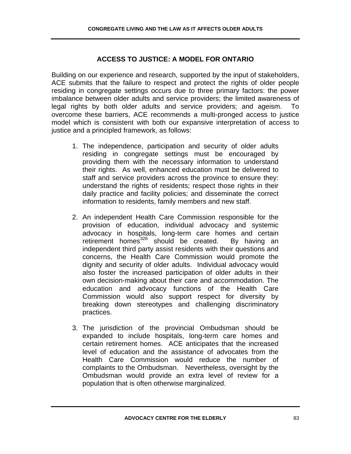# **ACCESS TO JUSTICE: A MODEL FOR ONTARIO**

Building on our experience and research, supported by the input of stakeholders, ACE submits that the failure to respect and protect the rights of older people residing in congregate settings occurs due to three primary factors: the power imbalance between older adults and service providers; the limited awareness of legal rights by both older adults and service providers; and ageism. To overcome these barriers, ACE recommends a multi-pronged access to justice model which is consistent with both our expansive interpretation of access to justice and a principled framework, as follows:

- 1. The independence, participation and security of older adults residing in congregate settings must be encouraged by providing them with the necessary information to understand their rights. As well, enhanced education must be delivered to staff and service providers across the province to ensure they: understand the rights of residents; respect those rights in their daily practice and facility policies; and disseminate the correct information to residents, family members and new staff.
- 2. An independent Health Care Commission responsible for the provision of education, individual advocacy and systemic advocacy in hospitals, long-term care homes and certain retirement homes $326$  should be created. By having an independent third party assist residents with their questions and concerns, the Health Care Commission would promote the dignity and security of older adults. Individual advocacy would also foster the increased participation of older adults in their own decision-making about their care and accommodation. The education and advocacy functions of the Health Care Commission would also support respect for diversity by breaking down stereotypes and challenging discriminatory practices.
- 3. The jurisdiction of the provincial Ombudsman should be expanded to include hospitals, long-term care homes and certain retirement homes. ACE anticipates that the increased level of education and the assistance of advocates from the Health Care Commission would reduce the number of complaints to the Ombudsman. Nevertheless, oversight by the Ombudsman would provide an extra level of review for a population that is often otherwise marginalized.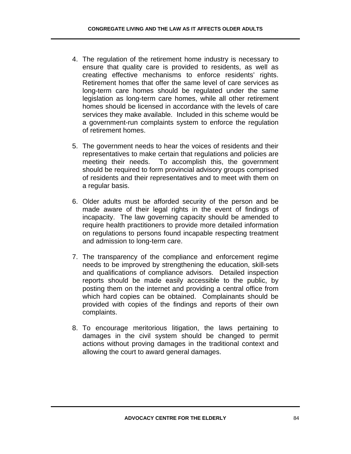- 4. The regulation of the retirement home industry is necessary to ensure that quality care is provided to residents, as well as creating effective mechanisms to enforce residents' rights. Retirement homes that offer the same level of care services as long-term care homes should be regulated under the same legislation as long-term care homes, while all other retirement homes should be licensed in accordance with the levels of care services they make available. Included in this scheme would be a government-run complaints system to enforce the regulation of retirement homes.
- 5. The government needs to hear the voices of residents and their representatives to make certain that regulations and policies are meeting their needs. To accomplish this, the government should be required to form provincial advisory groups comprised of residents and their representatives and to meet with them on a regular basis.
- 6. Older adults must be afforded security of the person and be made aware of their legal rights in the event of findings of incapacity. The law governing capacity should be amended to require health practitioners to provide more detailed information on regulations to persons found incapable respecting treatment and admission to long-term care.
- 7. The transparency of the compliance and enforcement regime needs to be improved by strengthening the education, skill-sets and qualifications of compliance advisors. Detailed inspection reports should be made easily accessible to the public, by posting them on the internet and providing a central office from which hard copies can be obtained. Complainants should be provided with copies of the findings and reports of their own complaints.
- 8. To encourage meritorious litigation, the laws pertaining to damages in the civil system should be changed to permit actions without proving damages in the traditional context and allowing the court to award general damages.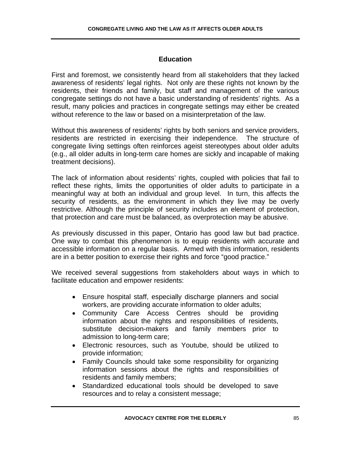### **Education**

First and foremost, we consistently heard from all stakeholders that they lacked awareness of residents' legal rights. Not only are these rights not known by the residents, their friends and family, but staff and management of the various congregate settings do not have a basic understanding of residents' rights. As a result, many policies and practices in congregate settings may either be created without reference to the law or based on a misinterpretation of the law.

Without this awareness of residents' rights by both seniors and service providers, residents are restricted in exercising their independence. The structure of congregate living settings often reinforces ageist stereotypes about older adults (e.g., all older adults in long-term care homes are sickly and incapable of making treatment decisions).

The lack of information about residents' rights, coupled with policies that fail to reflect these rights, limits the opportunities of older adults to participate in a meaningful way at both an individual and group level. In turn, this affects the security of residents, as the environment in which they live may be overly restrictive. Although the principle of security includes an element of protection, that protection and care must be balanced, as overprotection may be abusive.

As previously discussed in this paper, Ontario has good law but bad practice. One way to combat this phenomenon is to equip residents with accurate and accessible information on a regular basis. Armed with this information, residents are in a better position to exercise their rights and force "good practice."

We received several suggestions from stakeholders about ways in which to facilitate education and empower residents:

- Ensure hospital staff, especially discharge planners and social workers, are providing accurate information to older adults;
- Community Care Access Centres should be providing information about the rights and responsibilities of residents, substitute decision-makers and family members prior to admission to long-term care;
- Electronic resources, such as Youtube, should be utilized to provide information;
- Family Councils should take some responsibility for organizing information sessions about the rights and responsibilities of residents and family members;
- Standardized educational tools should be developed to save resources and to relay a consistent message;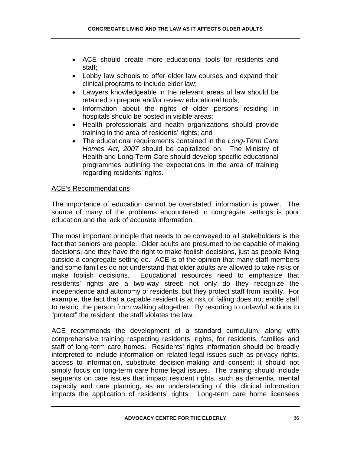- ACE should create more educational tools for residents and staff;
- Lobby law schools to offer elder law courses and expand their clinical programs to include elder law;
- Lawyers knowledgeable in the relevant areas of law should be retained to prepare and/or review educational tools;
- Information about the rights of older persons residing in hospitals should be posted in visible areas;
- Health professionals and health organizations should provide training in the area of residents' rights; and
- The educational requirements contained in the *Long-Term Care Homes Act, 2007* should be capitalized on. The Ministry of Health and Long-Term Care should develop specific educational programmes outlining the expectations in the area of training regarding residents' rights.

## ACE's Recommendations

The importance of education cannot be overstated: information is power. The source of many of the problems encountered in congregate settings is poor education and the lack of accurate information.

The most important principle that needs to be conveyed to all stakeholders is the fact that seniors are people. Older adults are presumed to be capable of making decisions, and they have the right to make foolish decisions, just as people living outside a congregate setting do. ACE is of the opinion that many staff members and some families do not understand that older adults are allowed to take risks or make foolish decisions. Educational resources need to emphasize that residents' rights are a two-way street: not only do they recognize the independence and autonomy of residents, but they protect staff from liability. For example, the fact that a capable resident is at risk of falling does not entitle staff to restrict the person from walking altogether. By resorting to unlawful actions to "protect" the resident, the staff violates the law.

ACE recommends the development of a standard curriculum, along with comprehensive training respecting residents' rights, for residents, families and staff of long-term care homes. Residents' rights information should be broadly interpreted to include information on related legal issues such as privacy rights, access to information, substitute decision-making and consent; it should not simply focus on long-term care home legal issues. The training should include segments on care issues that impact resident rights, such as dementia, mental capacity and care planning, as an understanding of this clinical information impacts the application of residents' rights. Long-term care home licensees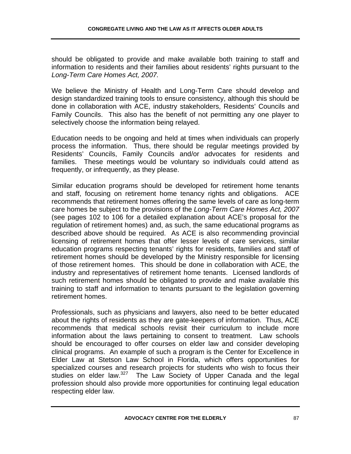should be obligated to provide and make available both training to staff and information to residents and their families about residents' rights pursuant to the *Long-Term Care Homes Act, 2007.* 

We believe the Ministry of Health and Long-Term Care should develop and design standardized training tools to ensure consistency, although this should be done in collaboration with ACE, industry stakeholders, Residents' Councils and Family Councils. This also has the benefit of not permitting any one player to selectively choose the information being relayed.

Education needs to be ongoing and held at times when individuals can properly process the information. Thus, there should be regular meetings provided by Residents' Councils, Family Councils and/or advocates for residents and families. These meetings would be voluntary so individuals could attend as frequently, or infrequently, as they please.

Similar education programs should be developed for retirement home tenants and staff, focusing on retirement home tenancy rights and obligations. ACE recommends that retirement homes offering the same levels of care as long-term care homes be subject to the provisions of the *Long-Term Care Homes Act, 2007*  (see pages 102 to 106 for a detailed explanation about ACE's proposal for the regulation of retirement homes) and, as such, the same educational programs as described above should be required. As ACE is also recommending provincial licensing of retirement homes that offer lesser levels of care services, similar education programs respecting tenants' rights for residents, families and staff of retirement homes should be developed by the Ministry responsible for licensing of those retirement homes. This should be done in collaboration with ACE, the industry and representatives of retirement home tenants. Licensed landlords of such retirement homes should be obligated to provide and make available this training to staff and information to tenants pursuant to the legislation governing retirement homes.

Professionals, such as physicians and lawyers, also need to be better educated about the rights of residents as they are gate-keepers of information. Thus, ACE recommends that medical schools revisit their curriculum to include more information about the laws pertaining to consent to treatment. Law schools should be encouraged to offer courses on elder law and consider developing clinical programs. An example of such a program is the Center for Excellence in Elder Law at Stetson Law School in Florida, which offers opportunities for specialized courses and research projects for students who wish to focus their studies on elder law.<sup>327</sup> The Law Society of Upper Canada and the legal profession should also provide more opportunities for continuing legal education respecting elder law.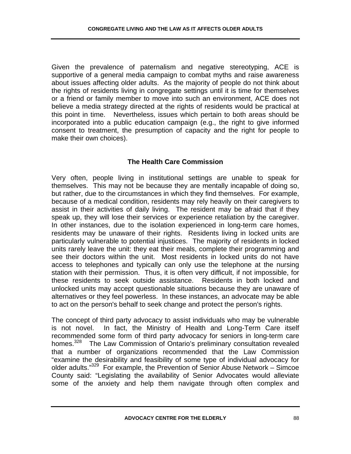Given the prevalence of paternalism and negative stereotyping, ACE is supportive of a general media campaign to combat myths and raise awareness about issues affecting older adults. As the majority of people do not think about the rights of residents living in congregate settings until it is time for themselves or a friend or family member to move into such an environment, ACE does not believe a media strategy directed at the rights of residents would be practical at this point in time. Nevertheless, issues which pertain to both areas should be incorporated into a public education campaign (e.g., the right to give informed consent to treatment, the presumption of capacity and the right for people to make their own choices).

## **The Health Care Commission**

Very often, people living in institutional settings are unable to speak for themselves. This may not be because they are mentally incapable of doing so, but rather, due to the circumstances in which they find themselves. For example, because of a medical condition, residents may rely heavily on their caregivers to assist in their activities of daily living. The resident may be afraid that if they speak up, they will lose their services or experience retaliation by the caregiver. In other instances, due to the isolation experienced in long-term care homes, residents may be unaware of their rights. Residents living in locked units are particularly vulnerable to potential injustices. The majority of residents in locked units rarely leave the unit: they eat their meals, complete their programming and see their doctors within the unit. Most residents in locked units do not have access to telephones and typically can only use the telephone at the nursing station with their permission. Thus, it is often very difficult, if not impossible, for these residents to seek outside assistance. Residents in both locked and unlocked units may accept questionable situations because they are unaware of alternatives or they feel powerless. In these instances, an advocate may be able to act on the person's behalf to seek change and protect the person's rights.

The concept of third party advocacy to assist individuals who may be vulnerable is not novel. In fact, the Ministry of Health and Long-Term Care itself recommended some form of third party advocacy for seniors in long-term care homes.<sup>328</sup> The Law Commission of Ontario's preliminary consultation revealed that a number of organizations recommended that the Law Commission "examine the desirability and feasibility of some type of individual advocacy for older adults. $"329$  For example, the Prevention of Senior Abuse Network – Simcoe County said: "Legislating the availability of Senior Advocates would alleviate some of the anxiety and help them navigate through often complex and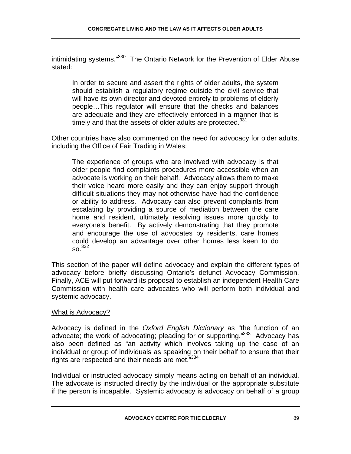intimidating systems."<sup>330</sup> The Ontario Network for the Prevention of Elder Abuse stated:

In order to secure and assert the rights of older adults, the system should establish a regulatory regime outside the civil service that will have its own director and devoted entirely to problems of elderly people…This regulator will ensure that the checks and balances are adequate and they are effectively enforced in a manner that is timely and that the assets of older adults are protected. $331$ 

Other countries have also commented on the need for advocacy for older adults, including the Office of Fair Trading in Wales:

The experience of groups who are involved with advocacy is that older people find complaints procedures more accessible when an advocate is working on their behalf. Advocacy allows them to make their voice heard more easily and they can enjoy support through difficult situations they may not otherwise have had the confidence or ability to address. Advocacy can also prevent complaints from escalating by providing a source of mediation between the care home and resident, ultimately resolving issues more quickly to everyone's benefit. By actively demonstrating that they promote and encourage the use of advocates by residents, care homes could develop an advantage over other homes less keen to do  $SO<sup>332</sup>$ 

This section of the paper will define advocacy and explain the different types of advocacy before briefly discussing Ontario's defunct Advocacy Commission. Finally, ACE will put forward its proposal to establish an independent Health Care Commission with health care advocates who will perform both individual and systemic advocacy.

#### What is Advocacy?

Advocacy is defined in the *Oxford English Dictionary* as "the function of an advocate; the work of advocating; pleading for or supporting."333Advocacy has also been defined as "an activity which involves taking up the case of an individual or group of individuals as speaking on their behalf to ensure that their rights are respected and their needs are met."334

Individual or instructed advocacy simply means acting on behalf of an individual. The advocate is instructed directly by the individual or the appropriate substitute if the person is incapable. Systemic advocacy is advocacy on behalf of a group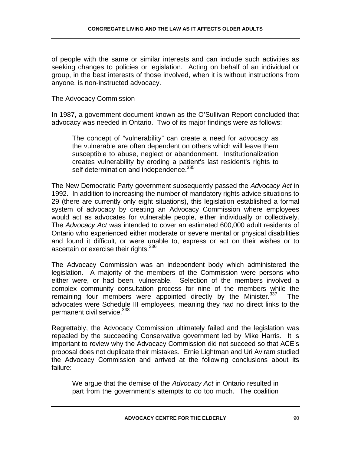of people with the same or similar interests and can include such activities as seeking changes to policies or legislation. Acting on behalf of an individual or group, in the best interests of those involved, when it is without instructions from anyone, is non-instructed advocacy.

#### The Advocacy Commission

In 1987, a government document known as the O'Sullivan Report concluded that advocacy was needed in Ontario. Two of its major findings were as follows:

The concept of "vulnerability" can create a need for advocacy as the vulnerable are often dependent on others which will leave them susceptible to abuse, neglect or abandonment. Institutionalization creates vulnerability by eroding a patient's last resident's rights to self determination and independence.<sup>335</sup>

The New Democratic Party government subsequently passed the *Advocacy Act* in 1992. In addition to increasing the number of mandatory rights advice situations to 29 (there are currently only eight situations), this legislation established a formal system of advocacy by creating an Advocacy Commission where employees would act as advocates for vulnerable people, either individually or collectively. The *Advocacy Act* was intended to cover an estimated 600,000 adult residents of Ontario who experienced either moderate or severe mental or physical disabilities and found it difficult, or were unable to, express or act on their wishes or to ascertain or exercise their rights.<sup>336</sup>

The Advocacy Commission was an independent body which administered the legislation. A majority of the members of the Commission were persons who either were, or had been, vulnerable. Selection of the members involved a complex community consultation process for nine of the members while the remaining four members were appointed directly by the Minister.<sup>337</sup> The advocates were Schedule III employees, meaning they had no direct links to the permanent civil service.<sup>338</sup>

Regrettably, the Advocacy Commission ultimately failed and the legislation was repealed by the succeeding Conservative government led by Mike Harris. It is important to review why the Advocacy Commission did not succeed so that ACE's proposal does not duplicate their mistakes. Ernie Lightman and Uri Aviram studied the Advocacy Commission and arrived at the following conclusions about its failure:

We argue that the demise of the *Advocacy Act* in Ontario resulted in part from the government's attempts to do too much. The coalition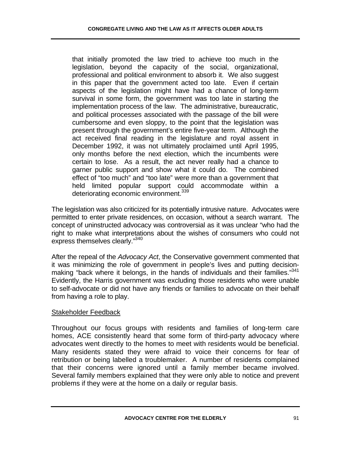that initially promoted the law tried to achieve too much in the legislation, beyond the capacity of the social, organizational, professional and political environment to absorb it. We also suggest in this paper that the government acted too late. Even if certain aspects of the legislation might have had a chance of long-term survival in some form, the government was too late in starting the implementation process of the law. The administrative, bureaucratic, and political processes associated with the passage of the bill were cumbersome and even sloppy, to the point that the legislation was present through the government's entire five-year term. Although the act received final reading in the legislature and royal assent in December 1992, it was not ultimately proclaimed until April 1995, only months before the next election, which the incumbents were certain to lose. As a result, the act never really had a chance to garner public support and show what it could do. The combined effect of "too much" and "too late" were more than a government that held limited popular support could accommodate within a deteriorating economic environment.<sup>339</sup>

The legislation was also criticized for its potentially intrusive nature. Advocates were permitted to enter private residences, on occasion, without a search warrant. The concept of uninstructed advocacy was controversial as it was unclear "who had the right to make what interpretations about the wishes of consumers who could not express themselves clearly."<sup>340</sup>

After the repeal of the *Advocacy Act*, the Conservative government commented that it was minimizing the role of government in people's lives and putting decisionmaking "back where it belongs, in the hands of individuals and their families."<sup>341</sup> Evidently, the Harris government was excluding those residents who were unable to self-advocate or did not have any friends or families to advocate on their behalf from having a role to play.

#### Stakeholder Feedback

Throughout our focus groups with residents and families of long-term care homes, ACE consistently heard that some form of third-party advocacy where advocates went directly to the homes to meet with residents would be beneficial. Many residents stated they were afraid to voice their concerns for fear of retribution or being labelled a troublemaker. A number of residents complained that their concerns were ignored until a family member became involved. Several family members explained that they were only able to notice and prevent problems if they were at the home on a daily or regular basis.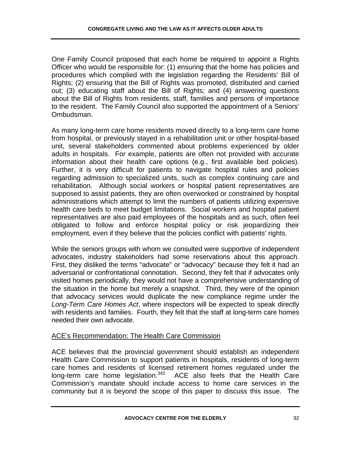One Family Council proposed that each home be required to appoint a Rights Officer who would be responsible for: (1) ensuring that the home has policies and procedures which complied with the legislation regarding the Residents' Bill of Rights; (2) ensuring that the Bill of Rights was promoted, distributed and carried out; (3) educating staff about the Bill of Rights; and (4) answering questions about the Bill of Rights from residents, staff, families and persons of importance to the resident. The Family Council also supported the appointment of a Seniors' Ombudsman.

As many long-term care home residents moved directly to a long-term care home from hospital, or previously stayed in a rehabilitation unit or other hospital-based unit, several stakeholders commented about problems experienced by older adults in hospitals. For example, patients are often not provided with accurate information about their health care options (e.g., first available bed policies). Further, it is very difficult for patients to navigate hospital rules and policies regarding admission to specialized units, such as complex continuing care and rehabilitation. Although social workers or hospital patient representatives are supposed to assist patients, they are often overworked or constrained by hospital administrations which attempt to limit the numbers of patients utilizing expensive health care beds to meet budget limitations. Social workers and hospital patient representatives are also paid employees of the hospitals and as such, often feel obligated to follow and enforce hospital policy or risk jeopardizing their employment, even if they believe that the policies conflict with patients' rights.

While the seniors groups with whom we consulted were supportive of independent advocates, industry stakeholders had some reservations about this approach. First, they disliked the terms "advocate" or "advocacy" because they felt it had an adversarial or confrontational connotation. Second, they felt that if advocates only visited homes periodically, they would not have a comprehensive understanding of the situation in the home but merely a snapshot. Third, they were of the opinion that advocacy services would duplicate the new compliance regime under the *Long-Term Care Homes Act*, where inspectors will be expected to speak directly with residents and families. Fourth, they felt that the staff at long-term care homes needed their own advocate.

## ACE's Recommendation: The Health Care Commission

ACE believes that the provincial government should establish an independent Health Care Commission to support patients in hospitals, residents of long-term care homes and residents of licensed retirement homes regulated under the long-term care home legislation. $342$  ACE also feels that the Health Care Commission's mandate should include access to home care services in the community but it is beyond the scope of this paper to discuss this issue. The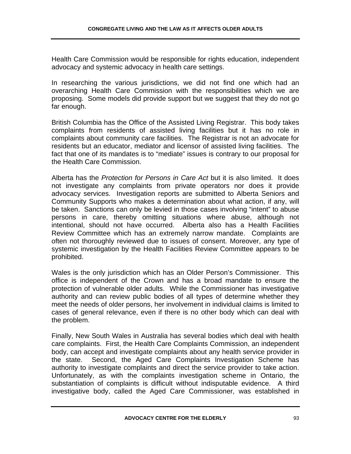Health Care Commission would be responsible for rights education, independent advocacy and systemic advocacy in health care settings.

In researching the various jurisdictions, we did not find one which had an overarching Health Care Commission with the responsibilities which we are proposing. Some models did provide support but we suggest that they do not go far enough.

British Columbia has the Office of the Assisted Living Registrar. This body takes complaints from residents of assisted living facilities but it has no role in complaints about community care facilities. The Registrar is not an advocate for residents but an educator, mediator and licensor of assisted living facilities. The fact that one of its mandates is to "mediate" issues is contrary to our proposal for the Health Care Commission.

Alberta has the *Protection for Persons in Care Act* but it is also limited. It does not investigate any complaints from private operators nor does it provide advocacy services. Investigation reports are submitted to Alberta Seniors and Community Supports who makes a determination about what action, if any, will be taken. Sanctions can only be levied in those cases involving "intent" to abuse persons in care, thereby omitting situations where abuse, although not intentional, should not have occurred. Alberta also has a Health Facilities Review Committee which has an extremely narrow mandate. Complaints are often not thoroughly reviewed due to issues of consent. Moreover, any type of systemic investigation by the Health Facilities Review Committee appears to be prohibited.

Wales is the only jurisdiction which has an Older Person's Commissioner. This office is independent of the Crown and has a broad mandate to ensure the protection of vulnerable older adults. While the Commissioner has investigative authority and can review public bodies of all types of determine whether they meet the needs of older persons, her involvement in individual claims is limited to cases of general relevance, even if there is no other body which can deal with the problem.

Finally, New South Wales in Australia has several bodies which deal with health care complaints. First, the Health Care Complaints Commission, an independent body, can accept and investigate complaints about any health service provider in the state. Second, the Aged Care Complaints Investigation Scheme has authority to investigate complaints and direct the service provider to take action. Unfortunately, as with the complaints investigation scheme in Ontario, the substantiation of complaints is difficult without indisputable evidence. A third investigative body, called the Aged Care Commissioner, was established in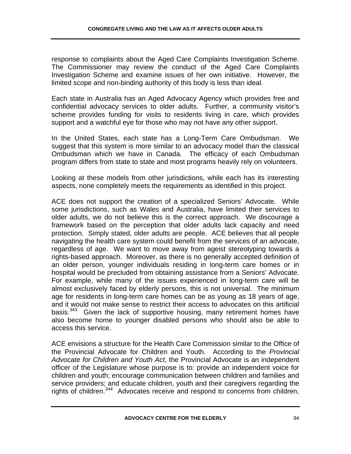response to complaints about the Aged Care Complaints Investigation Scheme. The Commissioner may review the conduct of the Aged Care Complaints Investigation Scheme and examine issues of her own initiative. However, the limited scope and non-binding authority of this body is less than ideal.

Each state in Australia has an Aged Advocacy Agency which provides free and confidential advocacy services to older adults. Further, a community visitor's scheme provides funding for visits to residents living in care, which provides support and a watchful eye for those who may not have any other support.

In the United States, each state has a Long-Term Care Ombudsman. We suggest that this system is more similar to an advocacy model than the classical Ombudsman which we have in Canada. The efficacy of each Ombudsman program differs from state to state and most programs heavily rely on volunteers.

Looking at these models from other jurisdictions, while each has its interesting aspects, none completely meets the requirements as identified in this project.

ACE does not support the creation of a specialized Seniors' Advocate. While some jurisdictions, such as Wales and Australia, have limited their services to older adults, we do not believe this is the correct approach. We discourage a framework based on the perception that older adults lack capacity and need protection. Simply stated, older adults are people. ACE believes that all people navigating the health care system could benefit from the services of an advocate, regardless of age. We want to move away from ageist stereotyping towards a rights-based approach. Moreover, as there is no generally accepted definition of an older person, younger individuals residing in long-term care homes or in hospital would be precluded from obtaining assistance from a Seniors' Advocate. For example, while many of the issues experienced in long-term care will be almost exclusively faced by elderly persons, this is not universal. The minimum age for residents in long-term care homes can be as young as 18 years of age, and it would not make sense to restrict their access to advocates on this artificial basis.<sup>343</sup> Given the lack of supportive housing, many retirement homes have also become home to younger disabled persons who should also be able to access this service.

ACE envisions a structure for the Health Care Commission similar to the Office of the Provincial Advocate for Children and Youth. According to the *Provincial Advocate for Children and Youth Act*, the Provincial Advocate is an independent officer of the Legislature whose purpose is to: provide an independent voice for children and youth; encourage communication between children and families and service providers; and educate children, youth and their caregivers regarding the rights of children.  $344$  Advocates receive and respond to concerns from children,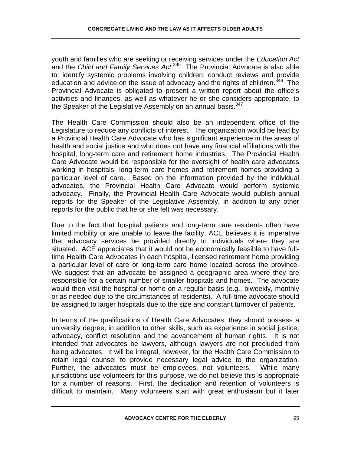youth and families who are seeking or receiving services under the *Education Act* and the *Child and Family Services Act*. 345 The Provincial Advocate is also able to: identify systemic problems involving children; conduct reviews and provide education and advice on the issue of advocacy and the rights of children.<sup>346</sup> The Provincial Advocate is obligated to present a written report about the office's activities and finances, as well as whatever he or she considers appropriate, to the Speaker of the Legislative Assembly on an annual basis.<sup>347</sup>

The Health Care Commission should also be an independent office of the Legislature to reduce any conflicts of interest. The organization would be lead by a Provincial Health Care Advocate who has significant experience in the areas of health and social justice and who does not have any financial affiliations with the hospital, long-term care and retirement home industries. The Provincial Health Care Advocate would be responsible for the oversight of health care advocates working in hospitals, long-term care homes and retirement homes providing a particular level of care. Based on the information provided by the individual advocates, the Provincial Health Care Advocate would perform systemic advocacy. Finally, the Provincial Health Care Advocate would publish annual reports for the Speaker of the Legislative Assembly, in addition to any other reports for the public that he or she felt was necessary.

Due to the fact that hospital patients and long-term care residents often have limited mobility or are unable to leave the facility, ACE believes it is imperative that advocacy services be provided directly to individuals where they are situated. ACE appreciates that it would not be economically feasible to have fulltime Health Care Advocates in each hospital, licensed retirement home providing a particular level of care or long-term care home located across the province. We suggest that an advocate be assigned a geographic area where they are responsible for a certain number of smaller hospitals and homes. The advocate would then visit the hospital or home on a regular basis (e.g., biweekly, monthly or as needed due to the circumstances of residents). A full-time advocate should be assigned to larger hospitals due to the size and constant turnover of patients.

In terms of the qualifications of Health Care Advocates, they should possess a university degree, in addition to other skills, such as experience in social justice, advocacy, conflict resolution and the advancement of human rights. It is not intended that advocates be lawyers, although lawyers are not precluded from being advocates. It will be integral, however, for the Health Care Commission to retain legal counsel to provide necessary legal advice to the organization. Further, the advocates must be employees, not volunteers. While many jurisdictions use volunteers for this purpose, we do not believe this is appropriate for a number of reasons. First, the dedication and retention of volunteers is difficult to maintain. Many volunteers start with great enthusiasm but it later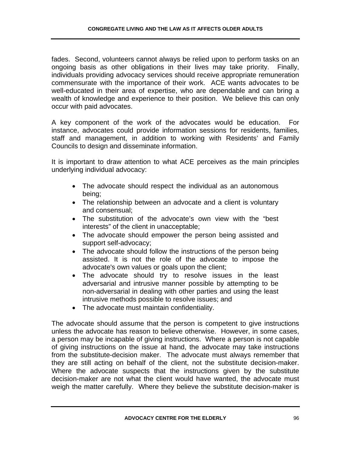fades. Second, volunteers cannot always be relied upon to perform tasks on an ongoing basis as other obligations in their lives may take priority. Finally, individuals providing advocacy services should receive appropriate remuneration commensurate with the importance of their work. ACE wants advocates to be well-educated in their area of expertise, who are dependable and can bring a wealth of knowledge and experience to their position. We believe this can only occur with paid advocates.

A key component of the work of the advocates would be education. For instance, advocates could provide information sessions for residents, families, staff and management, in addition to working with Residents' and Family Councils to design and disseminate information.

It is important to draw attention to what ACE perceives as the main principles underlying individual advocacy:

- The advocate should respect the individual as an autonomous being;
- The relationship between an advocate and a client is voluntary and consensual;
- The substitution of the advocate's own view with the "best interests" of the client in unacceptable;
- The advocate should empower the person being assisted and support self-advocacy;
- The advocate should follow the instructions of the person being assisted. It is not the role of the advocate to impose the advocate's own values or goals upon the client;
- The advocate should try to resolve issues in the least adversarial and intrusive manner possible by attempting to be non-adversarial in dealing with other parties and using the least intrusive methods possible to resolve issues; and
- The advocate must maintain confidentiality.

The advocate should assume that the person is competent to give instructions unless the advocate has reason to believe otherwise. However, in some cases, a person may be incapable of giving instructions. Where a person is not capable of giving instructions on the issue at hand, the advocate may take instructions from the substitute-decision maker. The advocate must always remember that they are still acting on behalf of the client, not the substitute decision-maker. Where the advocate suspects that the instructions given by the substitute decision-maker are not what the client would have wanted, the advocate must weigh the matter carefully. Where they believe the substitute decision-maker is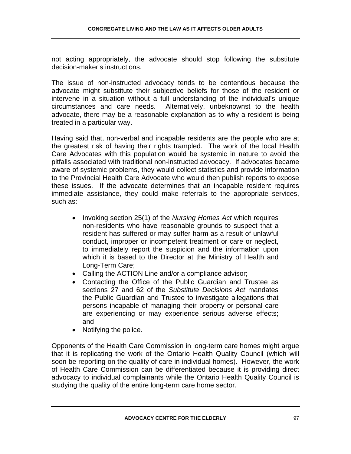not acting appropriately, the advocate should stop following the substitute decision-maker's instructions.

The issue of non-instructed advocacy tends to be contentious because the advocate might substitute their subjective beliefs for those of the resident or intervene in a situation without a full understanding of the individual's unique circumstances and care needs. Alternatively, unbeknownst to the health advocate, there may be a reasonable explanation as to why a resident is being treated in a particular way.

Having said that, non-verbal and incapable residents are the people who are at the greatest risk of having their rights trampled. The work of the local Health Care Advocates with this population would be systemic in nature to avoid the pitfalls associated with traditional non-instructed advocacy. If advocates became aware of systemic problems, they would collect statistics and provide information to the Provincial Health Care Advocate who would then publish reports to expose these issues. If the advocate determines that an incapable resident requires immediate assistance, they could make referrals to the appropriate services, such as:

- Invoking section 25(1) of the *Nursing Homes Act* which requires non-residents who have reasonable grounds to suspect that a resident has suffered or may suffer harm as a result of unlawful conduct, improper or incompetent treatment or care or neglect, to immediately report the suspicion and the information upon which it is based to the Director at the Ministry of Health and Long-Term Care;
- Calling the ACTION Line and/or a compliance advisor;
- Contacting the Office of the Public Guardian and Trustee as sections 27 and 62 of the *Substitute Decisions Act* mandates the Public Guardian and Trustee to investigate allegations that persons incapable of managing their property or personal care are experiencing or may experience serious adverse effects; and
- Notifying the police.

Opponents of the Health Care Commission in long-term care homes might argue that it is replicating the work of the Ontario Health Quality Council (which will soon be reporting on the quality of care in individual homes). However, the work of Health Care Commission can be differentiated because it is providing direct advocacy to individual complainants while the Ontario Health Quality Council is studying the quality of the entire long-term care home sector.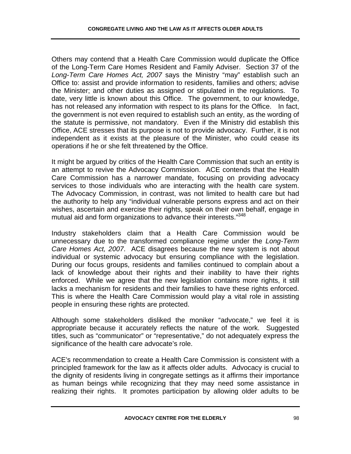Others may contend that a Health Care Commission would duplicate the Office of the Long-Term Care Homes Resident and Family Adviser. Section 37 of the *Long-Term Care Homes Act, 2007* says the Ministry "may" establish such an Office to: assist and provide information to residents, families and others; advise the Minister; and other duties as assigned or stipulated in the regulations. To date, very little is known about this Office. The government, to our knowledge, has not released any information with respect to its plans for the Office. In fact, the government is not even required to establish such an entity, as the wording of the statute is permissive, not mandatory. Even if the Ministry did establish this Office, ACE stresses that its purpose is not to provide advocacy. Further, it is not independent as it exists at the pleasure of the Minister, who could cease its operations if he or she felt threatened by the Office.

It might be argued by critics of the Health Care Commission that such an entity is an attempt to revive the Advocacy Commission. ACE contends that the Health Care Commission has a narrower mandate, focusing on providing advocacy services to those individuals who are interacting with the health care system. The Advocacy Commission, in contrast, was not limited to health care but had the authority to help any "individual vulnerable persons express and act on their wishes, ascertain and exercise their rights, speak on their own behalf, engage in mutual aid and form organizations to advance their interests."<sup>348</sup>

Industry stakeholders claim that a Health Care Commission would be unnecessary due to the transformed compliance regime under the *Long-Term Care Homes Act, 2007*. ACE disagrees because the new system is not about individual or systemic advocacy but ensuring compliance with the legislation. During our focus groups, residents and families continued to complain about a lack of knowledge about their rights and their inability to have their rights enforced. While we agree that the new legislation contains more rights, it still lacks a mechanism for residents and their families to have these rights enforced. This is where the Health Care Commission would play a vital role in assisting people in ensuring these rights are protected.

Although some stakeholders disliked the moniker "advocate," we feel it is appropriate because it accurately reflects the nature of the work. Suggested titles, such as "communicator" or "representative," do not adequately express the significance of the health care advocate's role.

ACE's recommendation to create a Health Care Commission is consistent with a principled framework for the law as it affects older adults. Advocacy is crucial to the dignity of residents living in congregate settings as it affirms their importance as human beings while recognizing that they may need some assistance in realizing their rights. It promotes participation by allowing older adults to be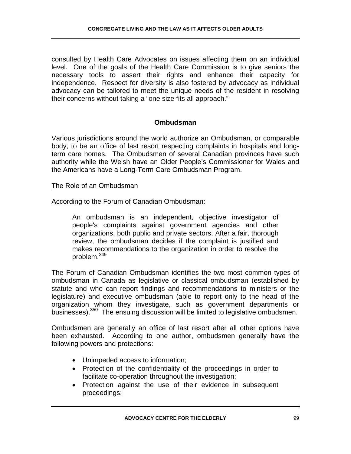consulted by Health Care Advocates on issues affecting them on an individual level. One of the goals of the Health Care Commission is to give seniors the necessary tools to assert their rights and enhance their capacity for independence. Respect for diversity is also fostered by advocacy as individual advocacy can be tailored to meet the unique needs of the resident in resolving their concerns without taking a "one size fits all approach."

# **Ombudsman**

Various jurisdictions around the world authorize an Ombudsman, or comparable body, to be an office of last resort respecting complaints in hospitals and longterm care homes. The Ombudsmen of several Canadian provinces have such authority while the Welsh have an Older People's Commissioner for Wales and the Americans have a Long-Term Care Ombudsman Program.

## The Role of an Ombudsman

According to the Forum of Canadian Ombudsman:

An ombudsman is an independent, objective investigator of people's complaints against government agencies and other organizations, both public and private sectors. After a fair, thorough review, the ombudsman decides if the complaint is justified and makes recommendations to the organization in order to resolve the problem.<sup>349</sup>

The Forum of Canadian Ombudsman identifies the two most common types of ombudsman in Canada as legislative or classical ombudsman (established by statute and who can report findings and recommendations to ministers or the legislature) and executive ombudsman (able to report only to the head of the organization whom they investigate, such as government departments or businesses).<sup>350</sup> The ensuing discussion will be limited to legislative ombudsmen.

Ombudsmen are generally an office of last resort after all other options have been exhausted. According to one author, ombudsmen generally have the following powers and protections:

- Unimpeded access to information;
- Protection of the confidentiality of the proceedings in order to facilitate co-operation throughout the investigation;
- Protection against the use of their evidence in subsequent proceedings;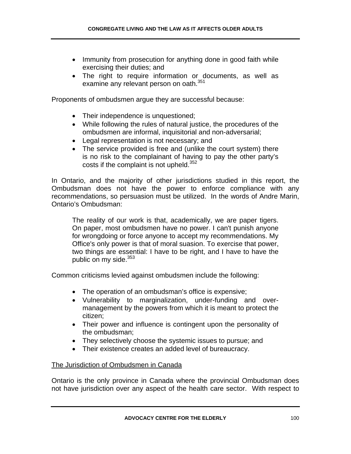- Immunity from prosecution for anything done in good faith while exercising their duties; and
- The right to require information or documents, as well as examine any relevant person on oath.<sup>351</sup>

Proponents of ombudsmen argue they are successful because:

- Their independence is unquestioned;
- While following the rules of natural justice, the procedures of the ombudsmen are informal, inquisitorial and non-adversarial;
- Legal representation is not necessary; and
- The service provided is free and (unlike the court system) there is no risk to the complainant of having to pay the other party's costs if the complaint is not upheld.<sup>352</sup>

In Ontario, and the majority of other jurisdictions studied in this report, the Ombudsman does not have the power to enforce compliance with any recommendations, so persuasion must be utilized. In the words of Andre Marin, Ontario's Ombudsman:

The reality of our work is that, academically, we are paper tigers. On paper, most ombudsmen have no power. I can't punish anyone for wrongdoing or force anyone to accept my recommendations. My Office's only power is that of moral suasion. To exercise that power, two things are essential: I have to be right, and I have to have the public on my side. $353$ 

Common criticisms levied against ombudsmen include the following:

- The operation of an ombudsman's office is expensive;
- Vulnerability to marginalization, under-funding and overmanagement by the powers from which it is meant to protect the citizen;
- Their power and influence is contingent upon the personality of the ombudsman;
- They selectively choose the systemic issues to pursue; and
- Their existence creates an added level of bureaucracy.

## The Jurisdiction of Ombudsmen in Canada

Ontario is the only province in Canada where the provincial Ombudsman does not have jurisdiction over any aspect of the health care sector. With respect to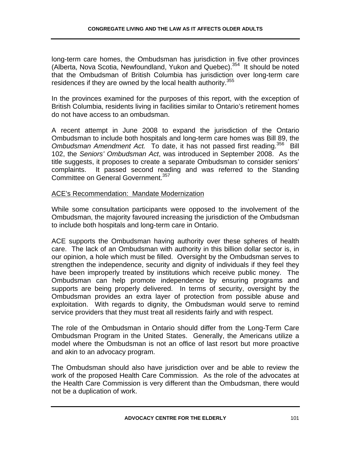long-term care homes, the Ombudsman has jurisdiction in five other provinces (Alberta, Nova Scotia, Newfoundland, Yukon and Quebec).354 It should be noted that the Ombudsman of British Columbia has jurisdiction over long-term care residences if they are owned by the local health authority.<sup>355</sup>

In the provinces examined for the purposes of this report, with the exception of British Columbia, residents living in facilities similar to Ontario's retirement homes do not have access to an ombudsman.

A recent attempt in June 2008 to expand the jurisdiction of the Ontario Ombudsman to include both hospitals and long-term care homes was Bill 89, the *Ombudsman Amendment Act.* To date, it has not passed first reading.356 Bill 102, the *Seniors' Ombudsman Act*, was introduced in September 2008. As the title suggests, it proposes to create a separate Ombudsman to consider seniors' complaints. It passed second reading and was referred to the Standing Committee on General Government.<sup>357</sup>

### ACE's Recommendation: Mandate Modernization

While some consultation participants were opposed to the involvement of the Ombudsman, the majority favoured increasing the jurisdiction of the Ombudsman to include both hospitals and long-term care in Ontario.

ACE supports the Ombudsman having authority over these spheres of health care. The lack of an Ombudsman with authority in this billion dollar sector is, in our opinion, a hole which must be filled. Oversight by the Ombudsman serves to strengthen the independence, security and dignity of individuals if they feel they have been improperly treated by institutions which receive public money. The Ombudsman can help promote independence by ensuring programs and supports are being properly delivered. In terms of security, oversight by the Ombudsman provides an extra layer of protection from possible abuse and exploitation. With regards to dignity, the Ombudsman would serve to remind service providers that they must treat all residents fairly and with respect.

The role of the Ombudsman in Ontario should differ from the Long-Term Care Ombudsman Program in the United States. Generally, the Americans utilize a model where the Ombudsman is not an office of last resort but more proactive and akin to an advocacy program.

The Ombudsman should also have jurisdiction over and be able to review the work of the proposed Health Care Commission. As the role of the advocates at the Health Care Commission is very different than the Ombudsman, there would not be a duplication of work.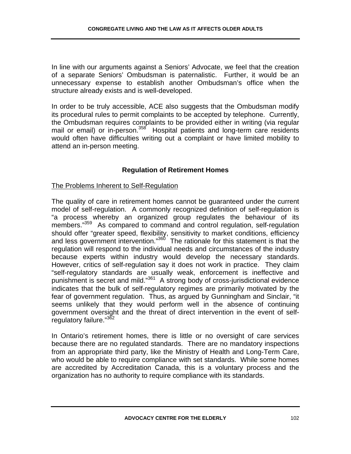In line with our arguments against a Seniors' Advocate, we feel that the creation of a separate Seniors' Ombudsman is paternalistic. Further, it would be an unnecessary expense to establish another Ombudsman's office when the structure already exists and is well-developed.

In order to be truly accessible, ACE also suggests that the Ombudsman modify its procedural rules to permit complaints to be accepted by telephone. Currently, the Ombudsman requires complaints to be provided either in writing (via regular mail or email) or in-person.<sup>358</sup> Hospital patients and long-term care residents would often have difficulties writing out a complaint or have limited mobility to attend an in-person meeting.

## **Regulation of Retirement Homes**

### The Problems Inherent to Self-Regulation

The quality of care in retirement homes cannot be guaranteed under the current model of self-regulation. A commonly recognized definition of self-regulation is "a process whereby an organized group regulates the behaviour of its members."<sup>359</sup> As compared to command and control regulation, self-regulation should offer "greater speed, flexibility, sensitivity to market conditions, efficiency and less government intervention."<sup>360</sup> The rationale for this statement is that the regulation will respond to the individual needs and circumstances of the industry because experts within industry would develop the necessary standards. However, critics of self-regulation say it does not work in practice. They claim "self-regulatory standards are usually weak, enforcement is ineffective and punishment is secret and mild."361 A strong body of cross-jurisdictional evidence indicates that the bulk of self-regulatory regimes are primarily motivated by the fear of government regulation. Thus, as argued by Gunningham and Sinclair, "it seems unlikely that they would perform well in the absence of continuing government oversight and the threat of direct intervention in the event of selfregulatory failure."362

In Ontario's retirement homes, there is little or no oversight of care services because there are no regulated standards. There are no mandatory inspections from an appropriate third party, like the Ministry of Health and Long-Term Care, who would be able to require compliance with set standards. While some homes are accredited by Accreditation Canada, this is a voluntary process and the organization has no authority to require compliance with its standards.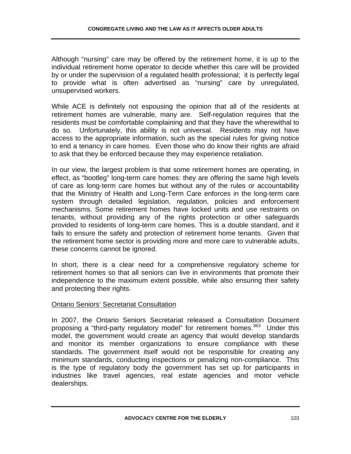Although "nursing" care may be offered by the retirement home, it is up to the individual retirement home operator to decide whether this care will be provided by or under the supervision of a regulated health professional; it is perfectly legal to provide what is often advertised as "nursing" care by unregulated, unsupervised workers.

While ACE is definitely not espousing the opinion that all of the residents at retirement homes are vulnerable, many are. Self-regulation requires that the residents must be comfortable complaining and that they have the wherewithal to do so. Unfortunately, this ability is not universal. Residents may not have access to the appropriate information, such as the special rules for giving notice to end a tenancy in care homes. Even those who do know their rights are afraid to ask that they be enforced because they may experience retaliation.

In our view, the largest problem is that some retirement homes are operating, in effect, as "bootleg" long-term care homes: they are offering the same high levels of care as long-term care homes but without any of the rules or accountability that the Ministry of Health and Long-Term Care enforces in the long-term care system through detailed legislation, regulation, policies and enforcement mechanisms. Some retirement homes have locked units and use restraints on tenants, without providing any of the rights protection or other safeguards provided to residents of long-term care homes. This is a double standard, and it fails to ensure the safety and protection of retirement home tenants. Given that the retirement home sector is providing more and more care to vulnerable adults, these concerns cannot be ignored.

In short, there is a clear need for a comprehensive regulatory scheme for retirement homes so that all seniors can live in environments that promote their independence to the maximum extent possible, while also ensuring their safety and protecting their rights.

## Ontario Seniors' Secretariat Consultation

In 2007, the Ontario Seniors Secretariat released a Consultation Document proposing a "third-party regulatory model" for retirement homes.<sup>363</sup> Under this model, the government would create an agency that would develop standards and monitor its member organizations to ensure compliance with these standards. The government itself would not be responsible for creating any minimum standards, conducting inspections or penalizing non-compliance. This is the type of regulatory body the government has set up for participants in industries like travel agencies, real estate agencies and motor vehicle dealerships.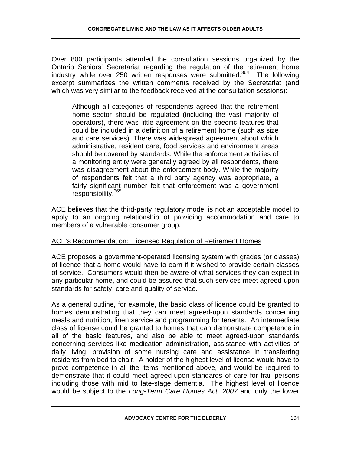Over 800 participants attended the consultation sessions organized by the Ontario Seniors' Secretariat regarding the regulation of the retirement home industry while over 250 written responses were submitted.<sup>364</sup> The following excerpt summarizes the written comments received by the Secretariat (and which was very similar to the feedback received at the consultation sessions):

Although all categories of respondents agreed that the retirement home sector should be regulated (including the vast majority of operators), there was little agreement on the specific features that could be included in a definition of a retirement home (such as size and care services). There was widespread agreement about which administrative, resident care, food services and environment areas should be covered by standards. While the enforcement activities of a monitoring entity were generally agreed by all respondents, there was disagreement about the enforcement body. While the majority of respondents felt that a third party agency was appropriate, a fairly significant number felt that enforcement was a government responsibility.365

ACE believes that the third-party regulatory model is not an acceptable model to apply to an ongoing relationship of providing accommodation and care to members of a vulnerable consumer group.

# ACE's Recommendation: Licensed Regulation of Retirement Homes

ACE proposes a government-operated licensing system with grades (or classes) of licence that a home would have to earn if it wished to provide certain classes of service. Consumers would then be aware of what services they can expect in any particular home, and could be assured that such services meet agreed-upon standards for safety, care and quality of service.

As a general outline, for example, the basic class of licence could be granted to homes demonstrating that they can meet agreed-upon standards concerning meals and nutrition, linen service and programming for tenants. An intermediate class of license could be granted to homes that can demonstrate competence in all of the basic features, and also be able to meet agreed-upon standards concerning services like medication administration, assistance with activities of daily living, provision of some nursing care and assistance in transferring residents from bed to chair. A holder of the highest level of license would have to prove competence in all the items mentioned above, and would be required to demonstrate that it could meet agreed-upon standards of care for frail persons including those with mid to late-stage dementia. The highest level of licence would be subject to the *Long-Term Care Homes Act, 2007* and only the lower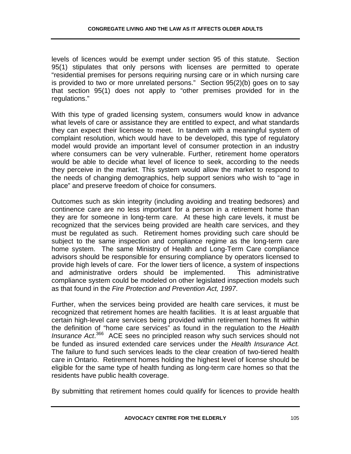levels of licences would be exempt under section 95 of this statute. Section 95(1) stipulates that only persons with licenses are permitted to operate "residential premises for persons requiring nursing care or in which nursing care is provided to two or more unrelated persons." Section 95(2)(b) goes on to say that section 95(1) does not apply to "other premises provided for in the regulations."

With this type of graded licensing system, consumers would know in advance what levels of care or assistance they are entitled to expect, and what standards they can expect their licensee to meet. In tandem with a meaningful system of complaint resolution, which would have to be developed, this type of regulatory model would provide an important level of consumer protection in an industry where consumers can be very vulnerable. Further, retirement home operators would be able to decide what level of licence to seek, according to the needs they perceive in the market. This system would allow the market to respond to the needs of changing demographics, help support seniors who wish to "age in place" and preserve freedom of choice for consumers.

Outcomes such as skin integrity (including avoiding and treating bedsores) and continence care are no less important for a person in a retirement home than they are for someone in long-term care. At these high care levels, it must be recognized that the services being provided are health care services, and they must be regulated as such. Retirement homes providing such care should be subject to the same inspection and compliance regime as the long-term care home system. The same Ministry of Health and Long-Term Care compliance advisors should be responsible for ensuring compliance by operators licensed to provide high levels of care. For the lower tiers of licence, a system of inspections and administrative orders should be implemented. This administrative compliance system could be modeled on other legislated inspection models such as that found in the *Fire Protection and Prevention Act, 1997*.

Further, when the services being provided are health care services, it must be recognized that retirement homes are health facilities. It is at least arguable that certain high-level care services being provided within retirement homes fit within the definition of "home care services" as found in the regulation to the *Health Insurance Act*. 366 ACE sees no principled reason why such services should not be funded as insured extended care services under the *Health Insurance Act.* The failure to fund such services leads to the clear creation of two-tiered health care in Ontario. Retirement homes holding the highest level of license should be eligible for the same type of health funding as long-term care homes so that the residents have public health coverage.

By submitting that retirement homes could qualify for licences to provide health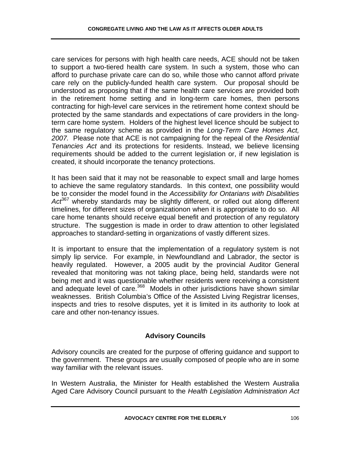care services for persons with high health care needs, ACE should not be taken to support a two-tiered health care system. In such a system, those who can afford to purchase private care can do so, while those who cannot afford private care rely on the publicly-funded health care system. Our proposal should be understood as proposing that if the same health care services are provided both in the retirement home setting and in long-term care homes, then persons contracting for high-level care services in the retirement home context should be protected by the same standards and expectations of care providers in the longterm care home system. Holders of the highest level licence should be subject to the same regulatory scheme as provided in the *Long-Term Care Homes Act, 2007.* Please note that ACE is not campaigning for the repeal of the *Residential Tenancies Act* and its protections for residents. Instead, we believe licensing requirements should be added to the current legislation or, if new legislation is created, it should incorporate the tenancy protections.

It has been said that it may not be reasonable to expect small and large homes to achieve the same regulatory standards. In this context, one possibility would be to consider the model found in the *Accessibility for Ontarians with Disabilities*  Act<sup>367</sup> whereby standards may be slightly different, or rolled out along different timelines, for different sizes of organizationon when it is appropriate to do so. All care home tenants should receive equal benefit and protection of any regulatory structure. The suggestion is made in order to draw attention to other legislated approaches to standard-setting in organizations of vastly different sizes.

It is important to ensure that the implementation of a regulatory system is not simply lip service. For example, in Newfoundland and Labrador, the sector is heavily regulated. However, a 2005 audit by the provincial Auditor General revealed that monitoring was not taking place, being held, standards were not being met and it was questionable whether residents were receiving a consistent and adequate level of care.<sup>368</sup> Models in other jurisdictions have shown similar weaknesses. British Columbia's Office of the Assisted Living Registrar licenses, inspects and tries to resolve disputes, yet it is limited in its authority to look at care and other non-tenancy issues.

# **Advisory Councils**

Advisory councils are created for the purpose of offering guidance and support to the government. These groups are usually composed of people who are in some way familiar with the relevant issues.

In Western Australia, the Minister for Health established the Western Australia Aged Care Advisory Council pursuant to the *Health Legislation Administration Act*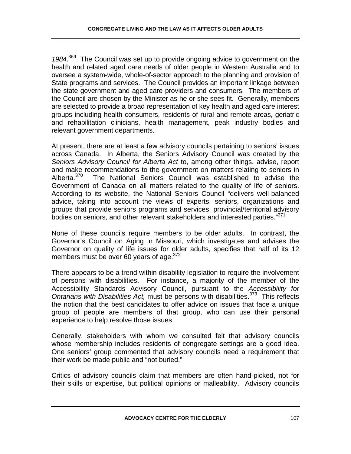*1984*. 369 The Council was set up to provide ongoing advice to government on the health and related aged care needs of older people in Western Australia and to oversee a system-wide, whole-of-sector approach to the planning and provision of State programs and services. The Council provides an important linkage between the state government and aged care providers and consumers. The members of the Council are chosen by the Minister as he or she sees fit. Generally, members are selected to provide a broad representation of key health and aged care interest groups including health consumers, residents of rural and remote areas, geriatric and rehabilitation clinicians, health management, peak industry bodies and relevant government departments.

At present, there are at least a few advisory councils pertaining to seniors' issues across Canada. In Alberta, the Seniors Advisory Council was created by the *Seniors Advisory Council for Alberta Act* to, among other things, advise, report and make recommendations to the government on matters relating to seniors in<br>Alberta.<sup>370</sup> The National Seniors Council was established to advise the The National Seniors Council was established to advise the Government of Canada on all matters related to the quality of life of seniors. According to its website, the National Seniors Council "delivers well-balanced advice, taking into account the views of experts, seniors, organizations and groups that provide seniors programs and services, provincial/territorial advisory bodies on seniors, and other relevant stakeholders and interested parties."<sup>371</sup>

None of these councils require members to be older adults. In contrast, the Governor's Council on Aging in Missouri, which investigates and advises the Governor on quality of life issues for older adults, specifies that half of its 12 members must be over 60 years of age.  $372$ 

There appears to be a trend within disability legislation to require the involvement of persons with disabilities. For instance, a majority of the member of the Accessibility Standards Advisory Council, pursuant to the *Accessibility for Ontarians with Disabilities Act,* must be persons with disabilities.373 This reflects the notion that the best candidates to offer advice on issues that face a unique group of people are members of that group, who can use their personal experience to help resolve those issues.

Generally, stakeholders with whom we consulted felt that advisory councils whose membership includes residents of congregate settings are a good idea. One seniors' group commented that advisory councils need a requirement that their work be made public and "not buried."

Critics of advisory councils claim that members are often hand-picked, not for their skills or expertise, but political opinions or malleability. Advisory councils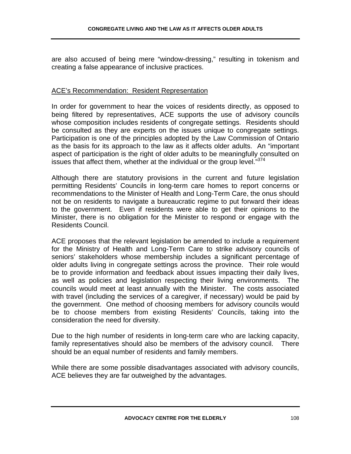are also accused of being mere "window-dressing," resulting in tokenism and creating a false appearance of inclusive practices.

### ACE's Recommendation: Resident Representation

In order for government to hear the voices of residents directly, as opposed to being filtered by representatives, ACE supports the use of advisory councils whose composition includes residents of congregate settings. Residents should be consulted as they are experts on the issues unique to congregate settings. Participation is one of the principles adopted by the Law Commission of Ontario as the basis for its approach to the law as it affects older adults. An "important aspect of participation is the right of older adults to be meaningfully consulted on issues that affect them, whether at the individual or the group level."<sup>374</sup>

Although there are statutory provisions in the current and future legislation permitting Residents' Councils in long-term care homes to report concerns or recommendations to the Minister of Health and Long-Term Care, the onus should not be on residents to navigate a bureaucratic regime to put forward their ideas to the government. Even if residents were able to get their opinions to the Minister, there is no obligation for the Minister to respond or engage with the Residents Council.

ACE proposes that the relevant legislation be amended to include a requirement for the Ministry of Health and Long-Term Care to strike advisory councils of seniors' stakeholders whose membership includes a significant percentage of older adults living in congregate settings across the province. Their role would be to provide information and feedback about issues impacting their daily lives, as well as policies and legislation respecting their living environments. The councils would meet at least annually with the Minister. The costs associated with travel (including the services of a caregiver, if necessary) would be paid by the government. One method of choosing members for advisory councils would be to choose members from existing Residents' Councils, taking into the consideration the need for diversity.

Due to the high number of residents in long-term care who are lacking capacity, family representatives should also be members of the advisory council. There should be an equal number of residents and family members.

While there are some possible disadvantages associated with advisory councils, ACE believes they are far outweighed by the advantages.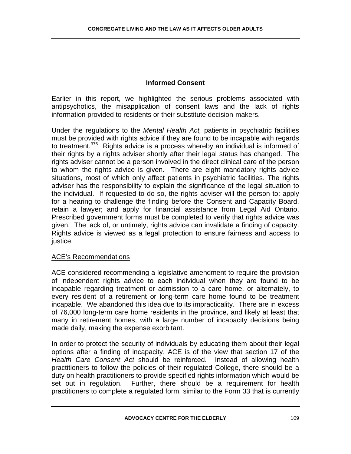## **Informed Consent**

Earlier in this report, we highlighted the serious problems associated with antipsychotics, the misapplication of consent laws and the lack of rights information provided to residents or their substitute decision-makers.

Under the regulations to the *Mental Health Act,* patients in psychiatric facilities must be provided with rights advice if they are found to be incapable with regards to treatment.<sup>375</sup> Rights advice is a process whereby an individual is informed of their rights by a rights adviser shortly after their legal status has changed. The rights adviser cannot be a person involved in the direct clinical care of the person to whom the rights advice is given. There are eight mandatory rights advice situations, most of which only affect patients in psychiatric facilities. The rights adviser has the responsibility to explain the significance of the legal situation to the individual. If requested to do so, the rights adviser will the person to: apply for a hearing to challenge the finding before the Consent and Capacity Board, retain a lawyer; and apply for financial assistance from Legal Aid Ontario. Prescribed government forms must be completed to verify that rights advice was given. The lack of, or untimely, rights advice can invalidate a finding of capacity. Rights advice is viewed as a legal protection to ensure fairness and access to justice.

### ACE's Recommendations

ACE considered recommending a legislative amendment to require the provision of independent rights advice to each individual when they are found to be incapable regarding treatment or admission to a care home, or alternately, to every resident of a retirement or long-term care home found to be treatment incapable. We abandoned this idea due to its impracticality. There are in excess of 76,000 long-term care home residents in the province, and likely at least that many in retirement homes, with a large number of incapacity decisions being made daily, making the expense exorbitant.

In order to protect the security of individuals by educating them about their legal options after a finding of incapacity, ACE is of the view that section 17 of the *Health Care Consent Act* should be reinforced. Instead of allowing health practitioners to follow the policies of their regulated College, there should be a duty on health practitioners to provide specified rights information which would be set out in regulation. Further, there should be a requirement for health practitioners to complete a regulated form, similar to the Form 33 that is currently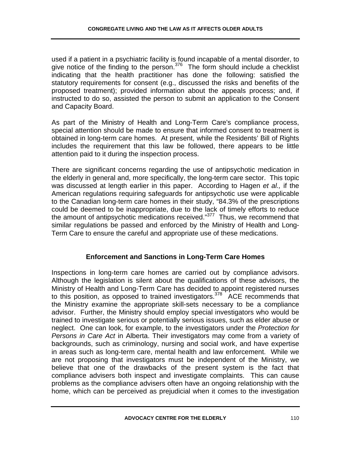used if a patient in a psychiatric facility is found incapable of a mental disorder, to give notice of the finding to the person. $376$  The form should include a checklist indicating that the health practitioner has done the following: satisfied the statutory requirements for consent (e.g., discussed the risks and benefits of the proposed treatment); provided information about the appeals process; and, if instructed to do so, assisted the person to submit an application to the Consent and Capacity Board.

As part of the Ministry of Health and Long-Term Care's compliance process, special attention should be made to ensure that informed consent to treatment is obtained in long-term care homes. At present, while the Residents' Bill of Rights includes the requirement that this law be followed, there appears to be little attention paid to it during the inspection process.

There are significant concerns regarding the use of antipsychotic medication in the elderly in general and, more specifically, the long-term care sector. This topic was discussed at length earlier in this paper. According to Hagen *et al.,* if the American regulations requiring safeguards for antipsychotic use were applicable to the Canadian long-term care homes in their study, "84.3% of the prescriptions could be deemed to be inappropriate, due to the lack of timely efforts to reduce the amount of antipsychotic medications received."<sup>377</sup> Thus, we recommend that similar regulations be passed and enforced by the Ministry of Health and Long-Term Care to ensure the careful and appropriate use of these medications.

## **Enforcement and Sanctions in Long-Term Care Homes**

Inspections in long-term care homes are carried out by compliance advisors. Although the legislation is silent about the qualifications of these advisors, the Ministry of Health and Long-Term Care has decided to appoint registered nurses to this position, as opposed to trained investigators. $378$  ACE recommends that the Ministry examine the appropriate skill-sets necessary to be a compliance advisor. Further, the Ministry should employ special investigators who would be trained to investigate serious or potentially serious issues, such as elder abuse or neglect. One can look, for example, to the investigators under the *Protection for Persons in Care Act* in Alberta. Their investigators may come from a variety of backgrounds, such as criminology, nursing and social work, and have expertise in areas such as long-term care, mental health and law enforcement. While we are not proposing that investigators must be independent of the Ministry, we believe that one of the drawbacks of the present system is the fact that compliance advisers both inspect and investigate complaints. This can cause problems as the compliance advisers often have an ongoing relationship with the home, which can be perceived as prejudicial when it comes to the investigation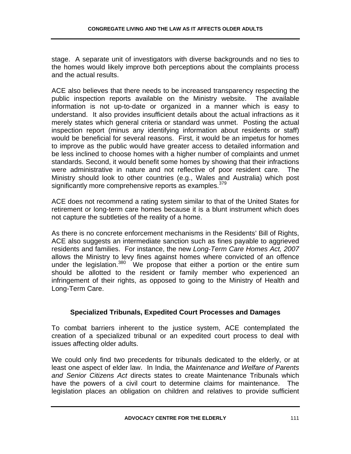stage. A separate unit of investigators with diverse backgrounds and no ties to the homes would likely improve both perceptions about the complaints process and the actual results.

ACE also believes that there needs to be increased transparency respecting the public inspection reports available on the Ministry website. The available information is not up-to-date or organized in a manner which is easy to understand. It also provides insufficient details about the actual infractions as it merely states which general criteria or standard was unmet. Posting the actual inspection report (minus any identifying information about residents or staff) would be beneficial for several reasons. First, it would be an impetus for homes to improve as the public would have greater access to detailed information and be less inclined to choose homes with a higher number of complaints and unmet standards. Second, it would benefit some homes by showing that their infractions were administrative in nature and not reflective of poor resident care. The Ministry should look to other countries (e.g., Wales and Australia) which post significantly more comprehensive reports as examples.<sup>379</sup>

ACE does not recommend a rating system similar to that of the United States for retirement or long-term care homes because it is a blunt instrument which does not capture the subtleties of the reality of a home.

As there is no concrete enforcement mechanisms in the Residents' Bill of Rights, ACE also suggests an intermediate sanction such as fines payable to aggrieved residents and families. For instance, the new *Long-Term Care Homes Act, 2007* allows the Ministry to levy fines against homes where convicted of an offence under the legislation.<sup>380</sup> We propose that either a portion or the entire sum should be allotted to the resident or family member who experienced an infringement of their rights, as opposed to going to the Ministry of Health and Long-Term Care.

### **Specialized Tribunals, Expedited Court Processes and Damages**

To combat barriers inherent to the justice system, ACE contemplated the creation of a specialized tribunal or an expedited court process to deal with issues affecting older adults.

We could only find two precedents for tribunals dedicated to the elderly, or at least one aspect of elder law. In India, the *Maintenance and Welfare of Parents and Senior Citizens Act* directs states to create Maintenance Tribunals which have the powers of a civil court to determine claims for maintenance. The legislation places an obligation on children and relatives to provide sufficient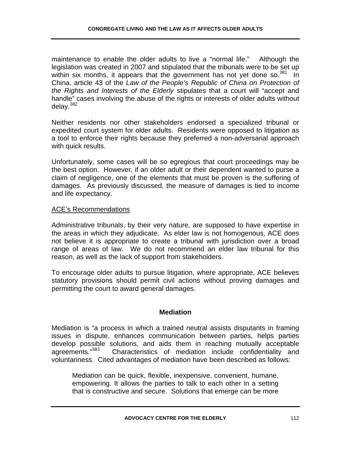maintenance to enable the older adults to live a "normal life." Although the legislation was created in 2007 and stipulated that the tribunals were to be set up within six months, it appears that the government has not yet done so. $381$  In China, article 43 of the *Law of the People's Republic of China on Protection of the Rights and Interests of the Elderly* stipulates that a court will "accept and handle" cases involving the abuse of the rights or interests of older adults without delay.<sup>382</sup>

Neither residents nor other stakeholders endorsed a specialized tribunal or expedited court system for older adults. Residents were opposed to litigation as a tool to enforce their rights because they preferred a non-adversarial approach with quick results.

Unfortunately, some cases will be so egregious that court proceedings may be the best option. However, if an older adult or their dependent wanted to purse a claim of negligence, one of the elements that must be proven is the suffering of damages. As previously discussed, the measure of damages is tied to income and life expectancy.

#### ACE's Recommendations

Administrative tribunals, by their very nature, are supposed to have expertise in the areas in which they adjudicate. As elder law is not homogenous, ACE does not believe it is appropriate to create a tribunal with jurisdiction over a broad range of areas of law. We do not recommend an elder law tribunal for this reason, as well as the lack of support from stakeholders.

To encourage older adults to pursue litigation, where appropriate, ACE believes statutory provisions should permit civil actions without proving damages and permitting the court to award general damages.

### **Mediation**

Mediation is "a process in which a trained neutral assists disputants in framing issues in dispute, enhances communication between parties, helps parties develop possible solutions, and aids them in reaching mutually acceptable agreements."<sup>383</sup> Characteristics of mediation include confidentiality and Characteristics of mediation include confidentiality and voluntariness. Cited advantages of mediation have been described as follows:

Mediation can be quick, flexible, inexpensive, convenient, humane, empowering. It allows the parties to talk to each other in a setting that is constructive and secure. Solutions that emerge can be more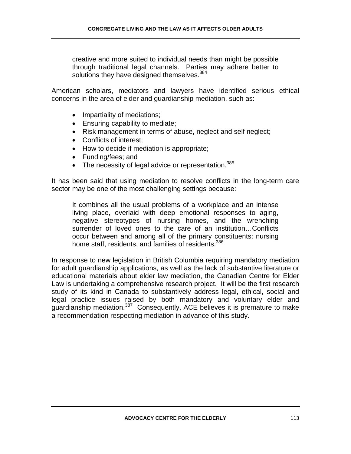creative and more suited to individual needs than might be possible through traditional legal channels. Parties may adhere better to solutions they have designed themselves. 384

American scholars, mediators and lawyers have identified serious ethical concerns in the area of elder and guardianship mediation, such as:

- Impartiality of mediations;
- Ensuring capability to mediate;
- Risk management in terms of abuse, neglect and self neglect;
- Conflicts of interest;
- How to decide if mediation is appropriate;
- Funding/fees; and
- The necessity of legal advice or representation.<sup>385</sup>

It has been said that using mediation to resolve conflicts in the long-term care sector may be one of the most challenging settings because:

It combines all the usual problems of a workplace and an intense living place, overlaid with deep emotional responses to aging, negative stereotypes of nursing homes, and the wrenching surrender of loved ones to the care of an institution…Conflicts occur between and among all of the primary constituents: nursing home staff, residents, and families of residents.<sup>386</sup>

In response to new legislation in British Columbia requiring mandatory mediation for adult guardianship applications, as well as the lack of substantive literature or educational materials about elder law mediation, the Canadian Centre for Elder Law is undertaking a comprehensive research project. It will be the first research study of its kind in Canada to substantively address legal, ethical, social and legal practice issues raised by both mandatory and voluntary elder and guardianship mediation.387 Consequently, ACE believes it is premature to make a recommendation respecting mediation in advance of this study.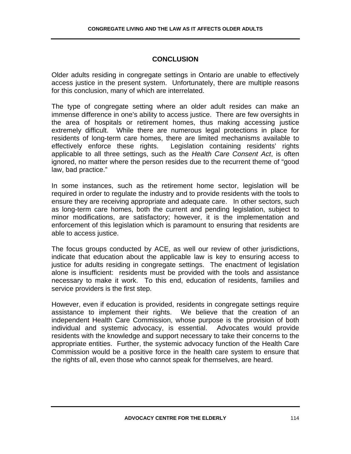## **CONCLUSION**

Older adults residing in congregate settings in Ontario are unable to effectively access justice in the present system. Unfortunately, there are multiple reasons for this conclusion, many of which are interrelated.

The type of congregate setting where an older adult resides can make an immense difference in one's ability to access justice. There are few oversights in the area of hospitals or retirement homes, thus making accessing justice extremely difficult. While there are numerous legal protections in place for residents of long-term care homes, there are limited mechanisms available to effectively enforce these rights. Legislation containing residents' rights applicable to all three settings, such as the *Health Care Consent Act*, is often ignored, no matter where the person resides due to the recurrent theme of "good law, bad practice."

In some instances, such as the retirement home sector, legislation will be required in order to regulate the industry and to provide residents with the tools to ensure they are receiving appropriate and adequate care. In other sectors, such as long-term care homes, both the current and pending legislation, subject to minor modifications, are satisfactory; however, it is the implementation and enforcement of this legislation which is paramount to ensuring that residents are able to access justice.

The focus groups conducted by ACE, as well our review of other jurisdictions, indicate that education about the applicable law is key to ensuring access to justice for adults residing in congregate settings. The enactment of legislation alone is insufficient: residents must be provided with the tools and assistance necessary to make it work. To this end, education of residents, families and service providers is the first step.

However, even if education is provided, residents in congregate settings require assistance to implement their rights. We believe that the creation of an independent Health Care Commission, whose purpose is the provision of both individual and systemic advocacy, is essential. Advocates would provide residents with the knowledge and support necessary to take their concerns to the appropriate entities. Further, the systemic advocacy function of the Health Care Commission would be a positive force in the health care system to ensure that the rights of all, even those who cannot speak for themselves, are heard.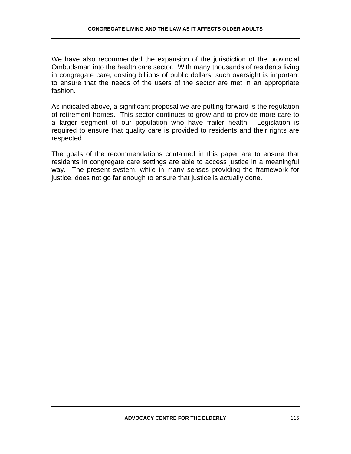We have also recommended the expansion of the jurisdiction of the provincial Ombudsman into the health care sector. With many thousands of residents living in congregate care, costing billions of public dollars, such oversight is important to ensure that the needs of the users of the sector are met in an appropriate fashion.

As indicated above, a significant proposal we are putting forward is the regulation of retirement homes. This sector continues to grow and to provide more care to a larger segment of our population who have frailer health. Legislation is required to ensure that quality care is provided to residents and their rights are respected.

The goals of the recommendations contained in this paper are to ensure that residents in congregate care settings are able to access justice in a meaningful way. The present system, while in many senses providing the framework for justice, does not go far enough to ensure that justice is actually done.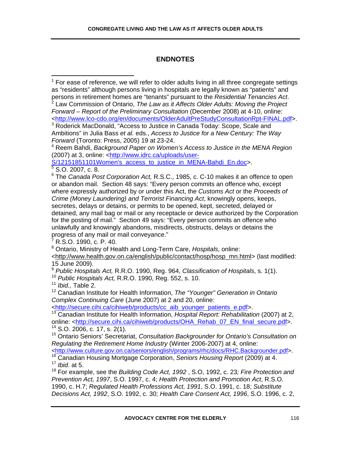## **ENDNOTES**

 $1$  For ease of reference, we will refer to older adults living in all three congregate settings as "residents" although persons living in hospitals are legally known as "patients" and persons in retirement homes are "tenants" pursuant to the *Residential Tenancies Act*. 2

 Law Commission of Ontario, *The Law as it Affects Older Adults: Moving the Project Forward – Report of the Preliminary Consultation* (December 2008) at 4-10, online: <http://www.lco-cdo.org/en/documents/OlderAdultPreStudyConsultationRpt-FINAL.pdf>.

<sup>3</sup> Roderick MacDonald, "Access to Justice in Canada Today: Scope, Scale and Ambitions" in Julia Bass *et al.* eds., *Access to Justice for a New Century: The Way Forward* (Toronto: Press, 2005) 19 at 23-24.

4 Reem Bahdi, *Background Paper on Women's Access to Justice in the MENA Region* (2007) at 3, online: <http://www.idrc.ca/uploads/user-

S/12151851101Women's\_access\_to\_justice\_in\_MENA-Bahdi\_En.doc>.<br><sup>5</sup> S.O. 2007, c. 8.

6 The *Canada Post Corporation Act,* R.S.C., 1985, c. C-10 makes it an offence to open or abandon mail. Section 48 says: "Every person commits an offence who, except where expressly authorized by or under this Act, the *Customs Act* or the *Proceeds of Crime (Money Laundering) and Terrorist Financing Act*, knowingly opens, keeps, secretes, delays or detains, or permits to be opened, kept, secreted, delayed or detained, any mail bag or mail or any receptacle or device authorized by the Corporation for the posting of mail." Section 49 says: "Every person commits an offence who unlawfully and knowingly abandons, misdirects, obstructs, delays or detains the progress of any mail or mail conveyance."

7 R.S.O. 1990, c. P. 40.

8 Ontario, Ministry of Health and Long-Term Care, *Hospitals,* online:

<http://www.health.gov.on.ca/english/public/contact/hosp/hosp\_mn.html> (last modified: 15 June 2009).

<sup>9</sup> *Public Hospitals Act,* R.R.O. 1990, Reg. 964, *Classification of Hospitals*, s. 1(1).

<sup>10</sup> *Public Hospitals Act,* R.R.O. 1990, Reg. 552, s. 10.

<sup>11</sup> *Ibid.,* Table 2.

 $\overline{a}$ 

12 Canadian Institute for Health Information, *The "Younger" Generation in Ontario Complex Continuing Care* (June 2007) at 2 and 20, online:

<http://secure.cihi.ca/cihiweb/products/cc\_aib\_younger\_patients\_e.pdf>.

13 Canadian Institute for Health Information, *Hospital Report: Rehabilitation* (2007) at 2, online: <http://secure.cihi.ca/cihiweb/products/OHA\_Rehab\_07\_EN\_final\_secure.pdf>.  $14$  S.O. 2006, c. 17, s. 2(1).

15 Ontario Seniors' Secretariat, *Consultation Backgrounder for Ontario's Consultation on Regulating the Retirement Home Industry* (Winter 2006-2007) at 4, online:

<http://www.culture.gov.on.ca/seniors/english/programs/rhc/docs/RHC.Backgrounder.pdf>.

18 For example, see the *Building Code Act, 1992* , S.O, 1992, c. 23*; Fire Protection and Prevention Act, 1997*, S.O. 1997, c. 4; *Health Protection and Promotion Act*, R.S.O. 1990, c. H.7; *Regulated Health Professions Act, 1991*, S.O. 1991, c. 18; *Substitute Decisions Act, 1992*, S.O. 1992, c. 30; *Health Care Consent Act, 1996*, S.O. 1996, c. 2,

<sup>16</sup> Canadian Housing Mortgage Corporation, *Seniors Housing Report* (2009) at 4. <sup>17</sup> *Ibid*. at 5.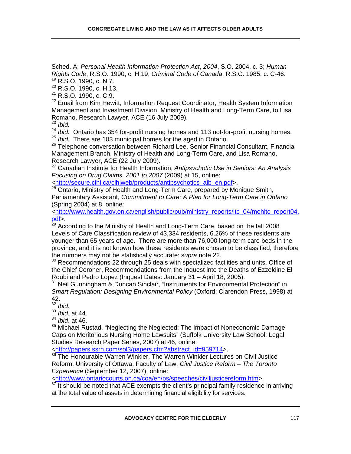Sched. A; *Personal Health Information Protection Act*, *2004*, S.O. 2004, c. 3; *Human Rights Code*, R.S.O. 1990, c. H.19; *Criminal Code of Canada*, R.S.C. 1985, c. C-46. <sup>19</sup> R.S.O. 1990, c. N.7.

20 R.S.O. 1990, c. H.13.

21 R.S.O. 1990, c. C.9.

<sup>22</sup> Email from Kim Hewitt, Information Request Coordinator, Health System Information Management and Investment Division, Ministry of Health and Long-Term Care, to Lisa Romano, Research Lawyer, ACE (16 July 2009). 23 *Ibid.* 

<sup>24</sup> *Ibid.* Ontario has 354 for-profit nursing homes and 113 not-for-profit nursing homes. <sup>25</sup> *Ibid.* There are 103 municipal homes for the aged in Ontario.

<sup>26</sup> Telephone conversation between Richard Lee, Senior Financial Consultant, Financial Management Branch, Ministry of Health and Long-Term Care, and Lisa Romano, Research Lawyer, ACE (22 July 2009).

27 Canadian Institute for Health Information, *Antipsychotic Use in Seniors: An Analysis Focusing on Drug Claims, 2001 to 2007* (2009) at 15, online:

<http://secure.cihi.ca/cihiweb/products/antipsychotics\_aib\_en.pdf>.

<sup>28</sup> Ontario, Ministry of Health and Long-Term Care, prepared by Monique Smith, Parliamentary Assistant, *Commitment to Care: A Plan for Long-Term Care in Ontario* (Spring 2004) at 8, online:

<http://www.health.gov.on.ca/english/public/pub/ministry\_reports/ltc\_04/mohltc\_report04. pdf>.

 $29$  According to the Ministry of Health and Long-Term Care, based on the fall 2008 Levels of Care Classification review of 43,334 residents, 6.26% of these residents are younger than 65 years of age. There are more than 76,000 long-term care beds in the province, and it is not known how these residents were chosen to be classified, therefore the numbers may not be statistically accurate: s*upra* note 22.

<sup>30</sup> Recommendations 22 through 25 deals with specialized facilities and units, Office of the Chief Coroner, Recommendations from the Inquest into the Deaths of Ezzeldine El Roubi and Pedro Lopez (Inquest Dates: January 31 – April 18, 2005).

<sup>31</sup> Neil Gunningham & Duncan Sinclair, "Instruments for Environmental Protection" in *Smart Regulation: Designing Environmental Policy* (Oxford: Clarendon Press, 1998) at 42.

<sup>32</sup> *Ibid.*

<sup>33</sup> *Ibid.* at 44.

<sup>34</sup> *Ibid*. at 46.

<sup>35</sup> Michael Rustad, "Neglecting the Neglected: The Impact of Noneconomic Damage Caps on Meritorious Nursing Home Lawsuits" (Suffolk University Law School: Legal Studies Research Paper Series, 2007) at 46, online:

<http://papers.ssrn.com/sol3/papers.cfm?abstract\_id=959714>.

<sup>36</sup> The Honourable Warren Winkler, The Warren Winkler Lectures on Civil Justice Reform, University of Ottawa, Faculty of Law, *Civil Justice Reform – The Toronto Experience* (September 12, 2007), online:

<http://www.ontariocourts.on.ca/coa/en/ps/speeches/civiljusticereform.htm>.

 $37$  It should be noted that ACE exempts the client's principal family residence in arriving at the total value of assets in determining financial eligibility for services.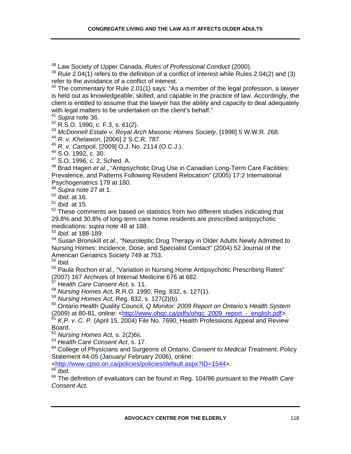38 Law Society of Upper Canada, *Rules of Professional Conduct* (2000).

 $39$  Rule 2.04(1) refers to the definition of a conflict of interest while Rules 2.04(2) and (3) refer to the avoidance of a conflict of interest.

 $40$  The commentary for Rule 2.01(1) says: "As a member of the legal profession, a lawyer is held out as knowledgeable, skilled, and capable in the practice of law. Accordingly, the client is entitled to assume that the lawyer has the ability and capacity to deal adequately with legal matters to be undertaken on the client's behalf."

<sup>41</sup> *Supra* note 36.

42 R.S.O. 1990, c. F.3, s. 61(2).

<sup>43</sup> *McDonnell Estate v. Royal Arch Masonic Homes Society*, [1998] 5 W.W.R. 268.

<sup>44</sup> *R. v. Khelawon*, [2006] 2 S.C.R. 787.

<sup>45</sup> *R. v. Campoli*, [2009] O.J. No. 2114 (O.C.J.).

46 S.O. 1992, c. 30.

47 S.O. 1996, c. 2, Sched. A.

48 Brad Hagen *et al*., "Antipsychotic Drug Use in Canadian Long-Term Care Facilities: Prevalence, and Patterns Following Resident Relocation" (2005) 17:2 International Psychogeriatrics 179 at 180.

<sup>49</sup> *Supra* note 27 at 1.

<sup>50</sup> *Ibid.* at 16.

<sup>51</sup> *Ibid.* at 15.

 $52$  These comments are based on statistics from two different studies indicating that 29.8% and 30.8% of long-term care home residents are prescribed antipsychotic medications: *supra* note 48 at 188.

<sup>53</sup> *Ibid.* at 188-189.

54 Susan Bronskill *et al.,* "Neuroleptic Drug Therapy in Older Adults Newly Admitted to Nursing Homes: Incidence, Dose, and Specialist Contact" (2004) 52 Journal of the American Geriatrics Society 749 at 753.

<sup>55</sup> *Ibid.* 

56 Paula Rochon *et al.,* "Variation in Nursing Home Antipsychotic Prescribing Rates" (2007) 167 Archives of Internal Medicine 676 at 682.

<sup>57</sup> *Health Care Consent Act,* s. 11.

<sup>58</sup> *Nursing Homes Act,* R.R.O. 1990, Reg. 832, s. 127(1).

<sup>59</sup> *Nursing Homes Act,* Reg. 832, s. 127(2)(b).

60 Ontario Health Quality Council, *Q Monitor: 2009 Report on Ontario's Health System* (2009) at 80-81, online: <http://www.ohgc.ca/pdfs/ohgc\_2009\_report\_-\_english.pdf>.

<sup>61</sup> *K.P. v. C. P.* (April 15, 2004) File No. 7690, Health Professions Appeal and Review Board.

<sup>62</sup> *Nursing Homes Act,* s. 2(2)6ii.

<sup>63</sup> *Health Care Consent Act*, s. 17.

64 College of Physicians and Surgeons of Ontario, *Consent to Medical Treatment,* Policy Statement #4-05 (January/ February 2006), online:

<http://www.cpso.on.ca/policies/policies/default.aspx?ID=1544>.

<sup>65</sup> *Ibid.* 

66 The definition of evaluators can be found in Reg. 104/96 pursuant to the *Health Care Consent Act.*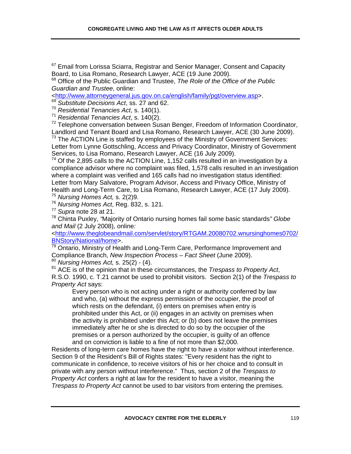$67$  Email from Lorissa Sciarra, Registrar and Senior Manager, Consent and Capacity Board, to Lisa Romano, Research Lawyer, ACE (19 June 2009).

68 Office of the Public Guardian and Trustee, *The Role of the Office of the Public Guardian and Trustee*, online:

<http://www.attorneygeneral.jus.gov.on.ca/english/family/pgt/overview.asp>.

<sup>69</sup> *Substitute Decisions Act*, ss. 27 and 62.

<sup>70</sup> *Residential Tenancies Act*, s. 140(1).

<sup>71</sup> *Residential Tenancies Act*, s. 140(2).

 $72$  Telephone conversation between Susan Benger, Freedom of Information Coordinator, Landlord and Tenant Board and Lisa Romano, Research Lawyer, ACE (30 June 2009).

 $73$  The ACTION Line is staffed by employees of the Ministry of Government Services: Letter from Lynne Gottschling, Access and Privacy Coordinator, Ministry of Government Services, to Lisa Romano, Research Lawyer, ACE (16 July 2009).

 $74$  Of the 2,895 calls to the ACTION Line, 1,152 calls resulted in an investigation by a compliance advisor where no complaint was filed, 1,578 calls resulted in an investigation where a complaint was verified and 165 calls had no investigation status identified: Letter from Mary Salvatore, Program Advisor, Access and Privacy Office, Ministry of Health and Long-Term Care, to Lisa Romano, Research Lawyer, ACE (17 July 2009).<sup>75</sup> *Nursing Homes Act,* s. 2(2)9.

<sup>76</sup> *Nursing Homes Act*, Reg. 832, s. 121.

<sup>77</sup> *Supra* note 28 at 21.

<sup>78</sup> Chinta Puxley, *"*Majority of Ontario nursing homes fail some basic standards*" Globe and Mail* (2 July 2008), online*:* 

<http://www.theglobeandmail.com/servlet/story/RTGAM.20080702.wnursinghomes0702/ BNStory/National/home>.<br><sup>79</sup> Ontario, Ministry of Health and Long-Term Care, Performance Improvement and

Compliance Branch, *New Inspection Process – Fact Sheet* (June 2009). <sup>80</sup> *Nursing Homes Act,* s. 25(2) - (4).

81 ACE is of the opinion that in these circumstances, the *Trespass to Property Act*, R.S.O. 1990, c. T.21 cannot be used to prohibit visitors. Section 2(1) of the *Trespass to Property Act* says:

Every person who is not acting under a right or authority conferred by law and who, (a) without the express permission of the occupier, the proof of which rests on the defendant, (i) enters on premises when entry is prohibited under this Act, or (ii) engages in an activity on premises when the activity is prohibited under this Act; or (b) does not leave the premises immediately after he or she is directed to do so by the occupier of the premises or a person authorized by the occupier, is guilty of an offence and on conviction is liable to a fine of not more than \$2,000.

Residents of long-term care homes have the right to have a visitor without interference. Section 9 of the Resident's Bill of Rights states: "Every resident has the right to communicate in confidence, to receive visitors of his or her choice and to consult in private with any person without interference." Thus, section 2 of the *Trespass to Property Act* confers a right at law for the resident to have a visitor, meaning the *Trespass to Property Act* cannot be used to bar visitors from entering the premises.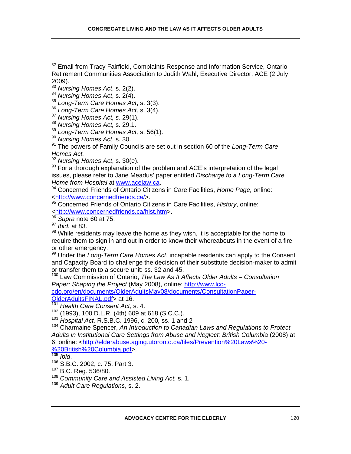<sup>82</sup> Email from Tracy Fairfield, Complaints Response and Information Service, Ontario Retirement Communities Association to Judith Wahl, Executive Director, ACE (2 July 2009).

<sup>83</sup> *Nursing Homes Act*, s. 2(2).

<sup>84</sup> *Nursing Homes Act*, s. 2(4).

<sup>85</sup> *Long-Term Care Homes Act*, s. 3(3).

<sup>86</sup> *Long-Term Care Homes Act,* s. 3(4).

<sup>87</sup> *Nursing Homes Act, s.* 29(1).

<sup>88</sup> *Nursing Homes Act,* s. 29.1.

<sup>89</sup> *Long-Term Care Homes Act,* s. 56(1).

<sup>90</sup> *Nursing Homes Act*, s. 30.

91 The powers of Family Councils are set out in section 60 of the *Long-Term Care Homes Act.*

<sup>92</sup> *Nursing Homes Act*, s. 30(e).

 $93$  For a thorough explanation of the problem and ACE's interpretation of the legal issues, please refer to Jane Meadus' paper entitled *Discharge to a Long-Term Care Home from Hospital* at www.acelaw.ca.<br><sup>94</sup> Concerned Friends of Ontario Citizens in Care Facilities, *Home Page,* online:

<http://www.concernedfriends.ca/>.

95 Concerned Friends of Ontario Citizens in Care Facilities, *History*, online: <http://www.concernedfriends.ca/hist.htm>.

<sup>96</sup> *Supra* note 60 at 75.

<sup>97</sup> *Ibid.* at 83.

98 While residents may leave the home as they wish, it is acceptable for the home to require them to sign in and out in order to know their whereabouts in the event of a fire or other emergency.

99 Under the *Long-Term Care Homes Act*, incapable residents can apply to the Consent and Capacity Board to challenge the decision of their substitute decision-maker to admit or transfer them to a secure unit: ss. 32 and 45.

<sup>100</sup> Law Commission of Ontario, *The Law As It Affects Older Adults – Consultation Paper: Shaping the Project* (May 2008), online: http://www.lco-

cdo.org/en/documents/OlderAdultsMay08/documents/ConsultationPaper-

OlderAdultsFINAL.pdf> at 16.

<sup>101</sup> *Health Care Consent Act,* s. 4.

 $102$  (1993), 100 D.L.R. (4th) 609 at 618 (S.C.C.).<br> $103$  Hospital Act, R.S.B.C. 1996, c. 200, ss. 1 and 2.

<sup>104</sup> Charmaine Spencer, *An Introduction to Canadian Laws and Regulations to Protect Adults in Institutional Care Settings from Abuse and Neglect: British Columbia* (2008) at 6, online: <http://elderabuse.aging.utoronto.ca/files/Prevention%20Laws%20-

%20British%20Columbia.pdf>.

<sup>106</sup> S.B.C. 2002, c. 75, Part 3.

107 B.C. Reg. 536/80.

<sup>108</sup> *Community Care and Assisted Living Act,* s. 1.

<sup>109</sup> *Adult Care Regulations*, s. 2.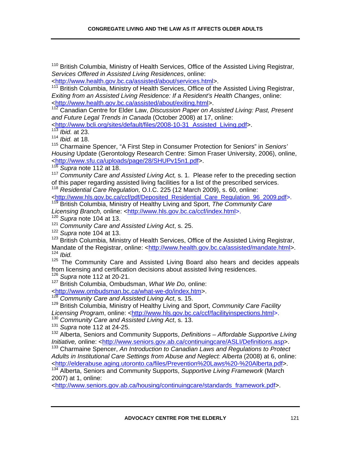110 British Columbia, Ministry of Health Services, Office of the Assisted Living Registrar*, Services Offered in Assisted Living Residences*, online:

<http://www.health.gov.bc.ca/assisted/about/services.html>.

British Columbia, Ministry of Health Services, Office of the Assisted Living Registrar, *Exiting from an Assisted Living Residence: If a Resident's Health Changes*, online: <http://www.health.gov.bc.ca/assisted/about/exiting.html>.

112 Canadian Centre for Elder Law, *Discussion Paper on Assisted Living: Past, Present and Future Legal Trends in Canada* (October 2008) at 17, online:

<http://www.bcli.org/sites/default/files/2008-10-31\_Assisted\_Living.pdf>.

<sup>113</sup> *Ibid.* at 23.

<sup>114</sup> *Ibid.* at 18.

115 Charmaine Spencer, "A First Step in Consumer Protection for Seniors" in *Seniors' Housing* Update (Gerontology Research Centre: Simon Fraser University, 2006), online, <http://www.sfu.ca/uploads/page/28/SHUPv15n1.pdf>.

<sup>116</sup> *Supra* note 112 at 18.

<sup>117</sup> *Community Care and Assisted Living Act,* s. 1. Please refer to the preceding section of this paper regarding assisted living facilities for a list of the prescribed services.

<sup>118</sup> *Residential Care Regulation,* O.I.C. 225 (12 March 2009), s. 60, online:

<http://www.hls.gov.bc.ca/ccf/pdf/Deposited\_Residential\_Care\_Regulation\_96\_2009.pdf>. 119 British Columbia, Ministry of Healthy Living and Sport, *The Community Care*  Licensing Branch, online: <http://www.hls.gov.bc.ca/ccf/index.html>.

<sup>120</sup> *Supra* note 104 at 13.

<sup>121</sup> *Community Care and Assisted Living Act*, s. 25.

<sup>122</sup> *Supra* note 104 at 13.

<sup>123</sup> British Columbia, Ministry of Health Services, Office of the Assisted Living Registrar, Mandate of the Registrar, online: <http://www.health.gov.bc.ca/assisted/mandate.html>. <sup>124</sup> *Ibid.* 

<sup>125</sup> The Community Care and Assisted Living Board also hears and decides appeals from licensing and certification decisions about assisted living residences.

<sup>126</sup> *Supra* note 112 at 20-21.

127 British Columbia, Ombudsman, *What We Do,* online:

<http://www.ombudsman.bc.ca/what-we-do/index.htm>.

<sup>128</sup> *Community Care and Assisted Living Act*, s. 15.

129 British Columbia, Ministry of Healthy Living and Sport, *Community Care Facility Licensing Program*, online: <http://www.hls.gov.bc.ca/ccf/facilityinspections.html>.

<sup>130</sup> *Community Care and Assisted Living Act*, s. 13.

<sup>131</sup> *Supra* note 112 at 24-25.

132 Alberta, Seniors and Community Supports, *Definitions – Affordable Supportive Living Initiative, online: <http://www.seniors.gov.ab.ca/continuingcare/ASLI/Definitions.asp>.* 

133 Charmaine Spencer, *An Introduction to Canadian Laws and Regulations to Protect Adults in Institutional Care Settings from Abuse and Neglect: Alberta* (2008) at 6, online: <http://elderabuse.aging.utoronto.ca/files/Prevention%20Laws%20-%20Alberta.pdf>.

134 Alberta, Seniors and Community Supports, *Supportive Living Framework* (March 2007) at 1, online:

<http://www.seniors.gov.ab.ca/housing/continuingcare/standards\_framework.pdf>.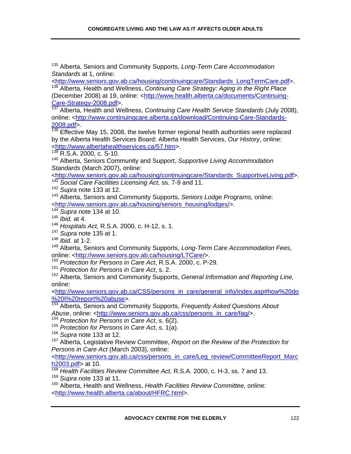135 Alberta, Seniors and Community Supports, *Long-Term Care Accommodation Standards* at 1, online:

<http://www.seniors.gov.ab.ca/housing/continuingcare/Standards\_LongTermCare.pdf>. 136 Alberta, Health and Wellness, *Continuing Care Strategy: Aging in the Right Place*  (December 2008) at 19, online: <http://www.health.alberta.ca/documents/Continuing-Care-Strategy-2008.pdf>.

137 Alberta, Health and Wellness, *Continuing Care Health Service Standards* (July 2008), online: <http://www.continuingcare.alberta.ca/download/Continuing-Care-Standards- $\frac{2008. \text{pdf}}{138}$  Effective

Effective May 15, 2008, the twelve former regional health authorities were replaced by the Alberta Health Services Board: Alberta Health Services, *Our History*, online: <http://www.albertahealthservices.ca/57.htm>.

 $139$  R.S.A. 2000, c. S-10.

140 Alberta, Seniors Community and Support, *Supportive Living Accommodation Standards* (March 2007), online:

<http://www.seniors.gov.ab.ca/housing/continuingcare/Standards\_SupportiveLiving.pdf>.

- <sup>141</sup> *Social Care Facilities Licensing Act,* ss. 7-9 and 11.
- <sup>142</sup> *Supra* note 133 at 12.

143 Alberta, Seniors and Community Supports, *Seniors Lodge Programs,* online: <http://www.seniors.gov.ab.ca/housing/seniors\_housing/lodges/>.

<sup>144</sup> *Supra* note 134 at 10.

<sup>145</sup> *Ibid.* at 4.

<sup>146</sup> *Hospitals Act,* R.S.A. 2000, c. H-12, s. 1.

<sup>147</sup> *Supra* note 135 at 1.

<sup>148</sup> *Ibid.* at 1-2.

149 Alberta, Seniors and Community Supports, *Long-Term Care Accommodation Fees*, online: <http://www.seniors.gov.ab.ca/housing/LTCare/>.

<sup>150</sup> *Protection for Persons in Care Act*, R.S.A. 2000, c. P-29.

<sup>151</sup> *Protection for Persons in Care Act*, s. 2.

152 Alberta, Seniors and Community Supports, *General Information and Reporting Line,*  online:

<http://www.seniors.gov.ab.ca/CSS/persons\_in\_care/general\_info/index.asp#how%20do %20I%20report%20abuse>.

153 Alberta, Seniors and Community Supports, *Frequently Asked Questions About*  Abuse, online: <http://www.seniors.gov.ab.ca/css/persons\_in\_care/faq/>.

<sup>154</sup> *Protection for Persons in Care Act*, s. 6(2). <sup>155</sup> *Protection for Persons in Care Act*, s. 1(a).

<sup>156</sup> *Supra* note 133 at 12.

157 Alberta, Legislative Review Committee, *Report on the Review of the Protection for Persons in Care Act* (March 2003), online:

<http://www.seniors.gov.ab.ca/css/persons\_in\_care/Leg\_review/CommitteeReport\_Marc h2003.pdf> at 10.

<sup>158</sup> *Health Facilities Review Committee Act*, R.S.A. 2000, c. H-3, ss. 7 and 13. <sup>159</sup> *Supra* note 133 at 11.

160 Alberta, Health and Wellness, *Health Facilities Review Committee,* online: <http://www.health.alberta.ca/about/HFRC.html>.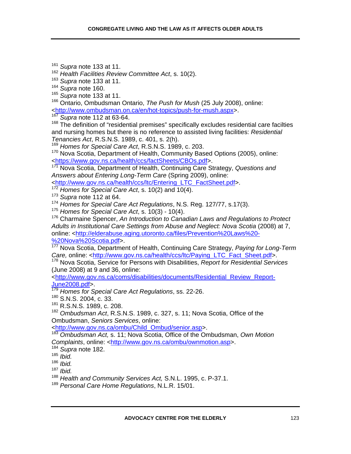<sup>161</sup> *Supra* note 133 at 11.

<sup>162</sup> *Health Facilities Review Committee Act*, s. 10(2).

<sup>163</sup> *Supra* note 133 at 11.

<sup>164</sup> *Supra* note 160.

<sup>165</sup> *Supra* note 133 at 11.

166 Ontario, Ombudsman Ontario, *The Push for Mush* (25 July 2008), online: <http://www.ombudsman.on.ca/en/hot-topics/push-for-mush.aspx>.

<sup>167</sup> *Supra* note 112 at 63-64.

<sup>168</sup> The definition of "residential premises" specifically excludes residential care facilties and nursing homes but there is no reference to assisted living facilities: *Residential Tenancies Act*, R.S.N.S. 1989, c. 401, s. 2(h).

<sup>169</sup> *Homes for Special Care Act*, R.S.N.S. 1989, c. 203.

<sup>170</sup> Nova Scotia, Department of Health, Community Based Options (2005), online: <https://www.gov.ns.ca/health/ccs/factSheets/CBOs.pdf>.

171 Nova Scotia, Department of Health, Continuing Care Strategy, *Questions and Answers about Entering Long-Term Care* (Spring 2009), online:

<http://www.gov.ns.ca/health/ccs/ltc/Entering\_LTC\_FactSheet.pdf>.

<sup>172</sup> *Homes for Special Care Act*, s. 10(2) and 10(4).

<sup>173</sup> *Supra* note 112 at 64.

<sup>174</sup> *Homes for Special Care Act Regulations*, N.S. Reg. 127/77, s.17(3).

<sup>175</sup> *Homes for Special Care Act*, s. 10(3) - 10(4).

176 Charmaine Spencer, *An Introduction to Canadian Laws and Regulations to Protect Adults in Institutional Care Settings from Abuse and Neglect: Nova Scotia* (2008) at 7, online: <http://elderabuse.aging.utoronto.ca/files/Prevention%20Laws%20- %20Nova%20Scotia.pdf>.

177 Nova Scotia, Department of Health, Continuing Care Strategy, *Paying for Long-Term*  Care, online: <http://www.gov.ns.ca/health/ccs/ltc/Paying\_LTC\_Fact\_Sheet.pdf>.

178 Nova Scotia, Service for Persons with Disabilities, *Report for Residential Services* (June 2008) at 9 and 36, online:

<http://www.gov.ns.ca/coms/disabilities/documents/Residential\_Review\_Report-June2008.pdf>.

<sup>179</sup> *Homes for Special Care Act Regulations*, ss. 22-26.

180 S.N.S. 2004, c. 33.

181 R.S.N.S. 1989, c. 208.

<sup>182</sup> *Ombudsman Act*, R.S.N.S. 1989, c. 327, s. 11; Nova Scotia, Office of the Ombudsman, *Seniors Services*, online:

<http://www.gov.ns.ca/ombu/Child\_Ombud/senior.asp>.

<sup>183</sup> *Ombudsman Act,* s. 11; Nova Scotia, Office of the Ombudsman, *Own Motion Complaints*, online: <http://www.gov.ns.ca/ombu/ownmotion.asp>.

<sup>184</sup> *Supra* note 182.

<sup>185</sup> *Ibid.* 

<sup>186</sup> *Ibid.* 

<sup>187</sup> *Ibid.*

<sup>188</sup> *Health and Community Services Act,* S.N.L. 1995, c. P-37.1.

<sup>189</sup> *Personal Care Home Regulations*, N.L.R. 15/01.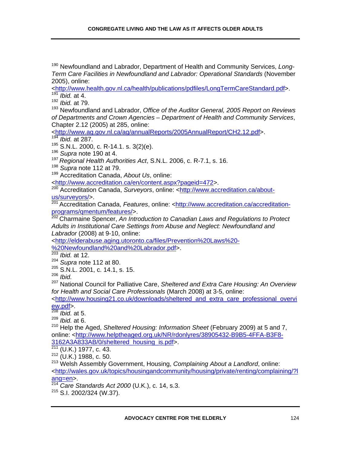190 Newfoundland and Labrador, Department of Health and Community Services, *Long-Term Care Facilities in Newfoundland and Labrador: Operational Standards* (November 2005), online:

<http://www.health.gov.nl.ca/health/publications/pdfiles/LongTermCareStandard.pdf>. *<i>Ibid.* at 4.

<sup>192</sup> *Ibid.* at 79.

193 Newfoundland and Labrador, *Office of the Auditor General, 2005 Report on Reviews of Departments and Crown Agencies – Department of Health and Community Services*, Chapter 2.12 (2005) at 285, online:

<http://www.ag.gov.nl.ca/ag/annualReports/2005AnnualReport/CH2.12.pdf>.

<sup>194</sup> *Ibid.* at 287.

195 S.N.L. 2000, c. R-14.1. s. 3(2)(e).

<sup>196</sup> *Supra* note 190 at 4.

<sup>197</sup>*Regional Health Authorities Act*, S.N.L. 2006, c. R-7.1, s. 16.

<sup>198</sup> *Supra* note 112 at 79.

199 Accreditation Canada, *About Us*, online:

<http://www.accreditation.ca/en/content.aspx?pageid=472>.

<sup>200</sup> Accreditation Canada, *Surveyors*, online: <http://www.accreditation.ca/aboutus/surveyors/>.

<sup>201</sup> Accreditation Canada, Features, online: <http://www.accreditation.ca/accreditationprograms/qmentum/features/>.

202 Charmaine Spencer, *An Introduction to Canadian Laws and Regulations to Protect Adults in Institutional Care Settings from Abuse and Neglect: Newfoundland and Labrador* (2008) at 9-10, online:

<http://elderabuse.aging.utoronto.ca/files/Prevention%20Laws%20- %20Newfoundland%20and%20Labrador.pdf>.

<sup>203</sup> *Ibid.* at 12.

<sup>204</sup> *Supra* note 112 at 80.

205 S.N.L. 2001, c. 14.1, s. 15.

<sup>206</sup> *Ibid.*

207 National Council for Palliative Care, *Sheltered and Extra Care Housing: An Overview for Health and Social Care Professionals* (March 2008) at 3-5, online:

<http://www.housing21.co.uk/downloads/sheltered\_and\_extra\_care\_professional\_overvi ew.pdf>.

<sup>208</sup> *Ibid.* at 5.

<sup>209</sup> *Ibid.* at 6.

210 Help the Aged, *Sheltered Housing: Information Sheet* (February 2009) at 5 and 7, online: <http://www.helptheaged.org.uk/NR/rdonlyres/38905432-B9B5-4FFA-B3F8- 3162A3A833AB/0/sheltered\_housing\_is.pdf>.

(U.K.) 1977, c. 43.

 $212$  (U.K.) 1988, c. 50.

213 Welsh Assembly Government, Housing, *Complaining About a Landlord*, online: <http://wales.gov.uk/topics/housingandcommunity/housing/private/renting/complaining/?l ang=en>.

<sup>214</sup> *Care Standards Act 2000* (U.K.), c. 14, s.3.

215 S.I. 2002/324 (W.37).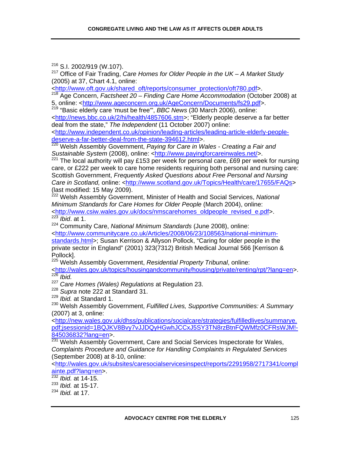$216$  S.I. 2002/919 (W.107).

217 Office of Fair Trading, *Care Homes for Older People in the UK – A Market Study*  (2005) at 37, Chart 4.1, online:

<http://www.oft.gov.uk/shared\_oft/reports/consumer\_protection/oft780.pdf>.

218 Age Concern, *Factsheet 20 – Finding Care Home Accommodation* (October 2008) at 5, online: <http://www.ageconcern.org.uk/AgeConcern/Documents/fs29.pdf>.

219 "Basic elderly care 'must be free'", *BBC News* (30 March 2006), online:

<http://news.bbc.co.uk/2/hi/health/4857606.stm>; "Elderly people deserve a far better deal from the state," *The Independent* (11 October 2007) online:

<http://www.independent.co.uk/opinion/leading-articles/leading-article-elderly-peopledeserve-a-far-better-deal-from-the-state-394612.html>.

220 Welsh Assembly Government, *Paying for Care in Wales - Creating a Fair and Sustainable System* (2008), online: <http://www.payingforcareinwales.net/>.

 $^{221}$  The local authority will pay £153 per week for personal care, £69 per week for nursing care, or £222 per week to care home residents requiring both personal and nursing care: Scottish Government, *Frequently Asked Questions about Free Personal and Nursing Care in Scotland, online: <http://www.scotland.gov.uk/Topics/Health/care/17655/FAQs>* (last modified: 15 May 2009).

222 Welsh Assembly Government, Minister of Health and Social Services, *National Minimum Standards for Care Homes for Older People* (March 2004), online: <http://www.csiw.wales.gov.uk/docs/nmscarehomes\_oldpeople\_revised\_e.pdf>. <sup>223</sup> *Ibid*. at 1.

224 Community Care, *National Minimum Standards* (June 2008), online:

<http://www.communitycare.co.uk/Articles/2008/06/23/108563/national-minimumstandards.html>; Susan Kerrison & Allyson Pollock, "Caring for older people in the private sector in England" (2001) 323(7312) British Medical Journal 566 [Kerrison &

Pollock].

225 Welsh Assembly Government, *Residential Property Tribunal*, online:

<http://wales.gov.uk/topics/housingandcommunity/housing/private/renting/rpt/?lang=en>.  $226$  *Ibid.* 

<sup>227</sup> *Care Homes (Wales) Regulations* at Regulation 23.

<sup>228</sup> *Supra* note 222 at Standard 31.

<sup>229</sup> *Ibid.* at Standard 1.

230 Welsh Assembly Government, *Fulfilled Lives, Supportive Communities: A Summary*  (2007) at 3, online:

<http://new.wales.gov.uk/dhss/publications/socialcare/strategies/fulfilledlives/summarye. pdf;jsessionid=1BQJKV8Bvy7vJJDQyHGwhJCCxJ5SY3TN8rzBtnFQWMfz0CFRsWJM!- 845036832?lang=en>.

**231 Welsh Assembly Government, Care and Social Services Inspectorate for Wales,** *Complaints Procedure and Guidance for Handling Complaints in Regulated Services*  (September 2008) at 8-10, online:

<http://wales.gov.uk/subsites/caresocialservicesinspect/reports/2291958/2717341/compl ainte.pdf?lang=en>.

<sup>232</sup> *Ibid.* at 14-15.

<sup>233</sup> *Ibid.* at 15-17.

<sup>234</sup> *Ibid.* at 17.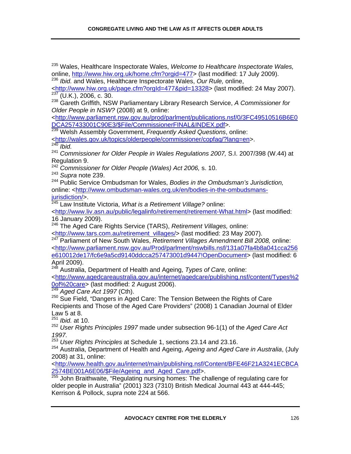235 Wales, Healthcare Inspectorate Wales, *Welcome to Healthcare Inspectorate Wales,*  online, http://www.hiw.org.uk/home.cfm?orgid=477> (last modified: 17 July 2009).

<sup>236</sup> *Ibid.* and Wales, Healthcare Inspectorate Wales, *Our Rule,* online, <http://www.hiw.org.uk/page.cfm?orgId=477&pid=13328> (last modified: 24 May 2007).

237 (U.K.), 2006, c. 30.238 Gareth Griffith, NSW Parliamentary Library Research Service, *A Commissioner for Older People in NSW?* (2008) at 9, online:

<http://www.parliament.nsw.gov.au/prod/parlment/publications.nsf/0/3FC49510516B6E0 DCA257433001C90E3/\$File/CommissionerFINAL&INDEX.pdf>.

239 Welsh Assembly Government, *Frequently Asked Questions*, online: <http://wales.gov.uk/topics/olderpeople/commissioner/copfaq/?lang=en>.

<sup>240</sup> *Ibid.*

<sup>241</sup> *Commissioner for Older People in Wales Regulations 2007,* S.I. 2007/398 (W.44) at Regulation 9.

<sup>242</sup> *Commissioner for Older People (Wales) Act 2006,* s. 10.

<sup>243</sup> *Supra* note 239.

244 Public Service Ombudsman for Wales, *Bodies in the Ombudsman's Jurisdiction,*  online: <http://www.ombudsman-wales.org.uk/en/bodies-in-the-ombudsmansjurisdiction/>.

245 Law Institute Victoria, *What is a Retirement Village?* online:

<http://www.liv.asn.au/public/legalinfo/retirement/retirement-What.html> (last modified: 16 January 2009).

246 The Aged Care Rights Service (TARS), *Retirement Villages,* online: <http://www.tars.com.au/retirement\_villages/> (last modified: 23 May 2007).

247 Parliament of New South Wales, *Retirement Villages Amendment Bill 2008,* online: <http://www.parliament.nsw.gov.au/Prod/parlment/nswbills.nsf/131a07fa4b8a041cca256 e610012de17/fc6e9a5cd9140ddcca257473001d9447!OpenDocument> (last modified: 6 April 2009).

248 Australia, Department of Health and Ageing, *Types of Care,* online:

<http://www.agedcareaustralia.gov.au/internet/agedcare/publishing.nsf/content/Types%2 0of%20care> (last modified: 2 August 2006).

<sup>249</sup> *Aged Care Act 1997* (Cth).

<sup>250</sup> Sue Field, "Dangers in Aged Care: The Tension Between the Rights of Care Recipients and Those of the Aged Care Providers" (2008) 1 Canadian Journal of Elder Law 5 at 8.

<sup>251</sup> *Ibid.* at 10.

<sup>252</sup> *User Rights Principles 1997* made under subsection 96-1(1) of the *Aged Care Act 1997.*

<sup>253</sup> *User Rights Principles* at Schedule 1, sections 23.14 and 23.16.

254 Australia, Department of Health and Ageing, *Ageing and Aged Care in Australia*, (July 2008) at 31, online:

<http://www.health.gov.au/internet/main/publishing.nsf/Content/BFE46F21A3241ECBCA 2574BE001A6E06/\$File/Ageing\_and\_Aged\_Care.pdf>.

<sup>255</sup> John Braithwaite, "Regulating nursing homes: The challenge of regulating care for older people in Australia" (2001) 323 (7310) British Medical Journal 443 at 444-445; Kerrison & Pollock, *supra* note 224 at 566.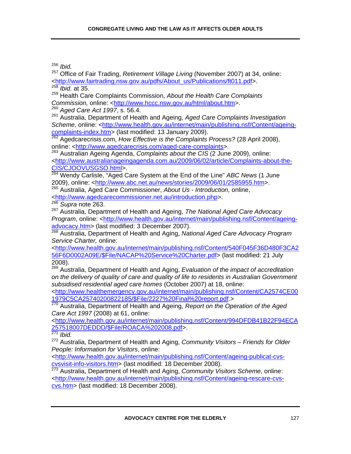<sup>256</sup> *Ibid.* 257 Office of Fair Trading, *Retirement Village Living* (November 2007) at 34, online: <http://www.fairtrading.nsw.gov.au/pdfs/About\_us/Publications/ft011.pdf>. <sup>258</sup> *Ibid.* at 35.

259 Health Care Complaints Commission, *About the Health Care Complaints Commission, online:* <http://www.hccc.nsw.gov.au/html/about.htm>. <sup>260</sup> *Aged Care Act 1997*, s. 56.4.

261 Australia, Department of Health and Ageing, *Aged Care Complaints Investigation Scheme*, online: <http://www.health.gov.au/internet/main/publishing.nsf/Content/ageingcomplaints-index.htm> (last modified: 13 January 2009).

262 Agedcarecrisis.com, *How Effective is the Complaints Process?* (28 April 2008), online: <http://www.agedcarecrisis.com/aged-care-complaints>.

263 Australian Ageing Agenda, *Complaints about the CIS* (2 June 2009), online: <http://www.australianageingagenda.com.au/2009/06/02/article/Complaints-about-the-CIS/CJOOVUSGSO.html>.

264 Wendy Carlisle, "Aged Care System at the End of the Line" *ABC News* (1 June 2009), online: <http://www.abc.net.au/news/stories/2009/06/01/2585955.htm>.

265 Australia, Aged Care Commissioner, *About Us - Introduction,* online,

<http://www.agedcarecommissioner.net.au/introduction.php>.

<sup>266</sup> *Supra* note 263.

267 Australia, Department of Health and Ageing, *The National Aged Care Advocacy Program*, online: <http://www.health.gov.au/internet/main/publishing.nsf/Content/ageingadvocacy.htm> (last modified: 3 December 2007).

268 Australia, Department of Health and Aging, *National Aged Care Advocacy Program Service Charter,* online:

<http://www.health.gov.au/internet/main/publishing.nsf/Content/540F045F36D480F3CA2 56F6D0002A09E/\$File/NACAP%20Service%20Charter.pdf> (last modified: 21 July 2008).

269 Australia, Department of Health and Aging, *Evaluation of the impact of accreditation on the delivery of quality of care and quality of life to residents in Australian Government subsidised residential aged care homes* (October 2007) at 18, online:

<http://www.healthemergency.gov.au/internet/main/publishing.nsf/Content/CA2574CE00 1979C5CA25740200822185/\$File/2227%20Final%20report.pdf.>

270 Australia, Department of Health and Ageing, *Report on the Operation of the Aged Care Act 1997* (2008) at 61, online:

<http://www.health.gov.au/internet/main/publishing.nsf/Content/994DFDB41B22F94ECA 257518007DEDDD/\$File/ROACA%202008.pdf>.

<sup>271</sup> *Ibid.* 

272 Australia, Department of Health and Aging, *Community Visitors – Friends for Older People: Information for Visitors*, online:

<http://www.health.gov.au/internet/main/publishing.nsf/Content/ageing-publicat-cvscvsvisit-info-visitors.htm> (last modified: 18 December 2008).

273 Australia, Department of Health and Aging, *Community Visitors Scheme,* online: <http://www.health.gov.au/internet/main/publishing.nsf/Content/ageing-rescare-cvscvs.htm> (last modified: 18 December 2008).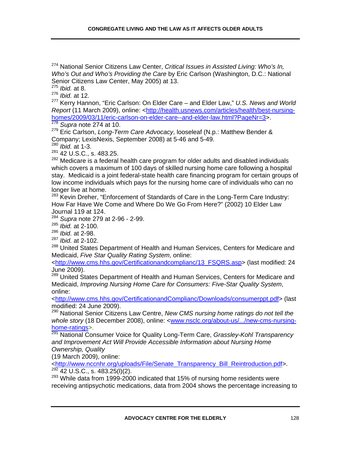274 National Senior Citizens Law Center, *Critical Issues in Assisted Living: Who's In, Who's Out and Who's Providing the Care* by Eric Carlson (Washington, D.C.: National Senior Citizens Law Center, May 2005) at 13.

<sup>275</sup> *Ibid.* at 8.

<sup>276</sup> *Ibid.* at 12.

277 Kerry Hannon, "Eric Carlson: On Elder Care – and Elder Law," *U.S. News and World Report* (11 March 2009), online: <http://health.usnews.com/articles/health/best-nursinghomes/2009/03/11/eric-carlson-on-elder-care--and-elder-law.html?PageNr=3>.

<sup>278</sup> *Supra* note 274 at 10.

279 Eric Carlson, *Long-Term Care Advocacy*, looseleaf (N.p.: Matthew Bender & Company; LexisNexis, September 2008) at 5-46 and 5-49.

<sup>280</sup> *Ibid.* at 1-3.

281 42 U.S.C., s. 483.25.

<sup>282</sup> Medicare is a federal health care program for older adults and disabled individuals which covers a maximum of 100 days of skilled nursing home care following a hospital stay. Medicaid is a joint federal-state health care financing program for certain groups of low income individuals which pays for the nursing home care of individuals who can no longer live at home.

<sup>283</sup> Kevin Dreher, "Enforcement of Standards of Care in the Long-Term Care Industry: How Far Have We Come and Where Do We Go From Here?" (2002) 10 Elder Law Journal 119 at 124.

<sup>284</sup> *Supra* note 279 at 2-96 - 2-99.

<sup>285</sup> *Ibid.* at 2-100.

<sup>286</sup> *Ibid.* at 2-98.

<sup>287</sup> *Ibid.* at 2-102.

<sup>288</sup> United States Department of Health and Human Services, Centers for Medicare and Medicaid, *Five Star Quality Rating System*, online:

<http://www.cms.hhs.gov/Certificationandcomplianc/13\_FSQRS.asp> (last modified: 24 June 2009).

<sup>289</sup> United States Department of Health and Human Services, Centers for Medicare and Medicaid, *Improving Nursing Home Care for Consumers: Five-Star Quality System*, online:

<http://www.cms.hhs.gov/CertificationandComplianc/Downloads/consumerppt.pdf> (last modified: 24 June 2009).

290 National Senior Citizens Law Centre, *New CMS nursing home ratings do not tell the whole story* (18 December 2008), online: <www.nsclc.org/about-us/.../new-cms-nursinghome-ratings>.

291 National Consumer Voice for Quality Long-Term Care, *Grassley-Kohl Transparency and Improvement Act Will Provide Accessible Information about Nursing Home Ownership, Quality*

(19 March 2009), online:

<http://www.nccnhr.org/uploads/File/Senate\_Transparency\_Bill\_Reintroduction.pdf>.  $292$  42 U.S.C., s. 483.25(l)(2).

 $293$  While data from 1999-2000 indicated that 15% of nursing home residents were receiving antipsychotic medications, data from 2004 shows the percentage increasing to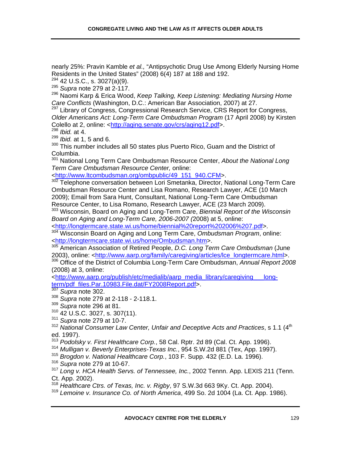nearly 25%: Pravin Kamble *et al.,* "Antipsychotic Drug Use Among Elderly Nursing Home Residents in the United States" (2008) 6(4) 187 at 188 and 192.

 $294$  42 U.S.C., s. 3027(a)(9).

<sup>295</sup> *Supra* note 279 at 2-117.

296 Naomi Karp & Erica Wood, *Keep Talking, Keep Listening: Mediating Nursing Home Care Conflicts* (Washington, D.C.: American Bar Association, 2007) at 27.

<sup>297</sup> Library of Congress, Congressional Research Service, CRS Report for Congress, *Older Americans Act: Long-Term Care Ombudsman Program* (17 April 2008) by Kirsten Colello at 2, online: <http://aging.senate.gov/crs/aging12.pdf>.

<sup>298</sup> *Ibid.* at 4.

<sup>299</sup> *Ibid.* at 1, 5 and 6.

300 This number includes all 50 states plus Puerto Rico, Guam and the District of Columbia.

301 National Long Term Care Ombudsman Resource Center, *About the National Long Term Care Ombudsman Resource Center,* online:

<http://www.ltcombudsman.org/ombpublic/49\_151\_940.CFM>.

302 Telephone conversation between Lori Smetanka, Director, National Long-Term Care Ombudsman Resource Center and Lisa Romano, Research Lawyer, ACE (10 March 2009); Email from Sara Hunt, Consultant, National Long-Term Care Ombudsman Resource Center, to Lisa Romano, Research Lawyer, ACE (23 March 2009).

303 Wisconsin, Board on Aging and Long-Term Care, *Biennial Report of the Wisconsin Board on Aging and Long-Term Care, 2006-2007 (*2008) at 5, online:

<http://longtermcare.state.wi.us/home/biennial%20report%202006%207.pdf>.

304 Wisconsin Board on Aging and Long Term Care, *Ombudsman Program*, online: <http://longtermcare.state.wi.us/home/Ombudsman.htm>.

305 American Association of Retired People, *D.C. Long Term Care Ombudsman* (June 2003), online: <http://www.aarp.org/family/caregiving/articles/lce\_longtermcare.html>. 306 Office of the District of Columbia Long-Term Care Ombudsman, *Annual Report 2008* (2008) at 3, online:

<http://www.aarp.org/publish/etc/medialib/aarp\_media\_library/caregiving\_\_\_longterm/pdf\_files.Par.10983.File.dat/FY2008Report.pdf>.

<sup>307</sup> *Supra* note 302.

<sup>308</sup> *Supra* note 279 at 2-118 - 2-118.1.

<sup>309</sup> *Supra* note 296 at 81.

- 310 42 U.S.C. 3027, s. 307(11).
- <sup>311</sup> *Supra* note 279 at 10-7.
- <sup>312</sup> National Consumer Law Center, Unfair and Deceptive Acts and Practices, s 1.1 (4<sup>th</sup>) ed. 1997).
- <sup>313</sup> *Podolsky v. First Healthcare Corp.*, 58 Cal. Rptr. 2d 89 (Cal. Ct. App. 1996).

<sup>314</sup> *Mulligan v. Beverly Enterprises-Texas Inc.*, 954 S.W.2d 881 (Tex, App. 1997).

<sup>315</sup> *Brogdon v. National Healthcare Corp.*, 103 F. Supp. 432 (E.D. La. 1996).

- <sup>316</sup> *Supra* note 279 at 10-67.
- <sup>317</sup> *Long v. HCA Health Servs. of Tennessee, Inc.*, 2002 Tennn. App. LEXIS 211 (Tenn. Ct. App. 2002).

<sup>318</sup> *Healthcare Ctrs. of Texas, Inc. v. Rigby*, 97 S.W.3d 663 9Ky. Ct. App. 2004).

<sup>319</sup> *Lemoine v. Insurance Co. of North America*, 499 So. 2d 1004 (La. Ct. App. 1986).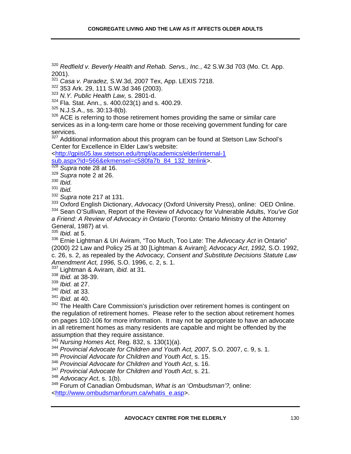<sup>320</sup> *Redfield v. Beverly Health and Rehab. Servs., Inc.*, 42 S.W.3d 703 (Mo. Ct. App. 2001).

<sup>321</sup> *Casa v. Paradez,* S.W.3d, 2007 Tex, App. LEXIS 7218.

322 353 Ark. 29, 111 S.W.3d 346 (2003).

<sup>323</sup> *N.Y. Public Health Law,* s. 2801-d.

 $324$  Fla. Stat. Ann., s. 400.023(1) and s. 400.29.

325 N.J.S.A., ss. 30:13-8(b).

 $326$  ACE is referring to those retirement homes providing the same or similar care services as in a long-term care home or those receiving government funding for care services.

<sup>327</sup> Additional information about this program can be found at Stetson Law School's Center for Excellence in Elder Law's website:

<http://gpiis05.law.stetson.edu/tmpl/academics/elder/internal-1 sub.aspx?id=566&ekmensel=c580fa7b\_84\_132\_btnlink>.

<sup>328</sup> *Supra* note 28 at 16.

<sup>329</sup> *Supra* note 2 at 26.

<sup>330</sup> *Ibid.* 

<sup>331</sup> *Ibid.*

<sup>332</sup> *Supra* note 217 at 131.

333 Oxford English Dictionary, *Advocacy* (Oxford University Press), online: OED Online. 334 Sean O'Sullivan, Report of the Review of Advocacy for Vulnerable Adults, *You've Got* 

*a Friend: A Review of Advocacy in Ontario* (Toronto: Ontario Ministry of the Attorney General, 1987) at vi.

<sup>335</sup> *Ibid.* at 5.

336 Ernie Lightman & Uri Aviram, "Too Much, Too Late: The *Advocacy Act* in Ontario" (2000) 22 Law and Policy 25 at 30 [Lightman & Aviram]; *Advocacy Act*, *1992,* S.O. 1992, c. 26, s. 2, as repealed by the *Advocacy, Consent and Substitute Decisions Statute Law Amendment Act, 1996,* S.O. 1996, c. 2, s. 1.

337 Lightman & Aviram*, ibid.* at 31.

<sup>338</sup> *Ibid.* at 38-39.

<sup>339</sup> *Ibid.* at 27.

<sup>340</sup> *Ibid.* at 33.

<sup>341</sup> *Ibid.* at 40.

<sup>342</sup> The Health Care Commission's jurisdiction over retirement homes is contingent on the regulation of retirement homes. Please refer to the section about retirement homes on pages 102-106 for more information. It may not be appropriate to have an advocate in all retirement homes as many residents are capable and might be offended by the assumption that they require assistance.

<sup>343</sup> *Nursing Homes Act,* Reg. 832, s. 130(1)(a).

<sup>344</sup> *Provincial Advocate for Children and Youth Act, 2007*, S.O. 2007, c. 9, s. 1.

<sup>345</sup> *Provincial Advocate for Children and Youth Act*, s. 15.

<sup>346</sup> *Provincial Advocate for Children and Youth Act*, s. 16.

<sup>347</sup> *Provincial Advocate for Children and Youth Act*, s. 21.

<sup>348</sup> *Advocacy Act*, s. 1(b).

349 Forum of Canadian Ombudsman, *What is an 'Ombudsman'?,* online: <http://www.ombudsmanforum.ca/whatis\_e.asp>.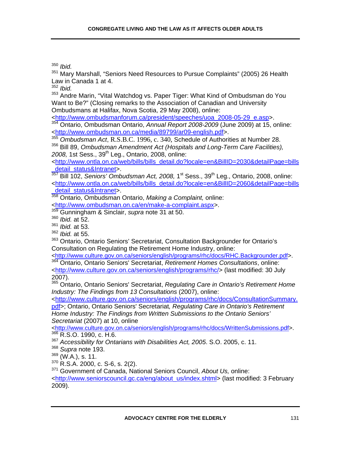<sup>350</sup> *Ibid.*<br><sup>351</sup> Man

351 Mary Marshall, "Seniors Need Resources to Pursue Complaints" (2005) 26 Health Law in Canada 1 at 4.

<sup>352</sup> *Ibid.*

353 Andre Marin, "Vital Watchdog vs. Paper Tiger: What Kind of Ombudsman do You Want to Be?" (Closing remarks to the Association of Canadian and University Ombudsmans at Halifax, Nova Scotia, 29 May 2008), online:

<http://www.ombudsmanforum.ca/president/speeches/uoa\_2008-05-29\_e.asp>.

354 Ontario, Ombudsman Ontario, *Annual Report 2008-2009* (June 2009) at 15, online: <http://www.ombudsman.on.ca/media/89799/ar09-english.pdf>.

<sup>355</sup> *Ombudsman Act*, R.S.B.C. 1996, c. 340, Schedule of Authorities at Number 28. 356 Bill 89, *Ombudsman Amendment Act (Hospitals and Long-Term Care Facilities),*  2008, 1st Sess., 39<sup>th</sup> Leg., Ontario, 2008, online:

*<*http://www.ontla.on.ca/web/bills/bills\_detail.do?locale=en&BillID=2030&detailPage=bills detail\_status&Intranet>.

357 Bill 102, *Seniors' Ombudsman Act, 2008,* 1st Sess., 39th Leg., Ontario, 2008, online: <http://www.ontla.on.ca/web/bills/bills\_detail.do?locale=en&BillID=2060&detailPage=bills \_detail\_status&Intranet>.

358 Ontario, Ombudsman Ontario, *Making a Complaint,* online: <http://www.ombudsman.on.ca/en/make-a-complaint.aspx>.

359 Gunningham & Sinclair, *supra* note 31 at 50.

<sup>360</sup> *Ibid.* at 52.

<sup>361</sup> *Ibid.* at 53.

<sup>362</sup> *Ibid.* at 55.

<sup>363</sup> Ontario, Ontario Seniors' Secretariat, Consultation Backgrounder for Ontario's Consultation on Regulating the Retirement Home Industry, online:<br><http://www.culture.gov.on.ca/seniors/english/programs/rhc/docs/RHC.Backgrounder.pdf>.

364 Ontario, Ontario Seniors' Secretariat, Retirement Homes Consultations, online:

<http://www.culture.gov.on.ca/seniors/english/programs/rhc/> (last modified: 30 July 2007).

365 Ontario, Ontario Seniors' Secretariat, *Regulating Care in Ontario's Retirement Home Industry: The Findings from 13 Consultations* (2007), online:

<http://www.culture.gov.on.ca/seniors/english/programs/rhc/docs/ConsultationSummary. pdf>; Ontario, Ontario Seniors' Secretariat*, Regulating Care in Ontario's Retirement Home Industry: The Findings from Written Submissions to the Ontario Seniors' Secretariat* (2007) at 10, online

<http://www.culture.gov.on.ca/seniors/english/programs/rhc/docs/WrittenSubmissions.pdf>. 366 R.S.O. 1990, c. H.6.

<sup>367</sup> *Accessibility for Ontarians with Disabilities Act, 2005*. S.O. 2005, c. 11.

<sup>368</sup> *Supra* note 193.

 $369$  (W.A.), s. 11.

370 R.S.A. 2000, c. S-6, s. 2(2).

371 Government of Canada, National Seniors Council, *About Us,* online:

<http://www.seniorscouncil.gc.ca/eng/about\_us/index.shtml> (last modified: 3 February 2009).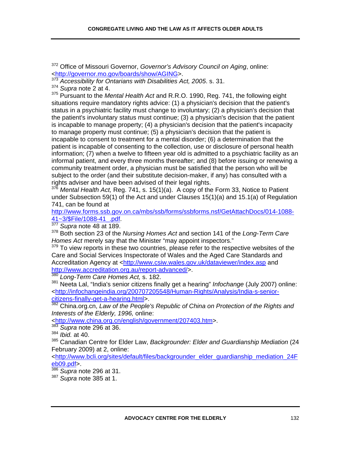372 Office of Missouri Governor, *Governor's Advisory Council on Aging*, online: <http://governor.mo.gov/boards/show/AGING>.

<sup>373</sup> Accessibility for Ontarians with Disabilities Act, 2005. s. 31.

<sup>374</sup> *Supra* note 2 at 4.

375 Pursuant to the *Mental Health Act* and R.R.O. 1990, Reg. 741, the following eight situations require mandatory rights advice: (1) a physician's decision that the patient's status in a psychiatric facility must change to involuntary; (2) a physician's decision that the patient's involuntary status must continue; (3) a physician's decision that the patient is incapable to manage property; (4) a physician's decision that the patient's incapacity to manage property must continue; (5) a physician's decision that the patient is incapable to consent to treatment for a mental disorder; (6) a determination that the patient is incapable of consenting to the collection, use or disclosure of personal health information; (7) when a twelve to fifteen year old is admitted to a psychiatric facility as an informal patient, and every three months thereafter; and (8) before issuing or renewing a community treatment order, a physician must be satisfied that the person who will be subject to the order (and their substitute decision-maker, if any) has consulted with a rights adviser and have been advised of their legal rights.

*Mental Health Act, Reg. 741, s. 15(1)(a). A copy of the Form 33, Notice to Patient* under Subsection 59(1) of the Act and under Clauses 15(1)(a) and 15.1(a) of Regulation 741, can be found at

http://www.forms.ssb.gov.on.ca/mbs/ssb/forms/ssbforms.nsf/GetAttachDocs/014-1088- 41~3/\$File/1088-41\_.pdf. 377 *Supra* note 48 at 189.

378 Both section 23 of the *Nursing Homes Act* and section 141 of the *Long-Term Care Homes Act* merely say that the Minister "may appoint inspectors."

 $379$  To view reports in these two countries, please refer to the respective websites of the Care and Social Services Inspectorate of Wales and the Aged Care Standards and Accreditation Agency at <http://www.csiw.wales.gov.uk/dataviewer/index.asp and http://www.accreditation.org.au/report-advanced/>.

<sup>380</sup> *Long-Term Care Homes Act,* s. 182.

381 Neeta Lal, "India's senior citizens finally get a hearing" *Infochange* (July 2007) online: <http://infochangeindia.org/200707205548/Human-Rights/Analysis/India-s-seniorcitizens-finally-get-a-hearing.html>.

382 China.org.cn, *Law of the People's Republic of China on Protection of the Rights and Interests of the Elderly, 1996,* online:

<http://www.china.org.cn/english/government/207403.htm>.

<sup>383</sup> *Supra* note 296 at 36.

<sup>384</sup> *Ibid.* at 40.

385 Canadian Centre for Elder Law, *Backgrounder: Elder and Guardianship Mediation* (24 February 2009) at 2, online:

<http://www.bcli.org/sites/default/files/backgrounder\_elder\_guardianship\_mediation\_24F eb09.pdf>.

<sup>386</sup> *Supra* note 296 at 31.

<sup>387</sup> *Supra* note 385 at 1.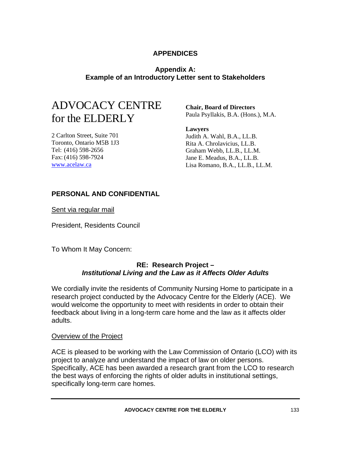## **APPENDICES**

## **Appendix A: Example of an Introductory Letter sent to Stakeholders**

## ADVOCACY CENTRE for the ELDERLY

**Chair, Board of Directors** Paula Psyllakis, B.A. (Hons.), M.A.

2 Carlton Street, Suite 701 Toronto, Ontario M5B 1J3 Tel: (416) 598-2656 Fax: (416) 598-7924 www.acelaw.ca

**Lawyers** Judith A. Wahl, B.A., LL.B. Rita A. Chrolavicius, LL.B. Graham Webb, LL.B., LL.M. Jane E. Meadus, B.A., LL.B. Lisa Romano, B.A., LL.B., LL.M.

## **PERSONAL AND CONFIDENTIAL**

Sent via regular mail

President, Residents Council

To Whom It May Concern:

## **RE: Research Project –**  *Institutional Living and the Law as it Affects Older Adults*

We cordially invite the residents of Community Nursing Home to participate in a research project conducted by the Advocacy Centre for the Elderly (ACE). We would welcome the opportunity to meet with residents in order to obtain their feedback about living in a long-term care home and the law as it affects older adults.

### Overview of the Project

ACE is pleased to be working with the Law Commission of Ontario (LCO) with its project to analyze and understand the impact of law on older persons. Specifically, ACE has been awarded a research grant from the LCO to research the best ways of enforcing the rights of older adults in institutional settings, specifically long-term care homes.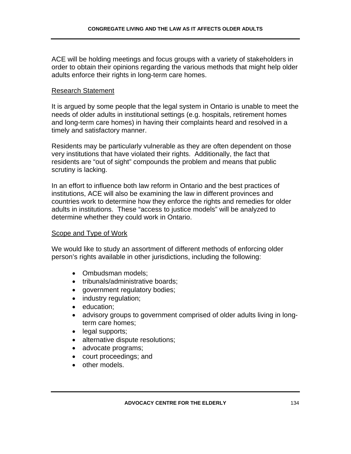ACE will be holding meetings and focus groups with a variety of stakeholders in order to obtain their opinions regarding the various methods that might help older adults enforce their rights in long-term care homes.

#### Research Statement

It is argued by some people that the legal system in Ontario is unable to meet the needs of older adults in institutional settings (e.g. hospitals, retirement homes and long-term care homes) in having their complaints heard and resolved in a timely and satisfactory manner.

Residents may be particularly vulnerable as they are often dependent on those very institutions that have violated their rights. Additionally, the fact that residents are "out of sight" compounds the problem and means that public scrutiny is lacking.

In an effort to influence both law reform in Ontario and the best practices of institutions, ACE will also be examining the law in different provinces and countries work to determine how they enforce the rights and remedies for older adults in institutions. These "access to justice models" will be analyzed to determine whether they could work in Ontario.

### Scope and Type of Work

We would like to study an assortment of different methods of enforcing older person's rights available in other jurisdictions, including the following:

- Ombudsman models;
- tribunals/administrative boards:
- government regulatory bodies;
- industry regulation;
- education;
- advisory groups to government comprised of older adults living in longterm care homes;
- legal supports;
- alternative dispute resolutions;
- advocate programs;
- court proceedings; and
- other models.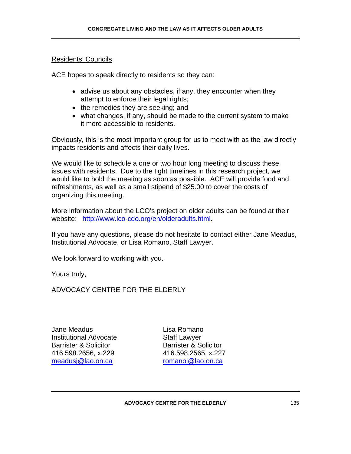## Residents' Councils

ACE hopes to speak directly to residents so they can:

- advise us about any obstacles, if any, they encounter when they attempt to enforce their legal rights;
- the remedies they are seeking; and
- what changes, if any, should be made to the current system to make it more accessible to residents.

Obviously, this is the most important group for us to meet with as the law directly impacts residents and affects their daily lives.

We would like to schedule a one or two hour long meeting to discuss these issues with residents. Due to the tight timelines in this research project, we would like to hold the meeting as soon as possible. ACE will provide food and refreshments, as well as a small stipend of \$25.00 to cover the costs of organizing this meeting.

More information about the LCO's project on older adults can be found at their website: http://www.lco-cdo.org/en/olderadults.html.

If you have any questions, please do not hesitate to contact either Jane Meadus, Institutional Advocate, or Lisa Romano, Staff Lawyer.

We look forward to working with you.

Yours truly,

ADVOCACY CENTRE FOR THE ELDERLY

Jane Meadus Lisa Romano Institutional Advocate **Staff Lawyer** Barrister & Solicitor **Barrister & Solicitor** 416.598.2656, x.229 416.598.2565, x.227 meadusj@lao.on.ca romanol@lao.on.ca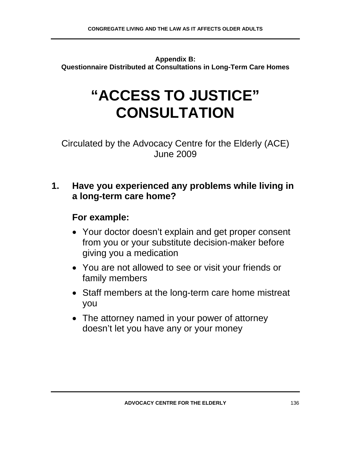**Appendix B: Questionnaire Distributed at Consultations in Long-Term Care Homes** 

# **"ACCESS TO JUSTICE" CONSULTATION**

Circulated by the Advocacy Centre for the Elderly (ACE) June 2009

## **1. Have you experienced any problems while living in a long-term care home?**

- Your doctor doesn't explain and get proper consent from you or your substitute decision-maker before giving you a medication
- You are not allowed to see or visit your friends or family members
- Staff members at the long-term care home mistreat you
- The attorney named in your power of attorney doesn't let you have any or your money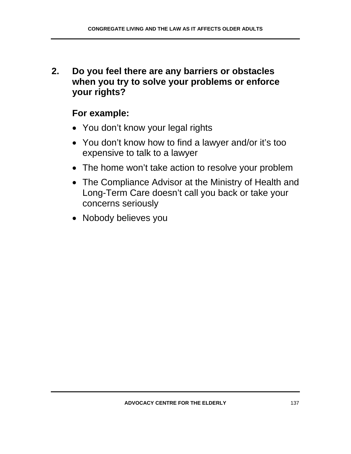**2. Do you feel there are any barriers or obstacles when you try to solve your problems or enforce your rights?** 

- You don't know your legal rights
- You don't know how to find a lawyer and/or it's too expensive to talk to a lawyer
- The home won't take action to resolve your problem
- The Compliance Advisor at the Ministry of Health and Long-Term Care doesn't call you back or take your concerns seriously
- Nobody believes you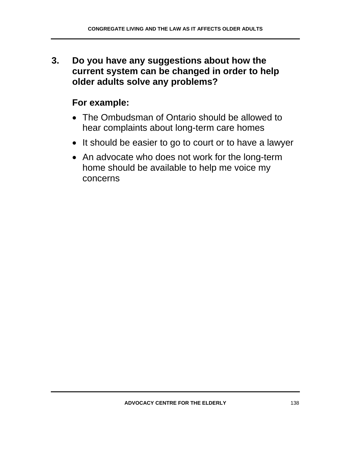**3. Do you have any suggestions about how the current system can be changed in order to help older adults solve any problems?** 

- The Ombudsman of Ontario should be allowed to hear complaints about long-term care homes
- It should be easier to go to court or to have a lawyer
- An advocate who does not work for the long-term home should be available to help me voice my concerns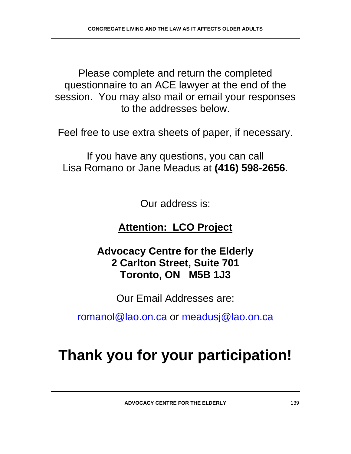Please complete and return the completed questionnaire to an ACE lawyer at the end of the session. You may also mail or email your responses to the addresses below.

Feel free to use extra sheets of paper, if necessary.

If you have any questions, you can call Lisa Romano or Jane Meadus at **(416) 598-2656**.

Our address is:

## **Attention: LCO Project**

## **Advocacy Centre for the Elderly 2 Carlton Street, Suite 701 Toronto, ON M5B 1J3**

Our Email Addresses are:

romanol@lao.on.ca or meadusj@lao.on.ca

# **Thank you for your participation!**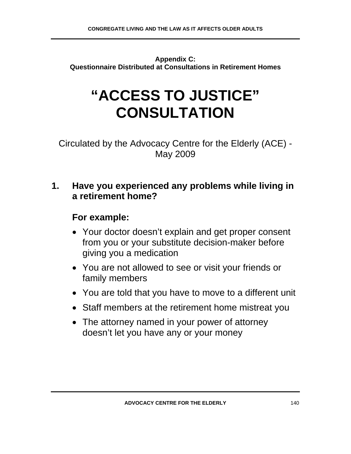**Appendix C: Questionnaire Distributed at Consultations in Retirement Homes** 

# **"ACCESS TO JUSTICE" CONSULTATION**

Circulated by the Advocacy Centre for the Elderly (ACE) - May 2009

## **1. Have you experienced any problems while living in a retirement home?**

- Your doctor doesn't explain and get proper consent from you or your substitute decision-maker before giving you a medication
- You are not allowed to see or visit your friends or family members
- You are told that you have to move to a different unit
- Staff members at the retirement home mistreat you
- The attorney named in your power of attorney doesn't let you have any or your money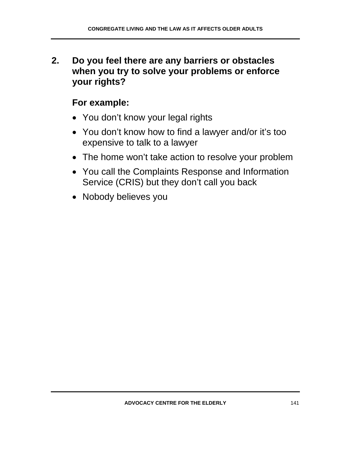**2. Do you feel there are any barriers or obstacles when you try to solve your problems or enforce your rights?** 

- You don't know your legal rights
- You don't know how to find a lawyer and/or it's too expensive to talk to a lawyer
- The home won't take action to resolve your problem
- You call the Complaints Response and Information Service (CRIS) but they don't call you back
- Nobody believes you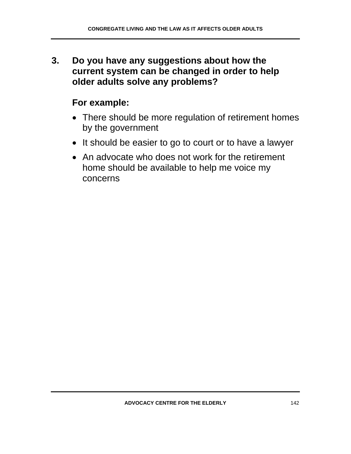**3. Do you have any suggestions about how the current system can be changed in order to help older adults solve any problems?** 

- There should be more regulation of retirement homes by the government
- It should be easier to go to court or to have a lawyer
- An advocate who does not work for the retirement home should be available to help me voice my concerns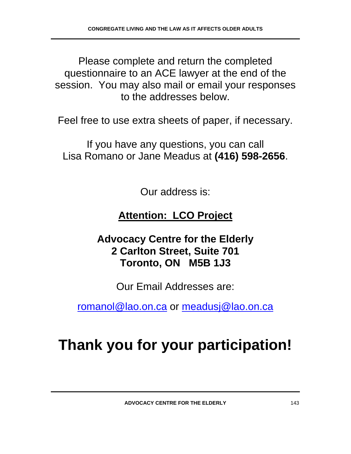Please complete and return the completed questionnaire to an ACE lawyer at the end of the session. You may also mail or email your responses to the addresses below.

Feel free to use extra sheets of paper, if necessary.

If you have any questions, you can call Lisa Romano or Jane Meadus at **(416) 598-2656**.

Our address is:

## **Attention: LCO Project**

**Advocacy Centre for the Elderly 2 Carlton Street, Suite 701 Toronto, ON M5B 1J3** 

Our Email Addresses are:

romanol@lao.on.ca or meadusj@lao.on.ca

# **Thank you for your participation!**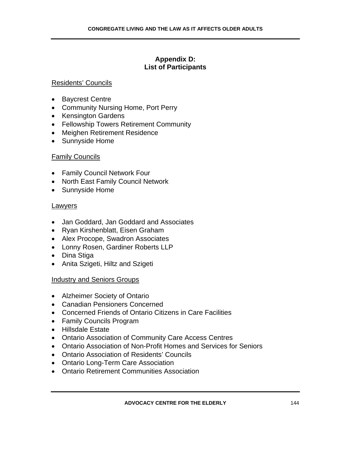## **Appendix D: List of Participants**

### Residents' Councils

- Baycrest Centre
- Community Nursing Home, Port Perry
- Kensington Gardens
- Fellowship Towers Retirement Community
- Meighen Retirement Residence
- Sunnyside Home

### Family Councils

- Family Council Network Four
- North East Family Council Network
- Sunnyside Home

### Lawyers

- Jan Goddard, Jan Goddard and Associates
- Ryan Kirshenblatt, Eisen Graham
- Alex Procope, Swadron Associates
- Lonny Rosen, Gardiner Roberts LLP
- Dina Stiga
- Anita Szigeti, Hiltz and Szigeti

#### Industry and Seniors Groups

- Alzheimer Society of Ontario
- Canadian Pensioners Concerned
- Concerned Friends of Ontario Citizens in Care Facilities
- Family Councils Program
- Hillsdale Estate
- Ontario Association of Community Care Access Centres
- Ontario Association of Non-Profit Homes and Services for Seniors
- Ontario Association of Residents' Councils
- Ontario Long-Term Care Association
- Ontario Retirement Communities Association